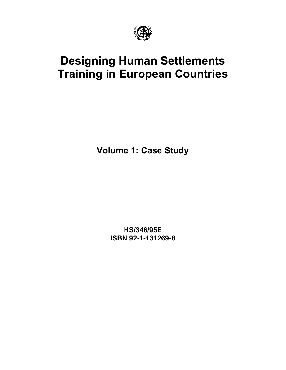

# **Designing Human Settlements Training in European Countries**

**Volume 1: Case Study** 

**HS/346/95E ISBN 92-1-131269-8**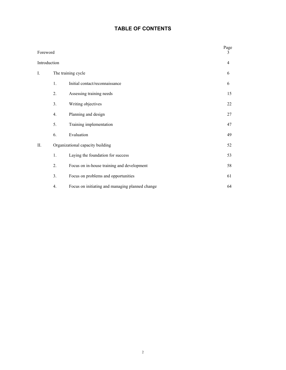# **TABLE OF CONTENTS**

|                                      |                    |                                                 | Page<br>3      |
|--------------------------------------|--------------------|-------------------------------------------------|----------------|
|                                      |                    |                                                 | $\overline{4}$ |
|                                      | The training cycle |                                                 | 6              |
|                                      | 1.                 | Initial contact/reconnaissance                  | 6              |
|                                      | 2.                 | Assessing training needs                        | 15             |
|                                      | 3.                 | Writing objectives                              | 22             |
|                                      | 4.                 | Planning and design                             | 27             |
|                                      | 5.                 | Training implementation                         | 47             |
|                                      | 6.                 | Evaluation                                      | 49             |
|                                      |                    | Organizational capacity building                | 52             |
|                                      | 1.                 | Laying the foundation for success               | 53             |
| Foreword<br>Introduction<br>I.<br>П. | 2.                 | Focus on in-house training and development      | 58             |
|                                      | 3.                 | Focus on problems and opportunities             | 61             |
|                                      | 4.                 | Focus on initiating and managing planned change | 64             |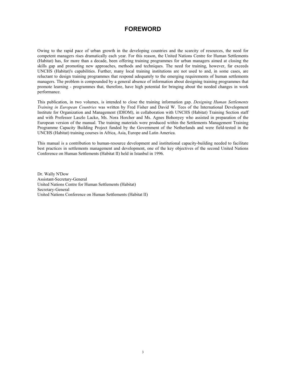# **FOREWORD**

Owing to the rapid pace of urban growth in the developing countries and the scarcity of resources, the need for competent managers rises dramatically each year. For this reason, the United Nations Centre for Human Settlements (Habitat) has, for more than a decade, been offering training programmes for urban managers aimed at closing the skills gap and promoting new approaches, methods and techniques. The need for training, however, far exceeds UNCHS (Habitat)'s capabilities. Further, many local training institutions are not used to and, in some cases, are reluctant to design training programmes that respond adequately to the emerging requirements of human settlements managers. The problem is compounded by a general absence of information about designing training programmes that promote learning - programmes that, therefore, have high potential for bringing about the needed changes in work performance.

This publication, in two volumes, is intended to close the training information gap. *Designing Human Settlements Training in European Countries* was written by Fred Fisher and David W. Tees of the International Development Institute for Organization and Management (IDIOM), in collaboration with UNCHS (Habitat) Training Section staff and with Professor Laszlo Lacko, Ms. Nora Horcher and Ms. Agnes Bohonyey who assisted in preparation of the European version of the manual. The training materials were produced within the Settlements Management Training Programme Capacity Building Project funded by the Government of the Netherlands and were field-tested in the UNCHS (Habitat) training courses in Africa, Asia, Europe and Latin America.

This manual is a contribution to human-resource development and institutional capacity-building needed to facilitate best practices in settlements management and development, one of the key objectives of the second United Nations Conference on Human Settlements (Habitat II) held in Istanbul in 1996.

Dr. Wally N'Dow Assistant-Secretary-General United Nations Centre for Human Settlements (Habitat) Secretary-General United Nations Conference on Human Settlements (Habitat II)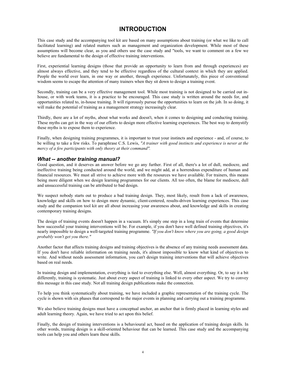# **INTRODUCTION**

This case study and the accompanying tool kit are based on many assumptions about training (or what we like to call facilitated learning) and related matters such as management and organization development. While most of these assumptions will become clear, as you and others use the case study and "tools, we want to comment on a few we believe are fundamental to the design of effective training interventions.

First, experiential learning designs (those that provide an opportunity to learn from and through experiences) are almost always effective, and they tend to be effective regardless of the cultural context in which they are applied. People the world over learn, in one way or another, through experience. Unfortunately, this piece of conventional wisdom seems to escape the attention of many trainers when they sit down to design a training event.

Secondly, training can be a very effective management tool. While most training is not designed to be carried out inhouse, or with work teams, it is a practice to be encouraged. This case study is written around the needs for, and opportunities related to, in-house training. It will rigorously pursue the opportunities to learn on the job. In so doing, it will make the potential of training as a management strategy increasingly clear.

Thirdly, there are a lot of myths, about what works and doesn't, when it comes to designing and conducting training. These myths can get in the way of our efforts to design more effective learning experiences. The best way to demystify these myths is to expose them to experience.

Finally, when designing training programmes, it is important to trust your instincts and experience - and, of course, to be willing to take a few risks. To paraphrase C.S. Lewis, *"A trainer with good instincts and experience is never at the mercy of a few participants with only theory at their command".*

### *What -- another training manual?*

Good question, and it deserves an answer before we go any further. First of all, there's a lot of dull, mediocre, and ineffective training being conducted around the world, and we might add, at a horrendous expenditure of human and financial resources. We must all strive to achieve more with the resources we have available. For trainers, this means being more diligent when we design learning programmes for our clients. All too often, the blame for mediocre, dull and unsuccessful training can be attributed to bad design.

We suspect nobody starts out to produce a bad training design. They, most likely, result from a lack of awareness, knowledge and skills on how to design more dynamic, client-centered, results-driven learning experiences. This case study and the companion tool kit are all about increasing your awareness about, and knowledge and skills in creating contemporary training designs.

The design of training events doesn't happen in a vacuum. It's simply one step in a long train of events that determine how successful your training interventions will be. For example, if you don't have well defined training objectives, it's nearly impossible to design a well-targeted training programme. *"If you don't know where you are going, a good design probably won't get you there."*

Another factor that affects training designs and training objectives is the absence of any training needs assessment data. If you don't have reliable information on training needs, it's almost impossible to know what kind of objectives to write. And without needs assessment information, you can't design training interventions that will achieve objectives based on real needs.

In training design and implementation, everything is tied to everything else. Well, almost everything. Or, to say it a bit differently, training is systematic. Just about every aspect of training is linked to every other aspect. We try to convey this message in this case study. Not all training design publications make the connection.

To help you think systematically about training, we have included a graphic representation of the training cycle. The cycle is shown with six phases that correspond to the major events in planning and carrying out a training programme.

We also believe training designs must have a conceptual anchor, an anchor that is firmly placed in learning styles and adult learning theory. Again, we have tried to act upon this belief.

Finally, the design of training interventions is a behavioural act, based on the application of training design skills. In other words, training design is a skill-oriented behaviour that can be learned. This case study and the accompanying tools can help you and others learn these skills.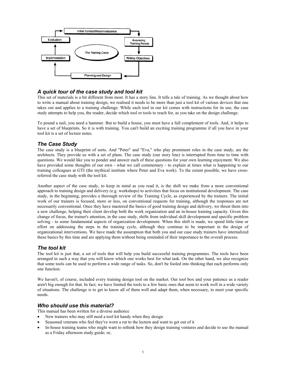

### *A quick tour of the case study and tool kit*

This set of materials is a bit different from most. It has a story line. It tells a tale of training. As we thought about how to write a manual about training design, we realised it needs to be more than just a tool kit of various devices that one takes out and applies to a training challenge. While each tool in our kit comes with instructions for its use, the case study attempts to help you, the reader, decide which tool or tools to reach for, as you take on the design challenge.

To pound a nail, you need a hammer. But to build a house, you must have a full complement of tools. And, it helps to have a set of blueprints. So it is with training. You can't build an exciting training programme if all you have in your tool kit is a set of lecture notes.

### *The Case Study*

The case study is a blueprint of sorts. And "Peter" and "Eva," who play prominent roles in the case study, are the architects. They provide us with a set of plans. The case study (our story line) is interrupted from time to time with questions. We would like you to ponder and answer each of these questions for your own learning enjoyment. We also have provided some thoughts of our own - what we call commentary - to explain at times what is happening to our training colleagues at GTI (the mythical institute where Peter and Eva work). To the extent possible, we have crossreferred the case study with the tool kit.

Another aspect of the case study, to keep in mind as you read it, is the shift we make from a more conventional approach to training design and delivery (e.g. workshops) to activities that focus on institutional development. The case study, in the beginning, provides a thorough review of the Training Cycle, as experienced by the trainers. The initial work of our trainers is focused, more or less, on conventional requests for training, although the responses are not necessarily conventional. Once they have mastered the basics of good training design and delivery, we thrust them into a new challenge, helping their client develop both the work organization and an in-house training capacity. Given this change of focus, the trainer's attention, in the case study, shifts from individual skill development and specific problem solving - to some fundamental aspects of organization development. When this shift is made, we spend little time or effort on addressing the steps in the training cycle, although they continue to be important in the design of organizational interventions. We have made the assumption that both you and our case study trainers have internalized these basics by this time and are applying them without being reminded of their importance to the overall process.

#### *The tool kit*

The tool kit is just that, a set of tools that will help you build successful training programmes. The tools have been arranged in such a way that you will know which one works best for what task. On the other hand, we also recognize that some tools can be used to perform a wide range of tasks. So, don't be fooled into thinking that each performs only one function.

We haven't, of course, included every training design tool on the market. Our tool box and your patience as a reader aren't big enough for that. In fact, we have limited the tools to a few basic ones that seem to work well in a wide variety of situations. The challenge is to get to know all of them well and adapt them, when necessary, to meet your specific needs.

#### *Who should use this material?*

This manual has been written for a diverse audience

- New trainers who may still need a tool kit handy when they design
- Seasoned veterans who feel they've worn a rut to the lectern and want to get out of it
- In-house training teams who might want to rethink how they design training ventures and decide to use the manual as a Friday afternoon study guide; or,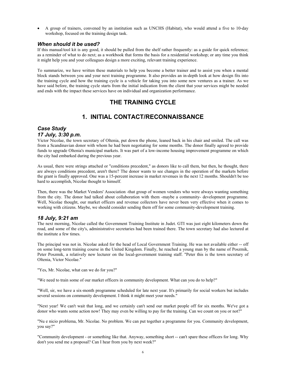• A group of trainers, convened by an institution such as UNCHS (Habitat), who would attend a five to 10-day workshop, focused on the training design task.

### *When should it be used?*

If this manual/tool kit is any good, it should be pulled from the shelf rather frequently: as a guide for quick reference; as a reminder of what to do next; as a workbook that forms the basis for a residential workshop; or any time you think it might help you and your colleagues design a more exciting, relevant training experience.

To summarize, we have written these materials to help you become a better trainer and to assist you when a mental block stands between you and your next training programme. It also provides an in-depth look at how design fits into the training cycle and how the training cycle is a vehicle for taking you into some new ventures as a trainer. As we have said before, the training cycle starts from the initial indication from the client that your services might be needed and ends with the impact these services have on individual and organization performance.

# **THE TRAINING CYCLE**

# **1. INITIAL CONTACT/RECONNAISSANCE**

### *Case Study 17 July, 3:30 p.m.*

Victor Nicolae, the town secretary of Oltenia, put down the phone, leaned back in his chair and smiled. The call was from a Scandinavian donor with whom he had been negotiating for some months. The donor finally agreed to provide funds to upgrade Oltenia's municipal markets. It was part of a low-income housing improvement programme on which the city had embarked during the previous year.

As usual, there were strings attached or "conditions precedent," as donors like to call them, but then, he thought, there are always conditions precedent, aren't there? The donor wants to see changes in the operation of the markets before the grant is finally approved. One was a 15-percent increase in market revenues in the next 12 months. Shouldn't be too hard to accomplish, Nicolae thought to himself.

Then, there was the Market Vendors' Association -that group of women vendors who were always wanting something from the city. The donor had talked about collaboration with them -maybe a community- development programme. Well, Nicolae thought, our market officers and revenue collectors have never been very effective when it comes to working with citizens. Maybe, we should consider sending them off for some community-development training.

### *18 July, 9:21 am*

The next morning, Nicolae called the Government Training Institute in Judet. GTI was just eight kilometers down the road, and some of the city's, administrative secretaries had been trained there. The town secretary had also lectured at the institute a few times.

The principal was not in. Nicolae asked for the head of Local Government Training. He was not available either -- off on some long-term training course in the United Kingdom. Finally, he reached a young man by the name of Poszmik, Peter Poszmik, a relatively new lecturer on the local-government training staff. "Peter this is the town secretary of Oltenia, Victor Nicolae."

"Yes, Mr. Nicolae, what can we do for you?"

"We need to train some of our market officers in community development. What can you do to help?"

"Well, sir, we have a six-month programme scheduled for late next year. It's primarily for social workers but includes several sessions on community development. I think it might meet your needs."

"Next year! We can't wait that long, and we certainly can't send our market people off for six months. We've got a donor who wants some action now! They may even be willing to pay for the training. Can we count on you or not?"

"Nu e nicio problema, Mr. Nicolae. No problem. We can put together a programme for you. Community development, you say?"

"Community development - or something like that. Anyway, something short -- can't spare these officers for long. Why don't you send me a proposal? Can I hear from you by next week?"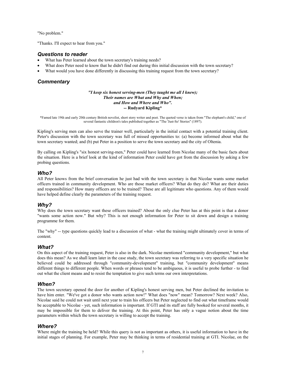"No problem."

"Thanks. I'll expect to hear from you."

#### *Questions to reader*

- What has Peter learned about the town secretary's training needs?
- What does Peter need to know that he didn't find out during this initial discussion with the town secretary?
- What would you have done differently in discussing this training request from the town secretary?

### *Commentary*

#### *"I keep six honest serving-men (They taught me all I knew); Their names are What and Why and When; and How and Where and Who".*  **-- Rudyard Kipling\***

\*Famed late 19th and early 20th century British novelist, short story writer and poet. The quoted verse is taken from "The elephant's child," one of several fantastic children's tales published together as "The 'Just-So' Stories" (1897).

Kipling's serving men can also serve the trainer well, particularly in the initial contact with a potential training client. Peter's discussion with the town secretary was full of missed opportunities to: (a) become informed about what the town secretary wanted; and (b) put Peter in a position to serve the town secretary and the city of Oltenia.

By calling on Kipling's "six honest serving-men," Peter could have learned from Nicolae many of the basic facts about the situation. Here is a brief look at the kind of information Peter could have got from the discussion by asking a few probing questions.

#### *Who?*

All Peter knows from the brief conversation he just had with the town secretary is that Nicolae wants some market officers trained in community development. Who are those market officers? What do they do? What are their duties and responsibilities? How many officers are to be trained? These are all legitimate who questions. Any of them would have helped define clearly the parameters of the training request.

#### *Why?*

Why does the town secretary want these officers trained? About the only clue Peter has at this point is that a donor "wants some action now." But why? This is not enough information for Peter to sit down and design a training programme for them.

The "why" -- type questions quickly lead to a discussion of what - what the training might ultimately cover in terms of content.

#### *What?*

On this aspect of the training request, Peter is also in the dark. Nicolae mentioned "community development," but what does this mean? As we shall learn later in the case study, the town secretary was referring to a very specific situation he believed could be addressed through "community-development" training, but "community development" means different things to different people. When words or phrases tend to be ambiguous, it is useful to probe further - to find out what the client means and to resist the temptation to give such terms our own interpretations.

#### *When?*

The town secretary opened the door for another of Kipling's honest serving men, but Peter declined the invitation to have him enter. "We've got a donor who wants action now!" What does "now" mean? Tomorrow? Next week? Also, Nicolae said he could not wait until next year to train his officers but Peter neglected to find out what timeframe would be acceptable to Nicolae - yet, such information is important. If GTI and its staff are fully booked for several months, it may be impossible for them to deliver the training. At this point, Peter has only a vague notion about the time parameters within which the town secretary is willing to accept the training.

### *Where?*

Where might the training be held? While this query is not as important as others, it is useful information to have in the initial stages of planning. For example, Peter may be thinking in terms of residential training at GTI. Nicolae, on the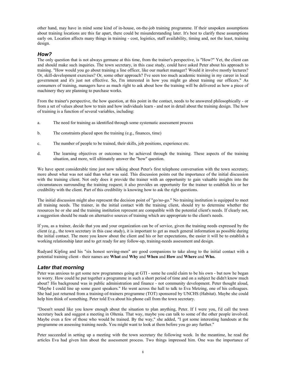other hand, may have in mind some kind of in-house, on-the-job training programme. If their unspoken assumptions about training locations are this far apart, there could be misunderstanding later. It's best to clarify these assumptions early on. Location affects many things in training - cost, logistics, staff availability, timing and, not the least, training design.

#### *How?*

The only question that is not always germane at this time, from the trainer's perspective, is "How?" Yet, the client can and should make such inquiries. The town secretary, in this case study, could have asked Peter about his approach to training. "How would you go about training a line officer, like our market manager? Would it involve mostly lectures? Or, skill-development exercises? Or, some other approach? I've seen too much academic training in my career in local government and it's just not effective. So, I'm interested in how you might go about training our officers." As consumers of training, managers have as much right to ask about how the training will be delivered as how a piece of machinery they are planning to purchase works.

From the trainer's perspective, the how question, at this point in the contact, needs to be answered philosophically - or from a set of values about how to train and how individuals learn - and not in detail about the training design. The how of training is a function of several variables, including:

- a. The need for training as identified through some systematic assessment process
- b. The constraints placed upon the training (e.g., finances, time)
- c. The number of people to be trained, their skills, job positions, experience etc.
- d. The learning objectives or outcomes to be achieved through the training. These aspects of the training situation, and more, will ultimately answer the "how" question.

We have spent considerable time just now talking about Peter's first telephone conversation with the town secretary, more about what was not said than what was said. This discussion points out the importance of the initial discussion with the training client. Not only does it provide the trainer with an opportunity to gain valuable insights into the circumstances surrounding the training request; it also provides an opportunity for the trainer to establish his or her credibility with the client. Part of this credibility is knowing how to ask the right questions.

The initial discussion might also represent the decision point of "go/no-go." No training institution is equipped to meet all training needs. The trainer, in the initial contact with the training client, should try to determine whether the resources he or she and the training institution represent are compatible with the potential client's needs. If clearly not, a suggestion should be made on alternative sources of training which are appropriate to the client's needs.

If you, as a trainer, decide that you and your organization can be of service, given the training needs expressed by the client (e.g., the town secretary in this case study), it is important to get as much general information as possible during the initial contact. The more you know about the client and his or her expectations, the easier it will be to establish a working relationship later and to get ready for any follow-up, training-needs assessment and design.

Rudyard Kipling and his "six honest serving-men" are good companions to take along to the initial contact with a potential training client - their names are **What** and **Why** and **When** and **How** and **Where** and **Who.**

#### *Later that morning*

Peter was anxious to get some new programmes going at GTI - some he could claim to be his own - but now he began to worry. How could he put together a programme in such a short period of time and on a subject he didn't know much about? His background was in public administration and finance - not community development. Peter thought aloud, "Maybe I could line up some guest speakers." He went across the hall to talk to Eva Metzing, one of his colleagues. She had just returned from a training-of-trainers programme (TOT) sponsored by UNCHS (Habitat). Maybe she could help him think of something. Peter told Eva about his phone call from the town secretary.

"Doesn't sound like you know enough about the situation to plan anything, Peter. If I were you, I'd call the town secretary back and suggest a meeting in Oltenia. That way, maybe you can talk to some of the other people involved. Maybe even a few of those who would be trained. By the way," she added, "I got some interesting handouts at the programme on assessing training needs. You might want to look at them before you go any further."

Peter succeeded in setting up a meeting with the town secretary the following week. In the meantime, he read the articles Eva had given him about the assessment process. Two things impressed him. One was the importance of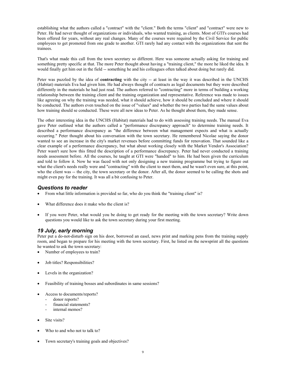establishing what the authors called a "contract" with the "client." Both the terms "client" and "contract" were new to Peter. He had never thought of organizations or individuals, who wanted training, as clients. Most of GTI's courses had been offered for years, without any real changes. Many of the courses were required by the Civil Service for public employees to get promoted from one grade to another. GTI rarely had any contact with the organizations that sent the trainees.

That's what made this call from the town secretary so different. Here was someone actually asking for training and something pretty specific at that. The more Peter thought about having a "training client," the more he liked the idea. It would finally get him out in the field -- something he and his colleagues often talked about doing but rarely did.

Peter was puzzled by the idea of **contracting** with the city -- at least in the way it was described in the UNCHS (Habitat) materials Eva had given him. He had always thought of contracts as legal documents but they were described differently in the materials he had just read. The authors referred to "contracting" more in terms of building a working relationship between the training client and the training organization and representative. Reference was made to issues like agreeing on why the training was needed, what it should achieve, how it should be concluded and where it should be conducted. The authors even touched on the issue of "values" and whether the two parties had the same values about how training should se conducted. These were all new ideas to Peter. As he thought about them, they made sense.

The other interesting idea in the UNCHS (Habitat) materials had to do with assessing training needs. The manual Eva gave Peter outlined what the authors called a "performance discrepancy approach" to determine training needs. It described a performance discrepancy as "the difference between what management expects and what is actually occurring." Peter thought about his conversation with the town secretary. He remembered Nicolae saying the donor wanted to see an increase in the city's market revenues before committing funds for renovation. That sounded like a clear example of a performance discrepancy, but what about working closely with the Market Vendor's Association? Peter wasn't sure how this fitted the description of a performance discrepancy. Peter had never conducted a training needs assessment before. All the courses, he taught at GTI were "handed" to him. He had been given the curriculum and told to follow it. Now he was faced with not only designing a new training programme but trying to figure out what the client's needs really were and "contracting" with the client to meet them, and he wasn't even sure, at this point, who the client was -- the city, the town secretary or the donor. After all, the donor seemed to be calling the shots and might even pay for the training. It was all a bit confusing to Peter.

### *Questions to reader*

- From what little information is provided so far, who do you think the "training client" is?
- What difference does it make who the client is?
- If you were Peter, what would you be doing to get ready for the meeting with the town secretary? Write down questions you would like to ask the town secretary during your first meeting.

#### *19 July, early morning*

Peter put a do-not-disturb sign on his door, borrowed an easel, news print and marking pens from the training supply room, and began to prepare for his meeting with the town secretary. First, he listed on the newsprint all the questions he wanted to ask the town secretary:

- Number of employees to train?
- Job titles? Responsibilities?
- Levels in the organization?
- Feasibility of training bosses and subordinates in same sessions?
- Access to documents/reports?
	- donor reports?
	- financial statements?
	- internal memos?
- Site visits?
- Who to and who not to talk to?
- Town secretary's training goals and objectives?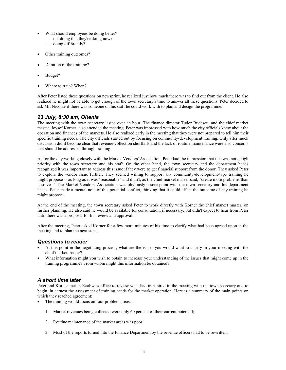- What should employees be doing better?
	- not doing that they're doing now?
	- doing diff6rently?
- Other training outcomes?
- Duration of the training?
- Budget?
- Where to train? When?

After Peter listed these questions on newsprint, he realized just how much there was to find out from the client. He also realized he might not be able to get enough of the town secretary's time to answer all these questions. Peter decided to ask Mr. Nicolae if there was someone on his staff he could work with to plan and design the programme.

### *23 July, 8:30 am, Oltenia*

The meeting with the town secretary lasted over an hour. The finance director Tudor Budescu, and the chief market master, Joysef Korner, also attended the meeting. Peter was impressed with how much the city officials knew about the operation and finances of the markets. He also realized early in the meeting that they were not prepared to tell him their specific training needs. The city officials started out by focusing on community-development training. Only after much discussion did it become clear that revenue-collection shortfalls and the lack of routine maintenance were also concerns that should be addressed through training.

As for the city working closely with the Market Vendors' Association, Peter had the impression that this was not a high priority with the town secretary and his staff. On the other hand, the town secretary and the department heads recognized it was important to address this issue if they were to get financial support from the donor. They asked Peter to explore the vendor issue further. They seemed willing to support any community-development-type training he might propose -- as long as it was "reasonable" and didn't, as the chief market master said, "create more problems than it solves." The Market Vendors' Association was obviously a sore point with the town secretary and his department heads. Peter made a mental note of this potential conflict, thinking that it could affect the outcome of any training he might propose.

At the end of the meeting, the town secretary asked Peter to work directly with Korner the chief market master, on further planning. He also said he would be available for consultation, if necessary, but didn't expect to hear from Peter until there was a proposal for his review and approval.

After the meeting, Peter asked Korner for a few more minutes of his time to clarify what had been agreed upon in the meeting and to plan the next steps.

### *Questions to reader*

- At this point in the negotiating process, what are the issues you would want to clarify in your meeting with the chief market master?
- What information might you wish to obtain to increase your understanding of the issues that might come up in the training programme? From whom might this information be obtained?

### *A short time later*

Peter and Korner met in Kaabwe's office to review what had transpired in the meeting with the town secretary and to begin, in earnest the assessment of training needs for the market operation. Here is a summary of the main points on which they reached agreement:

- The training would focus on four problem areas:
	- 1. Market revenues being collected were only 60 percent of their current potential;
	- 2. Routine maintenance of the market areas was poor;
	- 3. Most of the reports turned into the Finance Department by the revenue officers had to be rewritten;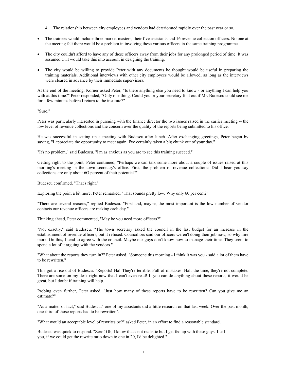- 4. The relationship between city employees and vendors had deteriorated rapidly over the past year or so.
- The trainees would include three market masters, their five assistants and 16 revenue collection officers. No one at the meeting felt there would be a problem in involving these various officers in the same training programme.
- The city couldn't afford to have any of these officers away from their jobs for any prolonged period of time. It was assumed GTI would take this into account in designing the training.
- The city would be willing to provide Peter with any documents he thought would be useful in preparing the training materials. Additional interviews with other city employees would be allowed, as long as the interviews were cleared in advance by their immediate supervisors.

At the end of the meeting, Korner asked Peter, "Is there anything else you need to know - or anything I can help you with at this time?" Peter responded, "Only one thing. Could you or your secretary find out if Mr. Budescu could see me for a few minutes before I return to the institute?"

"Sure."

Peter was particularly interested in pursuing with the finance director the two issues raised in the earlier meeting -- the low level of revenue collections and the concern over the quality of the reports being submitted to his office.

He was successful in setting up a meeting with Budescu after lunch. After exchanging greetings, Peter began by saying, "I appreciate the opportunity to meet again. I've certainly taken a big chunk out of your day."

"It's no problem," said Budescu, "I'm as anxious as you are to see this training succeed."

Getting right to the point, Peter continued, "Perhaps we can talk some more about a couple of issues raised at this morning's meeting in the town secretary's office. First, the problem of revenue collections: Did I hear you say collections are only about 6O percent of their potential?"

Budescu confirmed, "That's right."

Exploring the point a bit more, Peter remarked, "That sounds pretty low. Why only 60 per cent?"

"There are several reasons," replied Budescu. "First and, maybe, the most important is the low number of vendor contacts our revenue officers are making each day."

Thinking ahead, Peter commented, "May be you need more officers?"

"Not exactly," said Budescu. "The town secretary asked the council in the last budget for an increase in the establishment of revenue officers, but it refused. Councillors said our officers weren't doing their job now, so why hire more. On this, I tend to agree with the council. Maybe our guys don't know how to manage their time. They seem to spend a lot of it arguing with the vendors."

"What about the reports they turn in?" Peter asked. "Someone this morning - I think it was you - said a lot of them have to be rewritten."

This got a rise out of Budescu. "Reports! Ha! They're terrible. Full of mistakes. Half the time, they're not complete. There are some on my desk right now that I can't even read! If you can do anything about these reports, it would be great, but I doubt if training will help.

Probing even further, Peter asked, "Just how many of these reports have to be rewritten? Can you give me an estimate?"

"As a matter of fact," said Budescu," one of my assistants did a little research on that last week. Over the past month, one-third of those reports had to be rewritten".

"What would an acceptable level of rewrites be?" asked Peter, in an effort to find a reasonable standard.

Budescu was quick to respond. "Zero! Oh, I know that's not realistic but I get fed up with these guys. I tell you, if we could get the rewrite ratio down to one in 20, I'd be delighted."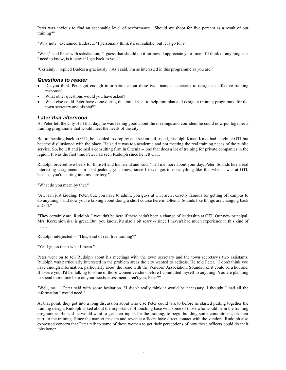Peter was anxious to find an acceptable level of performance. "Should we shoot for five percent as a result of our training?"

"Why not?" exclaimed Budescu. "I personally think it's unrealistic, but let's go for it."

"Well," said Peter with satisfaction, "I guess that should do it for now. I appreciate your time. If I think of anything else I need to know, is it okay if I get back to you?"

"Certainly," replied Budescu graciously. "As I said, I'm as interested in this programme as you are."

### *Questions to reader*

- Do you think Peter got enough information about these two financial concerns to design an effective training response?
- What other questions would you have asked?
- What else could Peter have done during this initial visit to help him plan and design a training programme for the town secretary and his staff?

### *Later that afternoon*

As Peter left the City Hall that day, he was feeling good about the meetings and confident he could now put together a training programme that would meet the needs of the city.

Before heading back to GTI, he decided to drop by and see an old friend, Rudolph Kmet. Kmet had taught at GTI but became disillusioned with the place. He said it was too academic and not meeting the real training needs of the public service. So, he left and joined a consulting firm in Oltenia -- one that does a lot of training for private companies in the region. It was the first time Peter had seen Rudolph since he left GTI.

Rudolph ordered two beers for himself and his friend and said, "Tell me more about your day, Peter. Sounds like a real interesting assignment. I'm a bit jealous, you know, since I never got to do anything like this when I was at GTI, besides, you're cutting into my territory."

"What do you mean by that?"

"Aw, I'm just kidding, Peter. but, you have to admit, you guys at GTI aren't exactly famous for getting off campus to do anything - and now you're talking about doing a short course here in Oltenia. Sounds like things are changing back at GTI."

"They certainly are, Rudolph. I wouldn't be here if there hadn't been a change of leadership at GTI. Our new principal, Mrs. Korzeniowska, is great. But, you know, it's also a bit scary -- since I haven't had much experience in this kind of .…….. "

Rudolph interjected -- "This, kind of real live training?"

"Ya, I guess that's what I mean."

Peter went on to tell Rudolph about his meetings with the town secretary and the town secretary's two assistants. Rudolph was particularly interested in the problem areas the city wanted to address. He told Peter, "I don't think you have enough information, particularly about the issue with the Vendors' Association. Sounds like it could be a hot one. If I were you, I'd be, talking to some of those women vendors before I committed myself to anything. You are planning to spend more time here on your needs assessment, aren't you, Peter?"

"Well, no...." Peter said with some hesitation. "I didn't really think it would be necessary. I thought I had all the information I would need."

At that point, they got into a long discussion about who else Peter could talk to before he started putting together the training design. Rudolph talked about the importance of touching base with some of those who would be in the training programme. He said he would want to get their inputs for the training, to begin building some commitment, on their part, to the training. Since the market masters and revenue officers have direct contact with the vendors, Rudolph also expressed concern that Peter talk to some of these women to get their perceptions of how these officers could do their jobs better.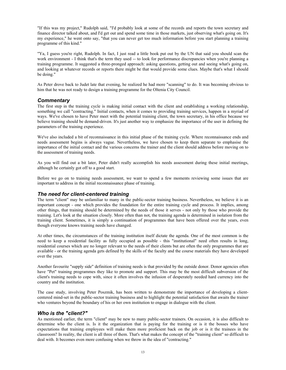"If this was my project," Rudolph said, "I'd probably look at some of the records and reports the town secretary and finance director talked about, and I'd get out and spend some time in those markets, just observing what's going on. It's my experience," he went onto say, "that you can never get too much information before you start planning a training programme of this kind."

"Ya, I guess you're right, Rudolph. In fact, I just read a little book put out by the UN that said you should scan the work environment - I think that's the term they used -- to look for performance discrepancies when you're planning a training programme. It suggested a three-pronged approach: asking questions, getting out and seeing what's going on, and looking at whatever records or reports there might be that would provide some clues. Maybe that's what I should be doing."

As Peter drove back to Judet late that evening, he realized he had more "scanning" to do. It was becoming obvious to him that he was not ready to design a training programme for the Oltenia City Council.

### *Commentary*

The first step in the training cycle is making initial contact with the client and establishing a working relationship, something we call "contracting." Initial contacts, when it comes to providing training services, happen in a myriad of ways. We've chosen to have Peter meet with the potential training client, the town secretary, in his office because we believe training should be demand-driven. It's just another way to emphasize the importance of the user in defining the parameters of the training experience.

We've also included a bit of reconnaissance in this initial phase of the training cycle. Where reconnaissance ends and needs assessment begins is always vague. Nevertheless, we have chosen to keep them separate to emphasise the importance of the initial contact and the various concerns the trainer and the client should address before moving on to the assessment of training needs.

As you will find out a bit later, Peter didn't really accomplish his needs assessment during these initial meetings, although he certainly got off to a good start.

Before we go on to training needs assessment, we want to spend a few moments reviewing some issues that are important to address in the initial reconnaissance phase of training.

### *The need for client-centered training*

The term "client" may be unfamiliar to many in the public-sector training business. Nevertheless, we believe it is an important concept - one which provides the foundation for the entire training cycle and process. It implies, among other things, that training should be determined by the needs of those it serves - not only by those who provide the training. Let's look at the situation closely. More often than not, the training agenda is determined in isolation from the training client. Sometimes, it is simply a continuation of programmes that have been offered over the years, even though everyone knows training needs have changed.

At other times, the circumstances of the training institution itself dictate the agenda. One of the most common is the need to keep a residential facility as fully occupied as possible - this "institutional" need often results in long, residential courses which are no longer relevant to the needs of their clients but are often the only programmes that are available - or the training agenda gets defined by the skills of the faculty and the course materials they have developed over the years.

Another favourite "supply side" definition of training needs is that provided by the outside donor. Donor agencies often have "Pet" training programmes they like to promote and support. This may be the most difficult subversion of the client's training needs to cope with, since it often involves the infusion of desperately needed hard currency into the country and the institution.

The case study, involving Peter Poszmik, has been written to demonstrate the importance of developing a clientcentered mind-set in the public-sector training business and to highlight the potential satisfaction that awaits the trainer who ventures beyond the boundary of his or her own institution to engage in dialogue with the client.

### *Who is the "client?"*

As mentioned earlier, the term "client" may be new to many public-sector trainers. On occasion, it is also difficult to determine who the client is. Is it the organization that is paying for the training or is it the bosses who have expectations that training employees will make them more proficient back on the job or is it the trainees in the classroom? In reality, the client is all three of them. That's what makes the concept of the "training client" so difficult to deal with. It becomes even more confusing when we throw in the idea of "contracting."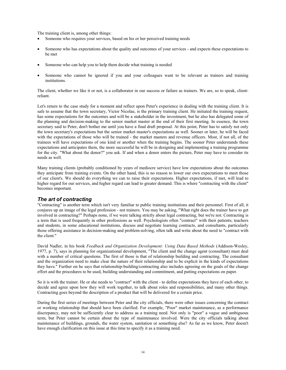The training client is, among other things:

- Someone who requires your services, based on his or her perceived training needs
- Someone who has expectations about the quality and outcomes of your services and expects these expectations to be met
- Someone who can help you to help them decide what training is needed
- Someone who cannot be ignored if you and your colleagues want to be relevant as trainers and training institutions.

The client, whether we like it or not, is a collaborator in our success or failure as trainers. We are, so to speak, clientreliant.

Let's return to the case study for a moment and reflect upon Peter's experience in dealing with the training client. It is safe to assume that the town secretary, Victor Nicolae, is the primary training client. He initiated the training request, has some expectations for the outcomes and will be a stakeholder in the investment, but he also has delegated some of the planning and decision-making to the senior market master at the end of their first meeting. In essence, the town secretary said to Peter, don't bother me until you have a final draft proposal. At this point, Peter has to satisfy not only the town secretary's expectations but the senior market master's expectations as well. Sooner or later, he will be faced with the expectations of those who will be trained - the market masters and revenue officers. Most, if not all, of the trainees will have expectations of one kind or another when the training begins. The sooner Peter understands these expectations and anticipates them, the more successful he will be in designing and implementing a training programme for the city. "What about the donor?" you ask. If and when a donor enters the picture, Peter may have to consider its needs as well.

Many training clients (probably conditioned by years of mediocre service) have low expectations about the outcomes they anticipate from training events. On the other hand, this is no reason to lower our own expectations to meet those of our client's. We should do everything we can to raise their expectations. Higher expectations, if met, will lead to higher regard for our services, and higher regard can lead to greater demand. This is where "contracting with the client" becomes important.

### *The art of contracting*

"Contracting" is another term which isn't very familiar to public training institutions and their personnel. First of all, it conjures up an image of the legal profession - not trainers. You may be asking, "What right does the trainer have to get involved in contracting?" Perhaps none, if we were talking strictly about legal contracting, but we're not. Contracting is a term that is used frequently in other professions as well. Psychologists often "contract" with their patients; teachers and students, in some educational institutions, discuss and negotiate learning contracts, and consultants, particularly those offering assistance in decision-making and problem-solving, often talk and write about the need to "contract with the client."

David Nadler, in his book *Feedback and Organization Development: Using Data Based Methods* (Addison-Wesley, 1977, p. 7), says in planning for organizational development, "The client and the change agent (consultant) must deal with a number of critical questions. The first of those is that of relationship building and contracting. The consultant and the organization need to make clear the nature of their relationship and to be explicit in the kinds of expectations they have." Further on he says that relationship-building/contracting also includes agreeing on the goals of the change effort and the procedures to be used, building understanding and commitment, and putting expectations on paper.

So it is with the trainer. He or she needs to "contract" with the client - to define expectations they have of each other, to decide and agree upon how they will work together, to talk about roles and responsibilities, and many other things. Contracting goes beyond the description of a product that will be delivered for a certain price.

During the first series of meetings between Peter and the city officials, there were other issues concerning the contract or working relationship that should have been clarified. For example, "Poor" market maintenance, as a performance discrepancy, may not be sufficiently clear to address as a training need. Not only is "poor" a vague and ambiguous term, but Peter cannot be certain about the type of maintenance involved. Were the city officials talking about maintenance of buildings, grounds, the water system, sanitation or something else? As far as we know, Peter doesn't have enough clarification on this issue at this time to specify it as a training need.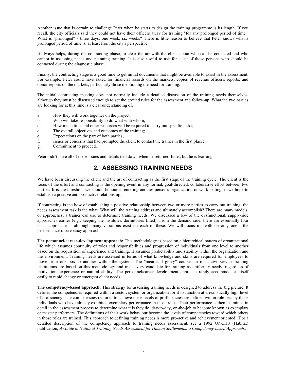Another issue that is certain to challenge Peter when he starts to design the training programme is its length. If you recall, the city officials said they could not have their officers away for training "for any prolonged period of time." What is "prolonged" - three days, one week, six weeks? There is little reason to believe that Peter knows what a prolonged period of time is, at least from the city's perspective.

It always helps, during the contracting phase, to clear the air with the client about who can be contacted and who cannot in assessing needs and planning training. It is also useful to ask for a list of those persons who should be contacted during the diagnostic phase.

Finally, the contracting stage is a good time to get initial documents that might be available to assist in the assessment. For example, Peter could have asked for financial records on the markets; copies of revenue officer's reports; and donor reports on the markets, particularly those mentioning the need for training.

The initial contracting meeting does not normally include a detailed discussion of the training needs themselves, although they must be discussed enough to set the ground rules for the assessment and follow-up. What the two parties are looking for at this time is a clear understanding of.

- a. How they will work together on the project;
- b. Who will take responsibility to do what with whom;
- c. How much time and other resources will be required to carry out specific tasks;
- d. The overall objectives and outcomes of the training;
- e. Expectations on the part of both parties;
- f. issues or concerns that had prompted the client to contact the trainer in the first place;
- g. Commitment to proceed.

Peter didn't have all of these issues and details tied down when he returned Judet, but he is learning.

# **2. ASSESSING TRAINING NEEDS**

We have been discussing the client and the art of contracting as the first stage of the training cycle. The client is the focus of the effort and contracting is the opening event in any formal, goal-directed, collaborative effort between two parties. It is the threshold we should honour in entering another person's organization or work setting, if we hope to establish a positive and productive relationship.

If contracting is the how of establishing a positive relationship between two or more parties to carry out training, the needs assessment task is the what. What will the training address and ultimately accomplish? There are many models, or approaches, a trainer can use to determine training needs. We discussed a few of the dysfunctional, supply-side approaches earlier (e.g., keeping the institute's dormitories filled). From the demand side, there are essentially four basic approaches - although many variations exist on each of these. We will focus in depth on only one - the performance-discrepancy approach.

**The personnel/career-development approach:** This methodology is based on a hierarchical pattern of organizational life which assumes continuity of roles and responsibilities and progression of individuals from one level to another based on the acquisition of experience and training. It assumes predictability and stability within the organization and the environment. Training needs are assessed in terms of what knowledge and skills are required for employees to move from one box to another within the system. The "meat and gravy" courses in most civil-service training institutions are based on this methodology and treat every candidate for training as uniformly needy, regardless of motivation, experience or natural ability. The personnel/career-development approach rarely accommodates itself easily to rapid change or emergent client needs.

**The competency-based approach:** This strategy for assessing training needs is designed to address the big picture. It defines the competencies required within a sector, system or organization for it to function at a realistically high level of proficiency. The competencies required to achieve these levels of proficiencies are defined within role-sets by those individuals who have already exhibited exemplary performance in those roles. Their performance is then examined in detail in the assessment process to determine what it is they do, day-to-day, on-the-job to become known as exemplars or master performers. The definitions of their work behaviour become the levels of competencies toward which others in those roles are trained. This approach to defining training needs is more pro-active and achievement oriented. (For a detailed description of the competency approach to training needs assessment, see a 1992 UNCHS (Habitat) publication, *A Guide to National Training Needs Assessment for Human Settlements: a Competency-based Approach.)*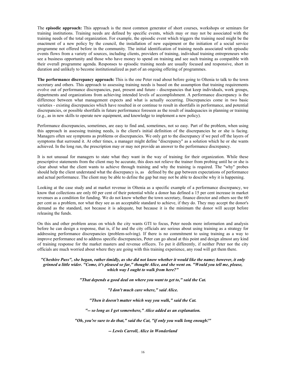The **episodic approach:** This approach is the most common generator of short courses, workshops or seminars for training institutions. Training needs are defined by specific events, which may or may not be associated with the training needs of the total organization. For example, the episodic event which triggers the training need might be the enactment of a new policy by the council, the installation of new equipment or the initiation of a social service programme not offered before in the community. The initial identification of training needs associated with episodic events flows from a variety of sources, including clients, providers of training, individual training entrepreneurs who see a business opportunity and those who have money to spend on training and see such training as compatible with their overall programme agenda. Responses to episodic training needs are usually focused and responsive, short in duration and unlikely to become institutionalized as part of an ongoing offering of programmes.

**The performance discrepancy approach:** This is the one Peter read about before going to Oltenia to talk to the town secretary and others. This approach to assessing training needs is based on the assumption that training requirements evolve out of performance discrepancies, past, present and future - discrepancies that keep individuals, work groups, departments and organizations from achieving intended levels of accomplishment. A performance discrepancy is the difference between what management expects and what is actually occurring. Discrepancies come in two basic varieties - existing discrepancies which have resulted in or continue to result in shortfalls in performance, and potential discrepancies, or possible shortfalls in future performance foreseen as the result of inadequacies in planning or training (e.g., as in new skills to operate new equipment, and knowledge to implement a new policy).

Performance discrepancies, sometimes, are easy to find and, sometimes, not so easy. Part of the problem, when using this approach in assessing training needs, is the client's initial definition of the discrepancies he or she is facing. Managers often see symptoms as problems or discrepancies. We only get to the discrepancy if we peel off the layers of symptoms that surround it. At other times, a manager might define "discrepancy" as a solution which he or she wants achieved. In the long run, the prescription may or may not provide an answer to the performance discrepancy.

It is not unusual for managers to state what they want in the way of training for their organization. While these prescriptive statements from the client may be accurate, this does not relieve the trainer from probing until he or she is clear about what the client wants to achieve through training and why the training is required. The "why" probes should help the client understand what the discrepancy is, as defined by the gap between expectations of performance and actual performance. The client may be able to define the gap but may not be able to describe why it is happening.

Looking at the case study and at market revenue in Oltenia as a specific example of a performance discrepancy, we know that collections are only 60 per cent of their potential while a donor has defined a 15 per cent increase in market revenues as a condition for funding. We do not know whether the town secretary, finance director and others see the 60 per cent as a problem, nor what they see as an acceptable standard to achieve, if they do. They may accept the donor's demand as the standard, not because it is adequate, but because it is the minimum the donor will accept before releasing the funds.

On this and other problem areas on which the city wants GTI to focus, Peter needs more information and analysis before he can design a response, that is, if he and the city officials are serious about using training as a strategy for addressing performance discrepancies (problem-solving). If there is no commitment to using training as a way to improve performance and to address specific discrepancies, Peter can go ahead at this point and design almost any kind of training response for the market masters and revenue officers. To put it differently, if neither Peter nor the city officials are much worried about where they are going with this training experience, any road will get them there.

#### *"Cheshire Puss", she began, rather timidly, as she did not know whether it would like the name; however, it only grinned a little wider. "Come, it's pleased so far," thought Alice, and she went on. "Would you tell me, please, which way I ought to walk from here?"*

*"That depends a good deal on where you want to get to," said the Cat.* 

*"I don't much care where," said Alice.* 

*"Then it doesn't matter which way you walk," said the Cat.*

*"-- so long as I get somewhere," Alice added as an explanation.* 

*"Oh, you're sure to do that," said the Cat, "if only you walk long enough!"* 

*-- Lewis Carroll, Alice in Wonderland*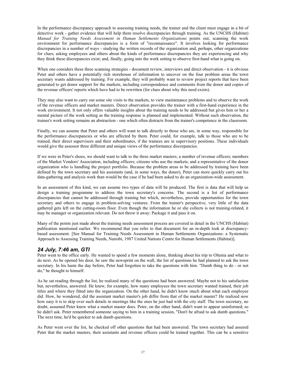In the performance discrepancy approach to assessing training needs, the trainer and the client must engage in a bit of detective work - gather evidence that will help them resolve discrepancies through training. As the UNCHS (Habitat) *Manual for Training Needs Assessment in Human Settlements Organizations* points out, scanning the work environment for performance discrepancies is a form of "reconnaissance". It involves looking for performance discrepancies in a number of ways - studying the written records of the organization and, perhaps, other organizations for clues; asking employees and others about the kinds of performance discrepancies they are experiencing and why they think these discrepancies exist; and, finally, going into the work setting to observe first-hand what is going on.

When one considers these three scanning strategies - document review, interviews and direct observation - it is obvious Peter and others have a potentially rich storehouse of information to uncover on the four problem areas the town secretary wants addressed by training. For example, they will probably want to review project reports that have been generated to get donor support for the markets, including correspondence and comments from the donor and copies of the revenue officers' reports which have had to be rewritten (for clues about why this need exists).

They may also want to carry out some site visits to the markets, to view maintenance problems and to observe the work of the revenue officers and market masters. Direct observation provides the trainer with a first-hand experience in the work environment. It not only offers valuable insights about the training needs to be addressed but gives him or her a mental picture of the work setting as the training response is planned and implemented. Without such observation, the trainee's work setting remains an abstraction - one which often distracts from the trainer's competence in the classroom.

Finally, we can assume that Peter and others will want to talk directly to those who are, in some way, responsible for the performance discrepancies or who are affected by them. Peter could, for example, talk to those who are to be trained, their direct supervisors and their subordinates, if the trainees are in supervisory positions. These individuals would give the assessor three different and unique views of the performance discrepancies.

If we were in Peter's shoes, we should want to talk to the three market masters; a number of revenue officers; members of the Market Vendors' Association, including officers; citizens who use the markets; and a representative of the donor organization who is handling the project portfolio. Because the problem areas to be addressed by training have been defined by the town secretary and his assistants (and, in some ways, the donor), Peter can more quickly carry out his data-gathering and analysis work than would be the case if he had been asked to do an organization-wide assessment.

In an assessment of this kind, we can assume two types of data will be produced. The first is data that will help us design a training programme to address the town secretary's concerns. The second is a list of performance discrepancies that cannot be addressed through training but which, nevertheless, provide opportunities for the town secretary and others to engage in problem-solving ventures. From the trainer's perspective, very little of the data gathered gets left on the cutting-room floor. Even though the information he or she collects is not training-related, it may be manager or organization relevant. Do not throw it away: Package it and pass it on.

Many of the points just made about the training needs assessment process are covered in detail in the UNCHS (Habitat) publication mentioned earlier. We recommend that you refer to that document for an in-depth look at discrepancybased assessment. [See Manual for Training Needs Assessment in Human Settlements Organizations: a Systematic Approach to Assessing Training Needs, Nairobi, 1987 United Nations Centre for Human Settlements (Habitat)].

### *24 July, 7:46 am, GTI*

Peter went to the office early. He wanted to spend a few moments alone, thinking about his trip to Oltenia and what to do next. As he opened his door, he saw the newsprint on the wall, the list of questions he had planned to ask the town secretary. In his haste the day before, Peter had forgotten to take the questions with him. "Dumb thing to do - or not do," he thought to himself.

As he sat reading through the list, he realized many of the questions had been answered. Maybe not to his satisfaction but, nevertheless, answered. He knew, for example, how many employees the town secretary wanted trained, their job titles and where they fitted into the organization. On the other hand, he didn't know much about what each employee did. How, he wondered, did the assistant market master's job differ from that of the market master? He realized now how easy it is to skip over such details in meetings like the ones he just had with the city staff. The town secretary, no doubt, assumed Peter knew what a market master does. Peter, on the other hand, didn't want to appear uninformed; so he didn't ask. Peter remembered someone saying to him in a training session, "Don't be afraid to ask dumb questions." The next time, he'd be quicker to ask dumb questions.

As Peter went over the list, he checked off other questions that had been answered. The town secretary had assured Peter that the market masters, their assistants and revenue officers could be trained together. This can be a sensitive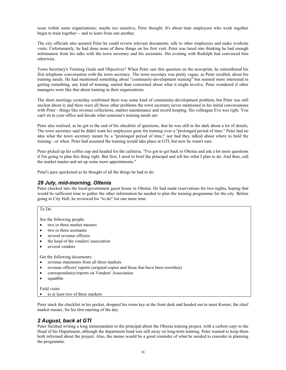issue within some organizations; maybe too sensitive, Peter thought. It's about time employees who work together begin to train together -- and to learn from one another.

The city officials also assured Peter he could review relevant documents, talk to other employees and make worksite visits. Unfortunately, he had done none of these things on his first visit. Peter was lured into thinking he had enough information from his talks with the town secretary and his assistants. His evening with Rudolph had convinced him otherwise.

Town Secretary's Training Goals and Objectives? When Peter saw this question on the newsprint, he remembered his first telephone conversation with the town secretary. The town secretary was pretty vague, as Peter recalled, about his training needs. He had mentioned something about "community-development training" but seemed more interested in getting something, any kind of training, started than concerned about what it might involve. Peter wondered if other managers were like that about training in their organizations.

The short meetings yesterday confirmed there was some kind of community-development problem, but Peter was still unclear about it, and there were all those other problems the town secretary never mentioned in his initial conversations with Peter - things like revenue collections, market maintenance and record keeping. His colleague Eva was right. You can't sit in your office and decide what someone's training needs are.

Peter also realized, as he got to the end of his checklist of questions, that he was still in the dark about a lot of details, The town secretary said he didn't want his employees gone for training over a "prolonged period of time." Peter had no idea what the town secretary meant by a "prolonged period of time," nor had they talked about where to hold the training - or when. Peter had assumed the training would take place at GTI, but now he wasn't sure.

Peter picked up his coffee cup and headed for the cafeteria. "I've got to get back to Oltenia and ask a lot more questions if I'm going to plan this thing right. But first, I need to brief the principal and tell her what I plan to do. And then, call the market master and set up some more appointments."

Peter's pace quickened as he thought of all the things he had to do.

### *29 July, mid-morning, Oltenia*

Peter checked into the local-government guest house in Oltenia. He had made reservations for two nights, hoping that would be sufficient time to gather the other information he needed to plan the training programme for the city. Before going to City Hall, he reviewed his "to do" list one more time.

#### To Do

See the following people:

- two or three market masters
- two or three assistants
- several revenue officers
- the head of the vendors' association
- several vendors

Get the following documents:

- revenue statements from all three markets
- revenue officers' reports (original copies and those that have been rewritten)
- correspondence/reports on Vendors' Association
- squabble

#### Field visits:

• to at least two of three markets

Peter stuck the checklist in his pocket, dropped his room key at the front desk and headed out to meet Korner, the chief market master, for his first meeting of the day.

### *2 August, back at GTI*

Peter finished writing a long memorandum to the principal about the Oltenia training project, with a carbon copy to the Head of his Department, although the department head was still away on long-term training. Peter wanted to keep them both informed about the project. Also, the memo would be a good reminder of what he needed to consider in planning the programme.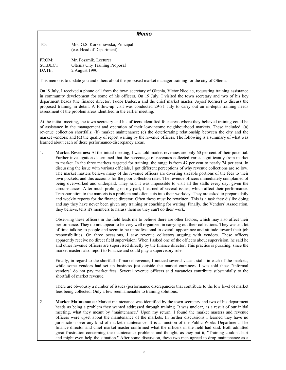| n<br>٩<br>×<br>۰, |
|-------------------|
|-------------------|

| TO:             | Mrs. G.S. Korzeniowska, Principal<br>(c.c. Head of Department) |
|-----------------|----------------------------------------------------------------|
| FROM:           | Mr. Poszmik, Lecturer                                          |
| <b>SUBJECT:</b> | Oltenia City Training Proposal                                 |
| DATE:           | 2 August 1990                                                  |

This memo is to update you and others about the proposed market manager training for the city of Oltenia.

On l8 July, I received a phone call from the town secretary of Oltenia, Victor Nicolae, requesting training assistance in community development for some of his officers. On 19 July, I visited the town secretary and two of his key department heads (the finance director, Tudor Budescu and the chief market master, Joysef Korner) to discuss the proposed training in detail. A follow-up visit was conducted 29-31 July to carry out an in-depth training needs assessment of the problem areas identified in the earlier meeting.

At the initial meeting, the town secretary and his officers identified four areas where they believed training could be of assistance in the management and operation of their low-income neighbourhood markets. These included: (a) revenue collection shortfalls; (b) market maintenance; (c) the deteriorating relationship between the city and the market vendors; and (d) the quality of report writing by the revenue officers. The following is a summary of what was learned about each of these performance-discrepancy areas.

1. **Market Revenues:** At the initial meeting, I was told market revenues are only 60 per cent of their potential. Further investigation determined that the percentage of revenues collected varies significantly from market to market. In the three markets targeted for training, the range is from 47 per cent to nearly 74 per cent. In discussing the issue with various officials, I got different perceptions of why revenue collections are so low. The market masters believe many of the revenue officers are diverting sizeable portions of the fees to their own pockets, and this accounts for the poor collection rates. The revenue officers immediately complained of being overworked and underpaid. They said it was impossible to visit all the stalls every day, given the circumstances. After much probing on my part, I learned of several issues, which affect their performance. Transportation to the markets is a problem and often cuts into their workday. They are asked to prepare daily and weekly reports for the finance director: Often these must be rewritten. This is a task they dislike doing and say they have never been given any training or coaching for writing. Finally, the Vendors' Association, they believe, tells it's members to harass them so they can't do their work.

Observing these officers in the field leads me to believe there are other factors, which may also affect their performance. They do not appear to be very well organized in carrying out their collections. They waste a lot of time talking to people and seem to be unprofessional in overall appearance and attitude toward their job responsibilities. On three occasions, I saw revenue collectors arguing with vendors. These officers apparently receive no direct field supervision: When I asked one of the officers about supervision, he said he and other revenue officers are supervised directly by the finance director. This practice is puzzling, since the market masters also report to Finance and could play a supervisory role.

Finally, in regard to the shortfall of market revenue, I noticed several vacant stalls in each of the markets, while some vendors had set up business just outside the market entrances. I was told these "informal vendors" do not pay market fees. Several revenue officers said vacancies contribute substantially to the shortfall of market revenue.

There are obviously a number of issues (performance discrepancies that contribute to the low level of market fees being collected. Only a few seem amenable to training solutions.

2. **Market Maintenance:** Market maintenance was identified by the town secretary and two of his department heads as being a problem they wanted addressed through training. It was unclear, as a result of our initial meeting, what they meant by "maintenance." Upon my return, I found the market masters and revenue officers were upset about the maintenance of the markets. In further discussions I learned they have no jurisdiction over any kind of market maintenance: It is a function of the Public Works Department. The finance director and chief market master confirmed what the officers in the field had said: Both admitted great frustration concerning the maintenance problems and thought, as they put it, "Training couldn't hurt and might even help the situation." After some discussion, these two men agreed to drop maintenance as a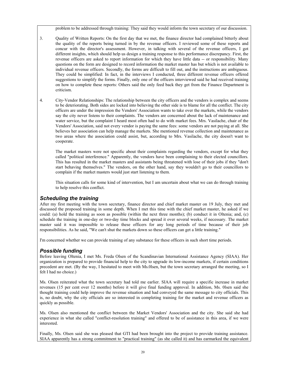problem to be addressed through training: They said they would inform the town secretary of our discussion.

- 3. Quality of Written Reports: On the first day that we met, the finance director had complained bitterly about the quality of the reports being turned in by the revenue officers. I reviewed some of these reports and concur with the director's assessment. However, in talking with several of the revenue officers, I got different insights, which should help us design a training response to this performance discrepancy. First, the revenue officers are asked to report information for which they have little data -- or responsibility. Many questions on the form are designed to record information the market master has but which is not available to individual revenue officers. Secondly, the forms are difficult to fill out, and the instructions are ambiguous. They could be simplified: In fact, in the interviews I conducted, three different revenue officers offered suggestions to simplify the forms. Finally, only one of the officers interviewed said he had received training on how to complete these reports: Others said the only feed back they get from the Finance Department is criticism.
- 4. City-Vendor Relationships: The relationship between the city officers and the vendors is complex and seems to be deteriorating. Both sides are locked into believing the other side is to blame for all the conflict. The city officers are under the impression the Vendors' Association wants to take over the markets, while the vendors say the city never listens to their complaints. The vendors are concerned about the lack of maintenance and water service, but the complaint I heard most often had to do with market fees. Mrs. Vasilache, chair of the Vendors' Association, said not every vendor is paying the same fees: some vendors are not paying at all. She believes her association can help manage the markets. She mentioned revenue collection and maintenance as two areas where the association could assist, but, according to Mrs. Vasilache, the city doesn't want to cooperate.

The market masters were not specific about their complaints regarding the vendors, except for what they called "political interference." Apparently, the vendors have been complaining to their elected councillors. This has resulted in the market masters and assistants being threatened with lose of their jobs if they "don't start behaving themselves." The vendors, on the other hand, say they wouldn't go to their councillors to complain if the market masters would just start listening to them.

This situation calls for some kind of intervention, but I am uncertain about what we can do through training to help resolve this conflict.

### *Scheduling the training*

After my first meeting with the town secretary, finance director and chief market master on 19 July, they met and discussed the proposed training in some depth. When I met this time with the chief market master, he asked if we could: (a) hold the training as soon as possible (within the next three months); (b) conduct it in Oltenia; and, (c) schedule the training in one-day or two-day time blocks and spread it over several weeks, if necessary. The market master said it was impossible to release these officers for any long periods of time because of their job responsibilities. As he said, "We can't shut the markets down so these officers can get a little training."

I'm concerned whether we can provide training of any substance for these officers in such short time periods.

### *Possible funding*

Before leaving Oltenia, I met Ms. Freda Olsen of the Scandinavian International Assistance Agency (SIAA). Her organization is prepared to provide financial help to the city to upgrade its low-income markets, if certain conditions precedent are met. (By the way, I hesitated to meet with Ms.0lsen, but the town secretary arranged the meeting, so I felt I had no choice.)

Ms. Olsen reiterated what the town secretary had told me earlier. SIAA will require a specific increase in market revenues (15 per cent over 12 months) before it will give final funding approval. In addition, Ms. 0lsen said she thought training could help improve the revenue situation and had conveyed the same message to city officials. This is, no doubt, why the city officials are so interested in completing training for the market and revenue officers as quickly as possible.

Ms. Olsen also mentioned the conflict between the Market Vendors' Association and the city. She said she had experience in what she called "conflict-resolution training" and offered to be of assistance in this area, if we were interested.

Finally, Ms. Olsen said she was pleased that GTI had been brought into the project to provide training assistance. SIAA apparently has a strong commitment to "practical training" (as she called it) and has earmarked the equivalent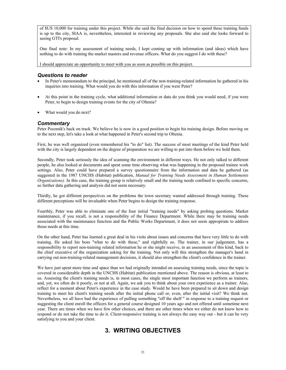of \$US 10,000 for training under this project. While she said the final decision on how to spend these training funds is up to the city, SIAA is, nevertheless, interested in reviewing any proposals. She also said she looks forward to seeing GTI's proposal.

One final note: In my assessment of training needs, I kept coming up with information (and ideas) which have nothing to do with training the market masters and revenue officers. What do you suggest I do with these?

I should appreciate an opportunity to meet with you as soon as possible on this project.

#### *Questions to reader*

- In Peter's memorandum to the principal, he mentioned all of the non-training-related information he gathered in his inquiries into training. What would you do with this information if you were Peter?
- At this point in the training cycle, what additional information or data do you think you would need, if you were Peter, to begin to design training events for the city of Oltenia?
- What would you do next?

#### *Commentary*

Peter Poszmik's back on track. We believe he is now in a good position to begin his training design. Before moving on to the next step, let's take a look at what happened in Peter's second trip to Oltenia.

First, he was well organized (even remembered his "to do" list). The success of most meetings of the kind Peter held with the city is largely dependent on the degree of preparation we are willing to put into them before we hold them.

Secondly, Peter took seriously the idea of scanning the environment in different ways. He not only talked to different people, he also looked at documents and spent some time observing what was happening in the proposed trainee work settings. Also, Peter could have prepared a survey questionnaire from the information and data he gathered (as suggested in the 1987 UNCHS (Habitat) publication, *Manual for Training Needs Assessment in Human Settlements Organizations).* In this case, the training group is relatively small and the training needs confined to specific concerns, so further data gathering and analysis did not seem necessary.

Thirdly, he got different perspectives on the problems the town secretary wanted addressed through training. These different perceptions will be invaluable when Peter begins to design the training response.

Fourthly, Peter was able to eliminate one of the four initial "training needs" by asking probing questions. Market maintenance, if you recall, is not a responsibility of the Finance Department. While there may be training needs associated with the maintenance function and the Public Works Department, it does not seem appropriate to address those needs at this time.

On the other hand, Peter has learned a great deal in his visits about issues and concerns that have very little to do with training. He asked his boss "what to do with these," and rightfully so. The trainer, in our judgement, has a responsibility to report non-training related information he or she might receive, in an assessment of this kind, back to the chief executive of the organization asking for the training. Not only will this strengthen the manager's hand in carrying out non-training-related management decisions, it should also strengthen the client's confidence in the trainer.

We have just spent more time and space than we had originally intended on assessing training needs, since the topic is covered in considerable depth in the UNCHS (Habitat) publication mentioned above. The reason is obvious, at least to us. Assessing the client's training needs is, in most cases, the single most important function we perform as trainers, and, yet, we often do it poorly, or not at all. Again, we ask you to think about your own experience as a trainer. Also, reflect for a moment about Peter's experience in the case study. Would he have been prepared to sit down and design training to meet his client's training needs after the initial phone call or, even, after the initial visit? We think not. Nevertheless, we all have had the experience of pulling something "off the shelf " in response to a training request or suggesting the client enroll the officers for a general course designed 10 years ago and not offered until sometime next year. There are times when we have few other choices, and there are other times when we either do not know how to respond or do not take the time to do it. Client-responsive training is not always the easy way out - but it can be very satisfying to you and your client.

# **3. WRITING OBJECTIVES**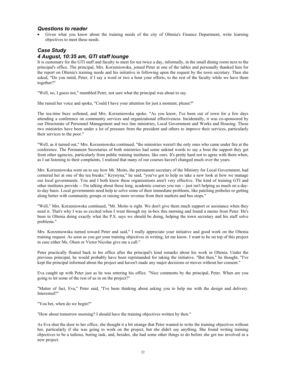### *Questions to reader*

• Given what you know about the training needs of the city of Oltenia's Finance Department, write learning objectives to meet these needs.

### *Case Study*

### *4 August, 10:35 am, GTI staff lounge*

It is customary for the GTI staff and faculty to meet for tea twice a day, informally, in the small dining room next to the principal's office. The principal, Mrs. Korzeniowska, joined Peter at one of the tables and personally thanked him for the report on Oltenia's training needs and his initiative in following upon the request by the town secretary. Then she asked, "Do you mind, Peter, if I say a word or two a bout your efforts, to the rest of the faculty while we have them together?"

"Well, no, I guess not," mumbled Peter, not sure what the principal was about to say.

She raised her voice and spoke, "Could I have your attention for just a moment, please?"

The tea-time buzz softened, and Mrs. Korzeniowska spoke. "As you know, I've been out of town for a few days attending a conference on community services and organizational effectiveness. Incidentally, it was co-sponsored by our Directorate of Personnel Management and two line ministries, Local Government and Works and Housing. These two ministries have been under a lot of pressure from the president and others to improve their services, particularly their services to the poor."

"Well, as it turned out," Mrs. Korzeniowska continued, "the ministries weren't the only ones who came under fire at the conference. The Permanent Secretaries of both ministries had some unkind words to say a bout the support they get from other agencies, particularly from public training institutes, like ours. It's pretty hard not to agree with them when, as I sat listening to their complaints, I realized that many of our courses haven't changed much over the years.

Mrs. Korzeniowska went on to say how Mr. Moito, the permanent secretary of the Ministry for Local Government, had cornered her at one of the tea breaks." Krystyna," he said, "you've got to help us take a new look at how we manage our local governments. You and I both know these organizations aren't very effective. The kind of training GTI and other institutes provide -- I'm talking about those long, academic courses you run -- just isn't helping us much on a dayto-day basis. Local governments need help to solve some of their immediate problems, like patching potholes or getting along better with community groups or raising more revenue from their markets and bus stops."

"Well," Mrs. Korzeniowska continued, "Mr. Moito is right. We don't give them much support or assistance when they need it. That's why I was so excited when I went through my in-box this morning and found a memo from Peter. He's been in Oltenia doing exactly what the P.S. says we should be doing, helping the town secretary and his staff solve problems."

Mrs. Korzeniowska turned toward Peter and said," I really appreciate your initiative and good work on the Oltenia training request. As soon as you get your training objectives in writing, let me know. I want to be on top of this project in case either Ms. Olsen or Victor Nicolae give me a call."

Peter practically floated back to his office after the principal's kind remarks about his work in Oltenia. Under the previous principal, he would probably have been reprimanded for taking the initiative. "But then," he thought, "I've kept the principal informed about the project and haven't made any major decisions or moves without her consent."

Eva caught up with Peter just as he was entering his office. "Nice comments by the principal, Peter. When are you going to let some of the rest of us in on the project?"

"Matter of fact, Eva," Peter said, "I've been thinking about asking you to help me with the design and delivery. Interested?"

"You bet, when do we begin?"

"How about tomorrow morning? I should have the training objectives written by then."

As Eva shut the door to her office, she thought it a bit strange that Peter wanted to write the training objectives without her, particularly if she was going to work on the project, but she didn't say anything. She found writing training objectives to be a tedious, boring task, and, besides, she had some other things to do before she got too involved in a new project.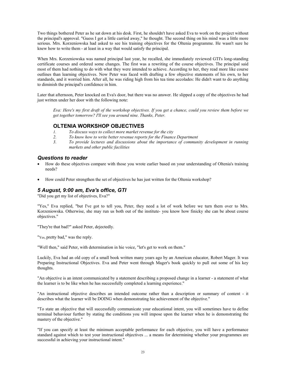Two things bothered Peter as he sat down at his desk. First, he shouldn't have asked Eva to work on the project without the principal's approval. "Guess I got a little carried away," he thought. The second thing on his mind was a little more serious. Mrs. Korzeniowska had asked to see his training objectives for the Oltenia programme. He wasn't sure he knew how to write them - at least in a way that would satisfy the principal.

When Mrs. Korzeniowska was named principal last year, he recalled, she immediately reviewed GTI's long-standing certificate courses and ordered some changes. The first was a rewriting of the course objectives. The principal said most of them had nothing to do with what they were intended to achieve. According to her, they read more like course outlines than learning objectives. Now Peter was faced with drafting a few objective statements of his own, to her standards, and it worried him. After all, he was riding high from his tea time accolades: He didn't want to do anything to diminish the principal's confidence in him.

Later that afternoon, Peter knocked on Eva's door, but there was no answer. He slipped a copy of the objectives he had just written under her door with the following note:

*Eva: Here's my first draft of the workshop objectives. If you get a chance, could you review them before we get together tomorrow? I'll see you around nine. Thanks, Peter.* 

### **OLTENIA WORKSHOP OBJECTIVES**

- *1. To discuss ways to collect more market revenue for the city*
- *2. To know how to write better revenue reports for the Finance Department*
- *3. To provide lectures and discussions about the importance of community development in running markets and other public facilities*

### *Questions to reader*

- How do these objectives compare with those you wrote earlier based on your understanding of Oltenia's training needs?
- How could Peter strengthen the set of objectives he has just written for the Oltenia workshop?

### *5 August, 9:00 am, Eva's office, GTI*

"Did you get my list of objectives, Eva?"

"Yes," Eva replied, "but I've got to tell you, Peter, they need a lot of work before we turn them over to Mrs. Korzeniowska. Otherwise, she may run us both out of the institute- you know how finicky she can be about course objectives."

"They're that bad?" asked Peter, dejectedly.

"Yes, pretty bad," was the reply.

"Well then," said Peter, with determination in hie voice, "let's get to work on them."

Luckily, Eva had an old copy of a small book written many years ago by an American educator, Robert Mager. It was Preparing Instructional Objectives. Eva and Peter went through Mager's book quickly to pull out some of his key thoughts.

"An objective is an intent communicated by a statement describing a proposed change in a learner - a statement of what the learner is to be like when he has successfully completed a learning experience."

"An instructional objective describes an intended outcome rather than a description or summary of content - it describes what the learner will be DOING when demonstrating hie achievement of the objective."

"To state an objective that will successfully communicate your educational intent, you will sometimes have to define terminal behaviour further by stating the conditions you will impose upon the learner when he is demonstrating the mastery of the objective."

"If you can specify at least the minimum acceptable performance for each objective, you will have a performance standard against which to test your instructional objectives ... a means for determining whether your programmes are successful in achieving your instructional intent."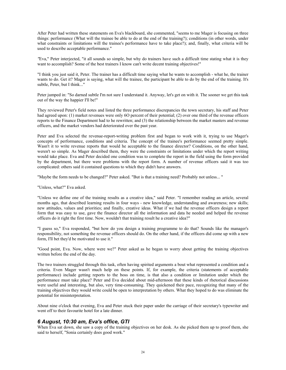After Peter had written these statements on Eva's blackboard, she commented, "seems to me Mager is focusing on three things: performance (What will the trainee be able to do at the end of the training?); conditions (in other words, under what constraints or limitations will the trainee's performance have to take place?); and, finally, what criteria will be used to describe acceptable performance."

*"*Eva," Peter interjected, "it all sounds so simple, but why do trainers have such a difficult time stating what it is they want to accomplish? Some of the best trainers I know can't write decent training objectives!"

"I think you just said it, Peter. The trainer has a difficult time saying what he wants to accomplish - what he, the trainer wants to do. Get it? Mager is saying, what will the trainee, the participant be able to do by the end of the training. It's subtle, Peter, but I think..."

Peter jumped in: "So darned subtle I'm not sure I understand it. Anyway, let's get on with it. The sooner we get this task out of the way the happier I'll be!"

They reviewed Peter's field notes and listed the three performance discrepancies the town secretary, his staff and Peter had agreed upon: (1) market revenues were only 6O percent of their potential; (2) over one third of the revenue officers reports to the Finance Department had to he rewritten; and (3) the relationship between the market masters and revenue officers, and the market vendors had deteriorated over the past year.

Peter and Eva selected the revenue-report-writing problem first and began to work with it, trying to use Mager's concepts of performance, conditions and criteria. The concept of the trainee's performance seemed pretty simple. Wasn't it to write revenue reports that would he acceptable to the finance director? Conditions, on the other hand, weren't so simple. As Mager described them, they were the constraints or limitations under which the report writing would take place. Eva and Peter decided one condition was to complete the report in the field using the form provided by the department, but there were problems with the report form. A number of revenue officers said it was too complicated: others said it contained questions to which they didn't have answers.

"Maybe the form needs to be changed?" Peter asked. "But is that a training need? Probably not unless... "

"Unless, what?" Eva asked.

"Unless we define one of the training results as a creative idea," said Peter. "I remember reading an article, several months ago, that described learning results in four ways - new knowledge, understanding and awareness; new skills; new attitudes, values and priorities; and finally, creative ideas. What if we had the revenue officers design a report form that was easy to use, gave the finance director all the information and data he needed and helped the revenue officers do it right the first time. Now, wouldn't that training result he a creative idea?"

"I guess so," Eva responded, "but how do you design a training programme to do that? Sounds like the manager's responsibility, not something the revenue officers should do. On the other hand, if the officers did come up with a new form, I'll bet they'd be motivated to use it."

"Good point, Eva. Now, where were we?" Peter asked as he began to worry about getting the training objectives written before the end of the day.

The two trainers struggled through this task, often having spirited arguments a bout what represented a condition and a criteria. Even Mager wasn't much help on these points. If, for example, the criteria (statements of acceptable performance) include getting reports to the boss on time, is that also a condition or limitation under which the performance must take place? Peter and Eva decided about mid-afternoon that these kinds of rhetorical discussions were useful and interesting, but also, very time-consuming. They quickened their pace, recognizing that many of the training objectives they would write could be open to interpretation by others. What they hoped to do was eliminate the potential for misinterpretation.

About nine o'clock that evening, Eva and Peter stuck their paper under the carriage of their secretary's typewriter and went off to their favourite hotel for a late dinner.

### *6 August, 10:30 am, Eva's office, GTI*

When Eva sat down, she saw a copy of the training objectives on her desk. As she picked them up to proof them, she said to herself, "Sonia certainly does good work."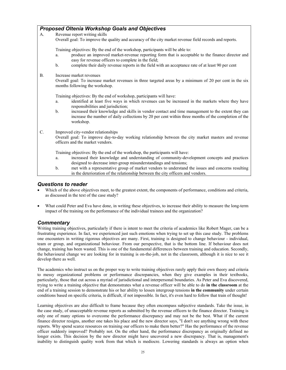|           | <b>Proposed Oltenia Workshop Goals and Objectives</b>                                                                                                                                                                                                                                                                                                                                                                                               |
|-----------|-----------------------------------------------------------------------------------------------------------------------------------------------------------------------------------------------------------------------------------------------------------------------------------------------------------------------------------------------------------------------------------------------------------------------------------------------------|
| А.        | Revenue report writing skills                                                                                                                                                                                                                                                                                                                                                                                                                       |
|           | Overall goal: To improve the quality and accuracy of the city market revenue field records and reports.                                                                                                                                                                                                                                                                                                                                             |
|           | Training objectives: By the end of the workshop, participants will be able to:<br>produce an improved market-revenue reporting form that is acceptable to the finance director and<br>a.<br>easy for revenue officers to complete in the field;<br>complete their daily revenue reports in the field with an acceptance rate of at least 90 per cent<br>b.                                                                                          |
| <b>B.</b> | Increase market revenues<br>Overall goal: To increase market revenues in three targeted areas by a minimum of 20 per cent in the six<br>months following the workshop.                                                                                                                                                                                                                                                                              |
|           | Training objectives: By the end of workshop, participants will have:<br>identified at least five ways in which revenues can be increased in the markets where they have<br>a.<br>responsibilities and jurisdiction;<br>increased their knowledge and skills in vendor contact and time management to the extent they can<br>b.<br>increase the number of daily collections by 20 per cent within three months of the completion of the<br>workshop. |
| C.        | Improved city-vendor relationships<br>Overall goal: To improve day-to-day working relationship between the city market masters and revenue<br>officers and the market vendors.                                                                                                                                                                                                                                                                      |
|           | Training objectives: By the end of the workshop, the participants will have:<br>increased their knowledge and understanding of community-development concepts and practices<br>a.<br>designed to decrease inter-group misunderstandings and tensions;<br>met with a representative group of market vendors to understand the issues and concerns resulting<br>b.                                                                                    |
|           | in the deterioration of the relationship between the city officers and vendors.                                                                                                                                                                                                                                                                                                                                                                     |

#### *Questions to reader*

- Which of the above objectives meet, to the greatest extent, the components of performance, conditions and criteria, as discussed in the text of the case study?
- What could Peter and Eva have done, in writing these objectives, to increase their ability to measure the long-term impact of the training on the performance of the individual trainees and the organization?

### *Commentary*

Writing training objectives, particularly if there is intent to meet the criteria of academics like Robert Mager, can be a frustrating experience. In fact, we experienced just such emotions when trying to set up this case study. The problems one encounters in writing rigorous objectives are many. First, training is designed to change behaviour - individual, team or group, and organizational behaviour. From our perspective, that is the bottom line. If behaviour does not change, training has been wasted. This is one of the fundamental differences between training and education. Secondly, the behavioural change we are looking for in training is on-the-job, not in the classroom, although it is nice to see it develop there as well.

The academics who instruct us on the proper way to write training objectives rarely apply their own theory and criteria to messy organizational problems or performance discrepancies, when they give examples in their textbooks, particularly, those that cut across a myriad of jurisdictional and interpersonal boundaries. As Peter and Eva discovered, trying to write a training objective that demonstrates what a revenue officer will be able to do **in the classroom** at the end of a training session to demonstrate his or her ability to lessen intergroup tensions **in the community** under certain conditions based on specific criteria, is difficult, if not impossible. In fact, it's even hard to follow that train of thought!

Learning objectives are also difficult to frame because they often encompass subjective standards. Take the issue, in the case study, of unacceptable revenue reports as submitted by the revenue officers to the finance director. Training is only one of many options to overcome the performance discrepancy and may not be the best. What if the current finance director resigns, another one takes his place and the new director says, "I don't see anything wrong with these reports. Why spend scarce resources on training our officers to make them better?" Has the performance of the revenue officer suddenly improved? Probably not. On the other hand, the performance discrepancy as originally defined no longer exists. This decision by the new director might have uncovered a new discrepancy. That is, management's inability to distinguish quality work from that which is mediocre. Lowering standards is always an option when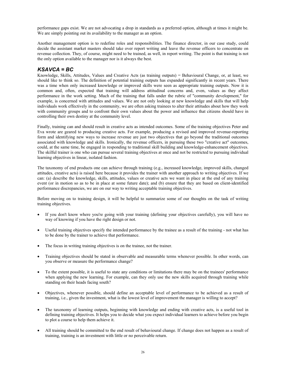performance gaps exist. We are not advocating a drop in standards as a preferred option, although at times it might be. We are simply pointing out its availability to the manager as an option.

Another management option is to redefine roles and responsibilities. The finance director, in our case study, could decide the assistant market masters should take over report writing and leave the revenue officers to concentrate on revenue collection. They, of course, might need to be trained, as well, in report writing. The point is that training is not the only option available to the manager nor is it always the best.

### *KSAVCA = BC*

Knowledge, Skills, Attitudes, Values and Creative Acts (as training outputs) = Behavioural Change, or, at least, we should like to think so. The definition of potential training outputs has expanded significantly in recent years. There was a time when only increased knowledge or improved skills were seen as appropriate training outputs. Now it is common and, often, expected that training will address attitudinal concerns and, even, values as they affect performance in the work setting. Much of the training that falls under the rubric of "community development," for example, is concerned with attitudes and values. We are not only looking at new knowledge and skills that will help individuals work effectively in the community, we are often asking trainees to alter their attitudes about how they work with community groups and to confront their own values about the power and influence that citizens should have in controlling their own destiny at the community level.

Finally, training can and should result in creative acts as intended outcomes. Some of the training objectives Peter and Eva wrote are geared to producing creative acts. For example, producing a revised and improved revenue-reporting form and identifying new ways to increase revenue are just two objectives that go beyond the traditional outcomes associated with knowledge and skills. Ironically, the revenue officers, in pursuing these two "creative act" outcomes, could, at the same time, be engaged in responding to traditional skill building and knowledge-enhancement objectives. The skilful trainer is one who can pursue several training objectives at once and not be restricted to pursuing individual learning objectives in linear, isolated fashion.

The taxonomy of end products one can achieve through training (e.g., increased knowledge, improved skills, changed attitudes, creative acts) is raised here because it provides the trainer with another approach to writing objectives. If we can: (a) describe the knowledge, skills, attitudes, values or creative acts we want in place at the end of any training event (or in motion so as to be in place at some future date); and (b) ensure that they are based on client-identified performance discrepancies, we are on our way to writing acceptable training objectives.

Before moving on to training design, it will be helpful to summarize some of our thoughts on the task of writing training objectives.

- If you don't know where you're going with your training (defining your objectives carefully), you will have no way of knowing if you have the right design or not.
- Useful training objectives specify the intended performance by the trainee as a result of the training not what has to be done by the trainer to achieve that performance.
- The focus in writing training objectives is on the trainee, not the trainer.
- Training objectives should be stated in observable and measurable terms whenever possible. In other words, can you observe or measure the performance change?
- To the extent possible, it is useful to state any conditions or limitations there may be on the trainees' performance when applying the new learning. For example, can they only use the new skills acquired through training while standing on their heads facing south?
- Objectives, whenever possible, should define an acceptable level of performance to be achieved as a result of training, i.e., given the investment, what is the lowest level of improvement the manager is willing to accept?
- The taxonomy of learning outputs, beginning with knowledge and ending with creative acts, is a useful tool in defining training objectives. It helps you to decide what you expect individual learners to achieve before you begin to plot a course to help them achieve it.
- All training should be committed to the end result of behavioural change. If change does not happen as a result of training, training is an investment with little or no perceivable return.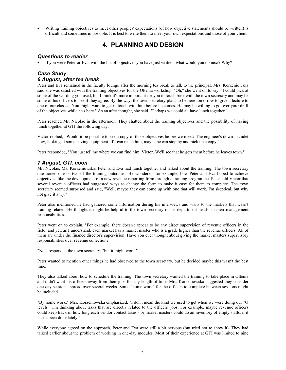• Writing training objectives to meet other peoples' expectations (of how objective statements should be written) is difficult and sometimes impossible. It is best to write them to meet your own expectations and those of your client.

# **4. PLANNING AND DESIGN**

### *Questions to reader*

• If you were Peter or Eva, with the list of objectives you have just written, what would you do next? Why?

### *Case Study 6 August, after tea break*

Peter and Eva remained in the faculty lounge after the morning tea break to talk to the principal. Mrs. Korzeniowska said she was satisfied with the training objectives for the Oltenia workshop. "Oh," she went on to say, "I could pick at some of the wording you used, but I think it's more important for you to touch base with the town secretary and may be some of his officers to see if they agree. By the way, the town secretary plans to be here tomorrow to give a lecture to one of our classes. You might want to get in touch with him before he comes. He may be willing to go over your draft of the objectives while he's here." As an after thought, she said, "Perhaps we could all have lunch together."

Peter reached Mr. Nicolae in the afternoon. They chatted about the training objectives and the possibility of having lunch together at GTI the following day.

Victor replied, "Would it be possible to see a copy of those objectives before we meet? The engineer's down in Judet now, looking at some paving equipment. If I can reach him, maybe he can stop by and pick up a copy."

Peter responded, "You just tell me where we can find him, Victor. We'll see that he gets them before he leaves town."

### *7 August, GTI, noon*

Mr. Nicolae, Ms. Korzeniowska, Peter and Eva had lunch together and talked about the training. The town secretary questioned one or two of the training outcomes. He wondered, for example, how Peter and Eva hoped to achieve objectives, like the development of a new revenue-reporting form through a training programme. Peter told Victor that several revenue officers had suggested ways to change the form to make it easy for them to complete. The town secretary seemed surprised and said, "Well, maybe they can come up with one that will work. I'm skeptical, but why not give it a try."

Peter also mentioned he had gathered some information during his interviews and visits to the markets that wasn't training-related. He thought it might he helpful to the town secretary or his department heads, in their management responsibilities.

Peter went on to explain, "For example, there doesn't appear to be any direct supervision of revenue officers in the field, and yet, as I understand, each market has a market master who is a grade higher than the revenue officers. All of them are under the finance director's supervision. Have you ever thought about giving the market masters supervisory responsibilities over revenue collection?"

"No," responded the town secretary, "but it might work."

Peter wanted to mention other things he had observed to the town secretary, but he decided maybe this wasn't the best time.

They also talked about how to schedule the training. The town secretary wanted the training to take place in Oltenia and didn't want his officers away from their jobs for any length of time. Mrs. Korzeniowska suggested they consider one-day sessions, spread over several weeks. Some "home work" for the officers to complete between sessions might be included.

"By home work," Mrs. Korzeniowska emphasized, "I don't mean the kind we used to get when we were doing our "O levels." I'm thinking about tasks that are directly related to the officers' jobs. For example, maybe revenue officers could keep track of how long each vendor contact takes - or market masters could do an inventory of empty stalls, if it hasn't been done lately."

While everyone agreed on the approach, Peter and Eva were still a bit nervous (but tried not to show it). They had talked earlier about the problem of working in one-day modules. Most of their experience at GTI was limited to nine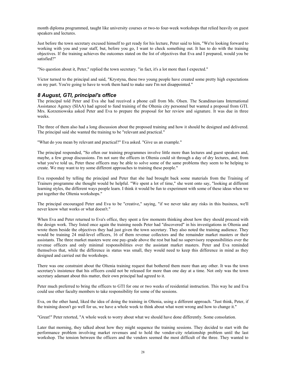month diploma programmed, taught like university courses or two-to four-week workshops that relied heavily on guest speakers and lectures.

Just before the town secretary excused himself to get ready for his lecture, Peter said to him, "We're looking forward to working with you and your staff, but, before you go, I want to check something out. It has to do with the training objectives. If the training achieves the outcomes stated on the list of objectives that Eva and I prepared, would you be satisfied?"

"No question about it, Peter," replied the town secretary. "in fact, it's a lot more than I expected."

Victor turned to the principal and said, "Krystyna, these two young people have created some pretty high expectations on my part. You're going to have to work them hard to make sure I'm not disappointed."

### *8 August, GTI, principal's office*

The principal told Peter and Eva she had received a phone call from Ms. Olsen. The Scandinavians International Assistance Agency (SIAA) had agreed to fund training of the Oltenia city personnel but wanted a proposal from GTI. Mrs. Korzeniowska asked Peter and Eva to prepare the proposal for her review and signature. It was due in three weeks.

The three of them also had a long discussion about the proposed training and how it should be designed and delivered. The principal said she wanted the training to be "relevant and practical."

"What do you mean by relevant and practical?" Eva asked. "Give us an example."

The principal responded, "So often our training programmes involve little more than lectures and guest speakers and, maybe, a few group discussions. I'm not sure the officers in Oltenia could sit through a day of dry lectures, and, from what you've told us, Peter these officers may be able to solve some of the same problems they seem to be helping to create. We may want to try some different approaches to training these people."

Eva responded by telling the principal and Peter that she had brought back some materials from the Training of Trainers programme she thought would be helpful. "We spent a lot of time," she went onto say, "looking at different learning styles, the different ways people learn. I think it would be fun to experiment with some of these ideas when we put together the Oltenia workshops."

The principal encouraged Peter and Eva to be "creative," saying, "if we never take any risks in this business, we'll never know what works or what doesn't."

When Eva and Peter returned to Eva's office, they spent a few moments thinking about how they should proceed with the design work. They listed once again the training needs Peter had "discovered" in his investigations in Oltenia and wrote them beside the objectives they had just given the town secretary. They also noted the training audience. They would be training 24 mid-level officers, 16 of them revenue collectors and the remainder market masters or their assistants. The three market masters were one pay-grade above the rest but had no supervisory responsibilities over the revenue officers and only minimal responsibilities over the assistant market masters. Peter and Eva reminded themselves that, while the difference in status was small, they would need to keep this difference in mind as they designed and carried out the workshops.

There was one constraint about the Oltenia training request that bothered them more than any other. It was the town secretary's insistence that his officers could not be released for more than one day at a time. Not only was the town secretary adamant about this matter, their own principal had agreed to it.

Peter much preferred to bring the officers to GTI for one or two weeks of residential instruction. This way he and Eva could use other faculty members to take responsibility for some of the sessions.

Eva, on the other hand, liked the idea of doing the training in Oltenia, using a different approach. "Just think, Peter, if the training doesn't go well for us, we have a whole week to think about what went wrong and how to change it."

"Great!" Peter retorted, "A whole week to worry about what we should have done differently. Some consolation.

Later that morning, they talked about how they might sequence the training sessions. They decided to start with the performance problem involving market revenues and to hold the vendor-city relationship problem until the last workshop. The tension between the officers and the vendors seemed the most difficult of the three. They wanted to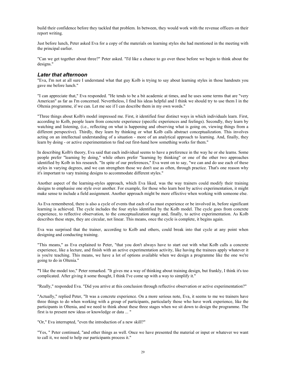build their confidence before they tackled that problem. In between, they would work with the revenue officers on their report writing.

Just before lunch, Peter asked Eva for a copy of the materials on learning styles she had mentioned in the meeting with the principal earlier.

"Can we get together about three?" Peter asked. "I'd like a chance to go over these before we begin to think about the designs."

#### *Later that afternoon*

"Eva, I'm not at all sure I understand what that guy Kolb is trying to say about learning styles in those handouts you gave me before lunch."

"I can appreciate that," Eva responded. "He tends to be a bit academic at times, and he uses some terms that are "very American" as far as I'm concerned. Nevertheless, I find his ideas helpful and I think we should try to use them I in the Oltenia programme, if we can. Let me see if I can describe them in my own words."

"Three things about Kolb's model impressed me. First, it identified four distinct ways in which individuals learn. First, according to Kolb, people learn from concrete experience (specific experiences and feelings). Secondly, they learn by watching and listening, (i.e., reflecting on what is happening and observing what is going on, viewing things from a different perspective). Thirdly, they learn by thinking or what Kolb calls abstract conceptualization. This involves acting on an intellectual understanding of a situation - more of an analytical approach to learning. And, finally, they learn by doing - or active experimentation to find out first-hand how something works for them."

In describing Kolb's theory, Eva said that each individual seems to have a preference in the way he or she learns. Some people prefer "learning by doing," while others prefer "learning by thinking" or one of the other two approaches identified by Kolb in his research. "In spite of our preferences," Eva went on to say, "we can and do use each of these styles in varying degrees, and we can strengthen those we don't use as often, through practice. That's one reason why it's important to vary training designs to accommodate different styles."

Another aspect of the learning-styles approach, which Eva liked, was the way trainers could modify their training designs to emphasise one style over another. For example, for those who learn best by active experimentation, it might make sense to include a field assignment. Another approach might be more effective when working with someone else.

As Eva remembered, there is also a cycle of events that each of us must experience or be involved in, before significant learning is achieved. The cycle includes the four styles identified by the Kolb model. The cycle goes from concrete experience, to reflective observation, to the conceptualization stage and, finally, to active experimentation. As Kolb describes these steps, they are circular, not linear. This means, once the cycle is complete, it begins again.

Eva was surprised that the trainer, according to Kolb and others, could break into that cycle at any point when designing and conducting training.

"This means," as Eva explained to Peter, "that you don't always have to start out with what Kolb calls a concrete experience, like a lecture, and finish with an active experimentation activity, like having the trainees apply whatever it is you're teaching. This means, we have a lot of options available when we design a programme like the one we're going to do in Oltenia."

**"**I like the model too," Peter remarked. "It gives me a way of thinking about training design, but frankly, I think it's too complicated. After giving it some thought, I think I've come up with a way to simplify it."

"Really," responded Eva. "Did you arrive at this conclusion through reflective observation or active experimentation?"

"Actually," replied Peter, "It was a concrete experience. On a more serious note, Eva, it seems to me we trainers have three things to do when working with a group of participants, particularly those who have work experience, like the participants in Oltenia, and we need to think about these three stages when we sit down to design the programme. The first is to present new ideas or knowledge or data ... "

"Or," Eva interrupted, "even the introduction of a new skill?"

"Yes, " Peter continued, "and other things as well. Once we have presented the material or input or whatever we want to call it, we need to help our participants process it."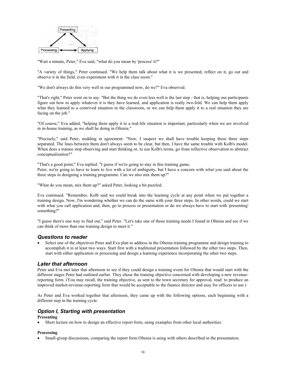

"Wait a minute, Peter," Eva said, "what do you mean by 'process' it?"

"A variety of things," Peter continued. "We help them talk about what it is we presented, reflect on it, go out and observe it in the field, even experiment with it in the class room."

"We don't always do this very well in our programmed now, do we?" Eva observed.

"That's right," Peter went on to say. "But the thing we do even less well is the last step - that is, helping our participants figure out how to apply whatever it is they have learned, and application is really two-fold. We can help them apply what they learned to a contrived situation in the classroom, or we can help them apply it to a real situation they are facing on the job."

"Of course," Eva added, "helping them apply it to a real-life situation is important, particularly when we are involved in in-house training, as we shall he doing in Oltenia."

"Precisely," said Peter, nodding in agreement. "Now, I suspect we shall have trouble keeping these three steps separated. The lines between them don't always seem to be clear, but then, I have the same trouble with Kolb's model. When does a trainee stop observing and start thinking or, to use Kolb's terms, go from reflective observation to abstract conceptualization?"

"That's a good point," Eva replied. "I guess if we're going to stay in this training game, Peter, we're going to have to learn to live with a lot of ambiguity, but I have a concern with what you said about the three steps in designing a training programme. Can we also mix them up?"

"What do you mean, mix them up?" asked Peter, looking a bit puzzled.

Eva continued. "Remember, Kolb said we could break into the learning cycle at any point when we put together a training design. Now, I'm wondering whether we can do the same with your three steps. In other words, could we start with what you call application and, then, go to process or presentation or do we always have to start with 'presenting' something?"

"I guess there's one way to find out," said Peter. "Let's take one of those training needs I found in Oltenia and see if we can think of more than one training design to meet it."

#### *Questions to reader*

• Select one of the objectives Peter and Eva plan to address in the Oltenia training programme and design training to accomplish it in at least two ways. Start first with a traditional presentation followed by the other two steps. Then, start with either application or processing and design a learning experience incorporating the other two steps.

#### *Later that afternoon*

Peter and Eva met later that afternoon to see if they could design a training event for Oltenia that would start with the different stages Peter had outlined earlier. They chose the training objective concerned with developing a new revenuereporting form. (You may recall, the training objective, as sent to the town secretary for approval, read: to produce an improved market-revenue-reporting form that would be acceptable to the finance director and easy for officers to use.)

As Peter and Eva worked together that afternoon, they came up with the following options, each beginning with a different step in the training cycle.

### *Option I, Starting with presentation*

#### **Presenting**

• Short lecture on how to design an effective report form, using examples from other local authorities.

#### **Processing**

• Small-group discussions, comparing the report form Oltenia is using with others described in the presentation.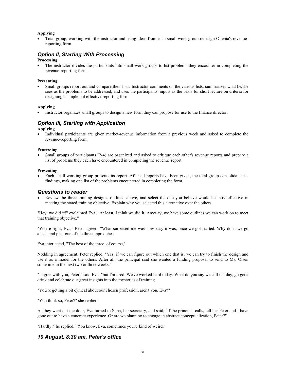#### **Applying**

• Total group, working with the instructor and using ideas from each small work group redesign Oltenia's revenuereporting form.

### *Option II, Starting With Processing*

#### **Processing**

The instructor divides the participants into small work groups to list problems they encounter in completing the revenue-reporting form.

#### **Presenting**

• Small groups report out and compare their lists. Instructor comments on the various lists, summarizes what he/she sees as the problems to be addressed, and uses the participants' inputs as the basis for short lecture on criteria for designing a simple but effective reporting form.

#### **Applying**

• Instructor organizes small groups to design a new form they can propose for use to the finance director.

### *Option Ill, Starting with Application*

#### **Applying**

• Individual participants are given market-revenue information from a previous week and asked to complete the revenue-reporting form.

#### **Processing**

• Small groups of participants (2-4) are organized and asked to critique each other's revenue reports and prepare a list of problems they each have encountered in completing the revenue report.

#### **Presenting**

• Each small working group presents its report. After all reports have been given, the total group consolidated its findings, making one list of the problems encountered in completing the form.

#### *Questions to reader*

• Review the three training designs, outlined above, and select the one you believe would be most effective in meeting the stated training objective. Explain why you selected this alternative over the others.

"Hey, we did it!" exclaimed Eva. "At least, I think we did it. Anyway, we have some outlines we can work on to meet that training objective."

"You're right, Eva." Peter agreed. "What surprised me was how easy it was, once we got started. Why don't we go ahead and pick one of the three approaches.

Eva interjected, "The best of the three, of course,"

Nodding in agreement, Peter replied, "Yes, if we can figure out which one that is, we can try to finish the design and use it as a model for the others. After all, the principal said she wanted a funding proposal to send to Ms. Olsen sometime in the next two or three weeks."

"I agree with you, Peter," said Eva, "but I'm tired. We've worked hard today. What do you say we call it a day, go get a drink and celebrate our great insights into the mysteries of training.

"You're getting a bit cynical about our chosen profession, aren't you, Eva?"

"You think so, Peter?" she replied.

As they went out the door, Eva turned to Sona, her secretary, and said, "if the principal calls, tell her Peter and I have gone out to have a concrete experience. Or are we planning to engage in abstract conceptualization, Peter?"

"Hardly!" he replied. "You know, Eva, sometimes you're kind of weird."

### *10 August, 8:30 am, Peter's office*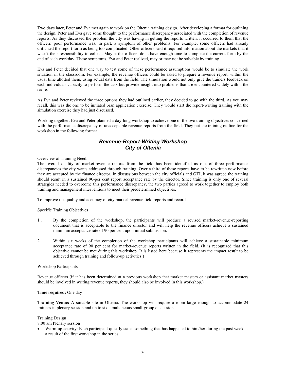Two days later, Peter and Eva met again to work on the Oltenia training design. After developing a format for outlining the design, Peter and Eva gave some thought to the performance discrepancy associated with the completion of revenue reports. As they discussed the problem the city was having in getting the reports written, it occurred to them that the officers' poor performance was, in part, a symptom of other problems. For example, some officers had already criticized the report form as being too complicated. Other officers said it required information about the markets that it wasn't their responsibility to collect. Maybe the officers don't have enough time to complete the current form by the end of each workday. These symptoms, Eva and Peter realized, may or may not be solvable by training.

Eva and Peter decided that one way to test some of these performance assumptions would be to simulate the work situation in the classroom. For example, the revenue officers could be asked to prepare a revenue report, within the usual time allotted them, using actual data from the field. The simulation would not only give the trainers feedback on each individuals capacity to perform the task but provide insight into problems that are encountered widely within the cadre.

As Eva and Peter reviewed the three options they had outlined earlier, they decided to go with the third. As you may recall, this was the one to be initiated bran application exercise. They would start the report-writing training with the simulation exercise they had just discussed.

Working together, Eva and Peter planned a day-long workshop to achieve one of the two training objectives concerned with the performance discrepancy of unacceptable revenue reports from the field. They put the training outline for the workshop in the following format.

### *Revenue-Report-Writing Workshop City of Oltenia*

Overview of Training Need:

The overall quality of market-revenue reports from the field has been identified as one of three performance discrepancies the city wants addressed through training. Over a third of these reports have to be rewritten now before they are accepted by the finance director. In discussions between the city officials and GTI, it was agreed the training should result in a sustained 90-per cent report acceptance rate by the director. Since training is only one of several strategies needed to overcome this performance discrepancy, the two parties agreed to work together to employ both training and management interventions to meet their predetermined objectives.

To improve the quality and accuracy of city market-revenue field reports and records.

Specific Training Objectives

- 1 . By the completion of the workshop, the participants will produce a revised market-revenue-reporting document that is acceptable to the finance director and will help the revenue officers achieve a sustained minimum acceptance rate of 90 per cent upon initial submission.
- 2. Within six weeks of the completion of the workshop participants will achieve a sustainable minimum acceptance rate of 90 per cent for market-revenue reports written in the field. (It is recognized that this objective cannot be met during this workshop. It is listed here because it represents the impact result to be achieved through training and follow-up activities.)

#### Workshop Participants

Revenue officers (if it has been determined at a previous workshop that market masters or assistant market masters should be involved in writing revenue reports, they should also be involved in this workshop.)

#### **Time required:** One day

**Training Venue:** A suitable site in Oltenia. The workshop will require a room large enough to accommodate 24 trainees in plenary session and up to six simultaneous small-group discussions.

#### Training Design

8:00 am Plenary session

• Warm-up activity: Each participant quickly states something that has happened to him/her during the past week as a result of the first workshop in the series.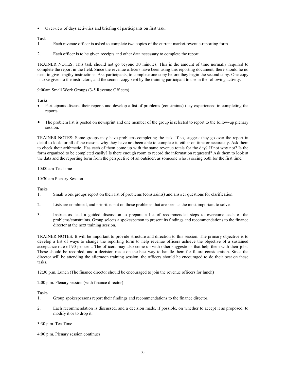• Overview of days activities and briefing of participants on first task.

### Task

- 1 . Each revenue officer is asked to complete two copies of the current market-revenue-reporting form.
- 2. Each officer is to he given receipts and other data necessary to complete the report.

TRAINER NOTES: This task should not go beyond 30 minutes. This is the amount of time normally required to complete the report in the field. Since the revenue officers have been using this reporting document, there should he no need to give lengthy instructions. Ask participants, to complete one copy before they begin the second copy. One copy is to se given to the instructors, and the second copy kept by the training participant to use in the following activity.

9:00am Small Work Groups (3-5 Revenue Officers)

Tasks

- Participants discuss their reports and develop a list of problems (constraints) they experienced in completing the reports.
- The problem list is posted on newsprint and one member of the group is selected to report to the follow-up plenary session.

TRAINER NOTES: Some groups may have problems completing the task. If so, suggest they go over the report in detail to look for all of the reasons why they have not been able to complete it, either on time or accurately. Ask them to check their arithmetic. Has each of them come up with the same revenue totals for the day? If not why not? Is the form organized to be completed easily? Is there enough room to record the information requested? Ask them to look at the data and the reporting form from the perspective of an outsider, as someone who is seeing both for the first time.

10:00 am Tea Time

#### 10:30 am Plenary Session

Tasks

- 1. Small work groups report on their list of problems (constraints) and answer questions for clarification.
- 2. Lists are combined, and priorities put on those problems that are seen as the most important to solve.
- 3. Instructors lead a guided discussion to prepare a list of recommended steps to overcome each of the problems/constraints. Group selects a spokesperson to present its findings and recommendations to the finance director at the next training session.

TRAINER NOTES: It will be important to provide structure and direction to this session. The primary objective is to develop a list of ways to change the reporting form to help revenue officers achieve the objective of a sustained acceptance rate of 90 per cent. The officers may also come up with other suggestions that help them with their jobs. These should be recorded, and a decision made on the best way to handle them for future consideration. Since the director will be attending the afternoon training session, the officers should he encouraged to do their best on these tasks.

12:30 p.m. Lunch (The finance director should be encouraged to join the revenue officers for lunch)

2:00 p.m. Plenary session (with finance director)

Tasks

- 1. Group spokespersons report their findings and recommendations to the finance director.
- 2. Each recommendation is discussed, and a decision made, if possible, on whether to accept it as proposed, to modify it or to drop it.

3:30 p.m. Tea Time

4:00 p.m. Plenary session continues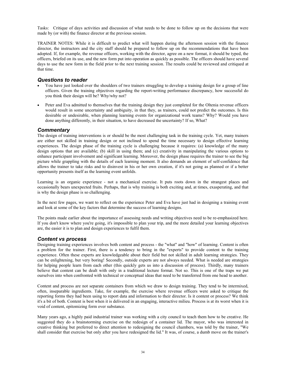Tasks: Critique of days activities and discussion of what needs to be done to follow up on the decisions that were made by (or with) the finance director at the previous session.

TRAINER NOTES: While it is difficult to predict what will happen during the afternoon session with the finance director, the instructors and the city staff should be prepared to follow up on the recommendations that have been adopted. If, for example, the revenue officers, working with the director, agree on a new format, it should be typed, the officers, briefed on its use, and the new form put into operation as quickly as possible. The officers should have several days to use the new form in the field prior to the next training session. The results could be reviewed and critiqued at that time.

### *Questions to reader*

- You have just looked over the shoulders of two trainers struggling to develop a training design for a group of line officers. Given the training objectives regarding the report-writing performance discrepancy, how successful do you think their design will be? Why/why not?
- Peter and Eva admitted to themselves that the training design they just completed for the Oltenia revenue officers would result in some uncertainty and ambiguity, in that they, as trainers, could not predict the outcomes. Is this desirable or undesirable, when planning learning events for organizational work teams? Why? Would you have done anything differently, in their situation, to have decreased the uncertainty? If so, What?

### *Commentary*

The design of training interventions is or should be the most challenging task in the training cycle. Yet, many trainers are either not skilled in training design or not inclined to spend the time necessary to design effective learning experiences. The design phase of the training cycle is challenging because it requires: (a) knowledge of the many design options that are available; (b) skill in using them; and (c) creativity in manipulating the various options to enhance participant involvement and significant learning. Moreover, the design phase requires the trainer to see the big picture while grappling with the details of each learning moment. It also demands an element of self-confidence that allows the trainer to take risks and to disinvest in his or her own creation, if it's not going as planned or if a better opportunity presents itself as the learning event unfolds.

Learning is an organic experience - not a mechanical exercise. It puts roots down in the strangest places and occasionally bears unexpected fruits. Perhaps, that is why training is both exciting and, at times, exasperating, and that is why the design phase is so challenging.

In the next few pages, we want to reflect on the experience Peter and Eva have just had in designing a training event and look at some of the key factors that determine the success of learning designs.

The points made earlier about the importance of assessing needs and writing objectives need to be re-emphasized here. If you don't know where you're going, it's impossible to plan your trip, and the more detailed your learning objectives are, the easier it is to plan and design experiences to fulfil them.

#### *Content vs process*

Designing training experiences involves both content and process - the "what" and "how" of learning. Content is often a problem for the trainer. First, there is a tendency to bring in the "experts" to provide content to the training experience. Often these experts are knowledgeable about their field but not skilled in adult learning strategies. They can be enlightening, but very boring! Secondly, outside experts are not always needed. What is needed are strategies for helping people learn from each other (this quickly gets us into a discussion of process). Thirdly, many trainers believe that content can be dealt with only in a traditional lecture format. Not so. This is one of the traps we put ourselves into when confronted with technical or conceptual ideas that need to be transferred from one head to another.

Content and process are not separate containers from which we draw to design training. They tend to be intermixed, often, inseparable ingredients. Take, for example, the exercise where revenue officers were asked to critique the reporting forms they had been using to report data and information to their director. Is it content or process? We think it's a bit of both. Content is best when it is delivered in an engaging, interactive milieu. Process is at its worst when it is void of content, epitomizing form over substance.

Many years ago, a highly paid industrial trainer was working with a city council to teach them how to be creative. He suggested they do a brainstorming exercise on the redesign of a container lid. The mayor, who was interested in creative thinking but preferred to direct attention to redesigning the council chambers, was told by the trainer, "We shall consider that exercise but only after you have redesigned the lid." It was, of course, a dumb move on the trainer's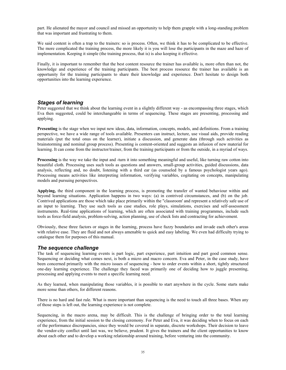part. He alienated the mayor and council and missed an opportunity to help them grapple with a long-standing problem that was important and frustrating to them.

We said content is often a trap to the trainers: so is process. Often, we think it has to be complicated to be effective. The more complicated the training process, the more likely it is you will lose the participants in the maze and haze of implementation. Keeping it simple (the training process, that is) is also keeping it effective.

Finally, it is important to remember that the best content resource the trainer has available is, more often than not, the knowledge and experience of the training participants. The best process resource the trainer has available is an opportunity for the training participants to share their knowledge and experience. Don't hesitate to design both opportunities into the learning experience.

#### *Stages of learning*

Peter suggested that we think about the learning event in a slightly different way - as encompassing three stages, which Eva then suggested, could be interchangeable in terms of sequencing. These stages are presenting, processing and applying.

**Presenting** is the stage when we input new ideas, data, information, concepts, models, and definitions. From a training perspective, we have a wide range of tools available. Presenters can instruct, lecture, use visual aids, provide reading materials (put the total onus on the learner), initiate a discussion, and generate data (through such activities as brainstorming and nominal group process). Presenting is content-oriented and suggests an infusion of new material for learning. It can come from the instructor/trainer, from the training participants or from the outside, in a myriad of ways.

**Processing** is the way we take the input and -turn it into something meaningful and useful, like turning raw cotton into beautiful cloth. Processing uses such tools as questions and answers, small-group activities, guided discussions, data analysis, reflecting and, no doubt, listening with a third ear (as counseled by a famous psychologist years ago). Processing means activities like interpreting information, verifying variables, cogitating on concepts, manipulating models and pursuing perspectives.

**Applying,** the third component in the learning process, is promoting the transfer of wanted behaviour within and beyond learning situations. Application happens in two ways: (a) in contrived circumstances, and (b) on the job. Contrived applications are those which take place primarily within the "classroom' and represent a relatively safe use of an input to learning. They use such tools as case studies, role plays, simulations, exercises and self-assessment instruments. Real-time applications of learning, which are often associated with training programmes, include such tools as force-field analysis, problem-solving, action planning, use of check lists and contracting for achievement.

Obviously, these three factors or stages in the learning, process have fuzzy boundaries and invade each other's areas with relative ease. They are fluid and not always amenable to quick and easy labeling. We even had difficulty trying to catalogue them for purposes of this manual.

#### *The sequence challenge*

The task of sequencing learning events is part logic, part experience, part intuition and part good common sense. Sequencing or deciding what comes next, is both a micro and macro concern. Eva and Peter, in the case study, have been concerned primarily with the micro issues of sequencing - how to order events within a short, tightly structured one-day learning experience. The challenge they faced was primarily one of deciding how to juggle presenting, processing and applying events to meet a specific learning need.

As they learned, when manipulating those variables, it is possible to start anywhere in the cycle. Some starts make more sense than others, for different reasons.

There is no hard and fast rule. What is more important than sequencing is the need to touch all three bases. When any of those steps is left out, the learning experience is not complete.

Sequencing, in the macro arena, may be difficult. This is the challenge of bringing order to the total learning experience, from the initial session to the closing ceremony. For Peter and Eva, it was deciding when to focus on each of the performance discrepancies, since they would be covered in separate, discrete workshops. Their decision to leave the vendor-city conflict until last was, we believe, prudent. It gives the trainers and the client opportunities to know about each other and to develop a working relationship around training, before venturing into the community.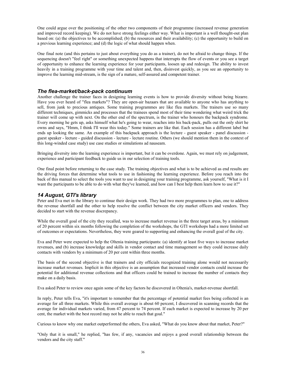One could argue over the positioning of the other two components of their programme (increased revenue generation and improved record keeping). We do not have strong feelings either way. What is important is a well thought-out plan based on: (a) the objectives to be accomplished; (b) the resources and their availability; (c) the opportunity to build on a previous learning experience; and (d) the logic of what should happen when.

One final note (and this pertains to just about everything you do as a trainer), do not be afraid to change things. If the sequencing doesn't "feel right" or something unexpected happens that interrupts the flow of events or you see a target of opportunity to enhance the learning experience for your participants, loosen up and redesign. The ability to invest heavily in a training programme with your time and talent and, then, disinvest quickly, as you see an opportunity to improve the learning mid-stream, is the sign of a mature, self-assured and competent trainer.

### *The flea-market/back-pack continuum*

Another challenge the trainer faces in designing learning events is how to provide diversity without being bizarre. Have you ever heard of "flea markets"? They are open-air bazaars that are available to anyone who has anything to sell, from junk to precious antiques. Some training programmes are like flea markets. The trainers use so many different techniques, gimmicks and processes that the trainees spend most of their time wondering what weird trick the trainer will come up with next. On the other end of the spectrum, is the trainer who honours the backpack syndrome. Every morning he gets up, asks himself what he's going to wear, reaches into his back-pack, pulls out the only shirt he owns and says, "Hmm, I think I'll wear this today." Some trainers are like that. Each session has a different label but ends up looking the same. An example of this backpack approach is the lecture - guest speaker - panel discussion guest speaker - lecture - guided discussion - lecture - lecture routine. Others (we should mention them in the context of this long-winded case study) use case studies or simulations ad nauseam.

Bringing diversity into the learning experience is important, but it can be overdone. Again, we must rely on judgement, experience and participant feedback to guide us in our selection of training tools.

One final point before returning to the case study. The training objectives and what is to be achieved as end results are the driving forces that determine what tools to use in fashioning the learning experience. Before you reach into the back of this manual to select the tools you want to use in designing your training programme, ask yourself, "What is it I want the participants to be able to do with what they've learned, and how can I best help them learn how to use it?"

### *14 August, GTI's library*

Peter and Eva met in the library to continue their design work. They had two more programmes to plan, one to address the revenue shortfall and the other to help resolve the conflict between the city market officers and vendors. They decided to start with the revenue discrepancy.

While the overall goal of the city they recalled, was to increase market revenue in the three target areas, by a minimum of 20 percent within six months following the completion of the workshops, the GTI workshops had a more limited set of outcomes or expectations. Nevertheless, they were geared to supporting and enhancing the overall goal of the city.

Eva and Peter were expected to help the Oltenia training participants: (a) identify at least five ways to increase market revenues, and (b) increase knowledge and skills in vendor contact and time management so they could increase daily contacts with vendors by a minimum of 20 per cent within three months.

The basis of the second objective is that trainers and city officials recognized training alone would not necessarily increase market revenues. Implicit in this objective is an assumption that increased vendor contacts could increase the potential for additional revenue collections and that officers could be trained to increase the number of contacts they make on a daily basis.

Eva asked Peter to review once again some of the key factors he discovered in Oltenia's, market-revenue shortfall.

In reply, Peter tells Eva, "it's important to remember that the percentage of potential market fees being collected is an average for all three markets. While this overall average is about 60 percent, I discovered in scanning records that the average for individual markets varied, from 47 percent to 74 percent. If each market is expected to increase by 20 per cent, the market with the best record may not he able to reach that goal."

Curious to know why one market outperformed the others, Eva asked, "What do you know about that market, Peter?"

"Only that it is small," he replied, "has few, if any, vacancies and enjoys a good overall relationship between the vendors and the city staff."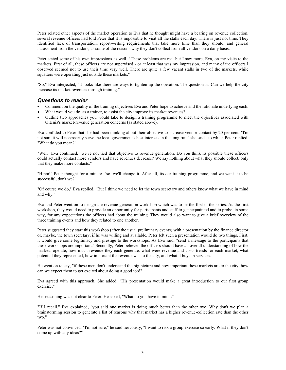Peter related other aspects of the market operation to Eva that he thought might have a bearing on revenue collection. several revenue officers had told Peter that it is impossible to visit all the stalls each day. There is just not time. They identified lack of transportation, report-writing requirements that take more time than they should, and general harassment from the vendors, as some of the reasons why they don't collect from all vendors on a daily basis.

Peter stated some of his own impressions as well. "These problems are real but I saw more, Eva, on my visits to the markets. First of all, these officers are not supervised - or at least that was my impression, and many of the officers I observed seemed not to use their time very well. There are quite a few vacant stalls in two of the markets, while squatters were operating just outside these markets."

"So," Eva interjected, "it looks like there are ways to tighten up the operation. The question is: Can we help the city increase its market revenues through training?"

#### *Questions to reader*

- Comment on the quality of the training objectives Eva and Peter hope to achieve and the rationale underlying each.
- What would you do, as a trainer, to assist the city improve its market revenues?
- Outline two approaches you would take to design a training programme to meet the objectives associated with Oltenia's market-revenue generation concerns (as stated above).

Eva confided to Peter that she had been thinking about their objective to increase vendor contact by 20 per cent. "I'm not sure it will necessarily serve the local government's best interests in the long run," she said - to which Peter replied, "What do you mean?"

"Well" Eva continued, "we've not tied that objective to revenue generation. Do you think its possible these officers could actually contact more vendors and have revenues decrease? We say nothing about what they should collect, only that they make more contacts."

"Hmm!" Peter thought for a minute. "so, we'll change it. After all, its our training programme, and we want it to be successful, don't we?"

"Of course we do," Eva replied. "But I think we need to let the town secretary and others know what we have in mind and why."

Eva and Peter went on to design the revenue-generation workshop which was to be the first in the series. As the first workshop, they would need to provide an opportunity for participants and staff to get acquainted and to probe, in some way, for any expectations the officers had about the training. They would also want to give a brief overview of the three training events and how they related to one another.

Peter suggested they start this workshop (after the usual preliminary events) with a presentation by the finance director or, maybe, the town secretary, if he was willing and available. Peter felt such a presentation would do two things. First, it would give some legitimacy and prestige to the workshops. As Eva said, "send a message to the participants that these workshops are important." Secondly, Peter believed the officers should have an overall understanding of how the markets operate, how much revenue they each generate, what were revenue and costs trends for each market, what potential they represented, how important the revenue was to the city, and what it buys in services.

He went on to say, "if these men don't understand the big picture and how important these markets are to the city, how can we expect them to get excited about doing a good job!"

Eva agreed with this approach. She added, "His presentation would make a great introduction to our first group exercise."

Her reasoning was not clear to Peter. He asked, "What do you have in mind?"

"If I recall," Eva explained, "you said one market is doing much better than the other two. Why don't we plan a brainstorming session to generate a list of reasons why that market has a higher revenue-collection rate than the other two."

Peter was not convinced. "I'm not sure," he said nervously, "I want to risk a group exercise so early. What if they don't come up with any ideas?"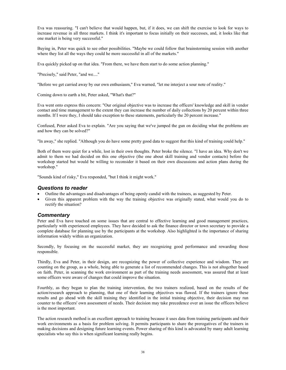Eva was reassuring. "I can't believe that would happen, but, if it does, we can shift the exercise to look for ways to increase revenue in all three markets. I think it's important to focus initially on their successes, and, it looks like that one market is being very successful."

Buying in, Peter was quick to see other possibilities. "Maybe we could follow that brainstorming session with another where they list all the ways they could he more successful in all of the markets."

Eva quickly picked up on that idea. "From there, we have them start to do some action planning."

"Precisely," said Peter, "and we...."

"Before we get carried away by our own enthusiasm," Eva warned, "let me interject a sour note of reality."

Coming down to earth a bit, Peter asked, "What's that?"

Eva went onto express this concern: "Our original objective was to increase the officers' knowledge and skill in vendor contact and time management to the extent they can increase the number of daily collections by 20 percent within three months. If I were they, I should take exception to these statements, particularly the 20 percent increase."

Confused, Peter asked Eva to explain. "Are you saying that we've jumped the gun on deciding what the problems are and how they can be solved?"

"In away," she replied. "Although you do have some pretty good data to suggest that this kind of training could help."

Both of them were quiet for a while, lost in their own thoughts. Peter broke the silence. "I have an idea. Why don't we admit to them we had decided on this one objective (the one about skill training and vendor contacts) before the workshop started but would be willing to reconsider it based on their own discussions and action plans during the workshop."

"Sounds kind of risky," Eva responded, "but I think it might work."

#### *Questions to reader*

- Outline the advantages and disadvantages of being openly candid with the trainees, as suggested by Peter.
- Given this apparent problem with the way the training objective was originally stated, what would you do to rectify the situation?

#### *Commentary*

Peter and Eva have touched on some issues that are central to effective learning and good management practices, particularly with experienced employees. They have decided to ask the finance director or town secretary to provide a complete database for planning use by the participants at the workshop. Also highlighted is the importance of sharing information widely within an organization.

Secondly, by focusing on the successful market, they are recognizing good performance and rewarding those responsible.

Thirdly, Eva and Peter, in their design, are recognizing the power of collective experience and wisdom. They are counting on the group, as a whole, being able to generate a list of recommended changes. This is not altogether based on faith. Peter, in scanning the work environment as part of the training needs assessment, was assured that at least some officers were aware of changes that could improve the situation.

Fourthly, as they began to plan the training intervention, the two trainers realized, based on the results of the action/research approach to planning, that one of their learning objectives was flawed. If the trainers ignore these results and go ahead with the skill training they identified in the initial training objective, their decision may run counter to the officers' own assessment of needs. Their decision may take precedence over an issue the officers believe is the most important.

The action research method is an excellent approach to training because it uses data from training participants and their work environments as a basis for problem solving. It permits participants to share the prerogatives of the trainers in making decisions and designing future learning events. Power sharing of this kind is advocated by many adult learning specialists who say this is when significant learning really begins.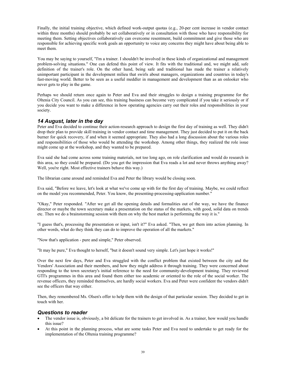Finally, the initial training objective, which defined work-output quotas (e.g., 20-per cent increase in vendor contact within three months) should probably be set collaboratively or in consultation with those who have responsibility for meeting them. Setting objectives collaboratively can overcome resentment, build commitment and give those who are responsible for achieving specific work goals an opportunity to voice any concerns they might have about being able to meet them.

You may be saying to yourself, "I'm a trainer. I shouldn't be involved in these kinds of organizational and management problem-solving situations." One can defend this point of view. It fits with the traditional and, we might add, safe definition of the trainer's role. On the other hand, being safe and traditional has made the trainer a relatively unimportant participant in the development milieu that swirls about managers, organizations and countries in today's fast-moving world. Better to be seen as a useful meddler in management and development than as an onlooker who never gets to play in the game.

Perhaps we should return once again to Peter and Eva and their struggles to design a training programme for the Oltenia City Council. As you can see, this training business can become very complicated if you take it seriously or if you decide you want to make a difference in how operating agencies carry out their roles and responsibilities in your society.

### *14 August, later in the day*

Peter and Eva decided to continue their action-research approach to design the first day of training as well. They didn't drop their plan to provide skill training in vendor contact and time management. They just decided to put it on the back burner for quick recovery, if and when it seemed appropriate. They also had a long discussion about the various roles and responsibilities of those who would be attending the workshop. Among other things, they realized the role issue might come up at the workshop, and they wanted to be prepared.

Eva said she had come across some training materials, not too long ago, on role clarification and would do research in this area, so they could be prepared. (Do you get the impression that Eva reads a lot and never throws anything away? Well, you're right. Most effective trainers behave this way.)

The librarian came around and reminded Eva and Peter the library would be closing soon.

Eva said, "Before we leave, let's look at what we've come up with for the first day of training. Maybe, we could reflect on the model you recommended, Peter. You know, the presenting-processing-application number."

"Okay," Peter responded. "After we get all the opening details and formalities out of the way, we have the finance director or maybe the town secretary make a presentation on the status of the markets, with good, solid data on trends etc. Then we do a brainstorming session with them on why the best market is performing the way it is."

"I guess that's, processing the presentation or input, isn't it?" Eva asked. "Then, we get them into action planning. In other words, what do they think they can do to improve the operation of all the markets."

"Now that's application - pure and simple," Peter observed.

"It may he pure," Eva thought to herself, "but it doesn't sound very simple. Let's just hope it works!"

Over the next few days, Peter and Eva struggled with the conflict problem that existed between the city and the Vendors' Association and their members, and how they might address it through training. They were concerned about responding to the town secretary's initial reference to the need for community-development training. They reviewed GTI's programmes in this area and found them either too academic or oriented to the role of the social worker. The revenue officers, they reminded themselves, are hardly social workers. Eva and Peter were confident the vendors didn't see the officers that way either.

Then, they remembered Ms. Olsen's offer to help them with the design of that particular session. They decided to get in touch with her.

### *Questions to reader*

- The vendor issue is, obviously, a bit delicate for the trainers to get involved in. As a trainer, how would you handle this issue?
- At this point in the planning process, what are some tasks Peter and Eva need to undertake to get ready for the implementation of the Oltenia training programme?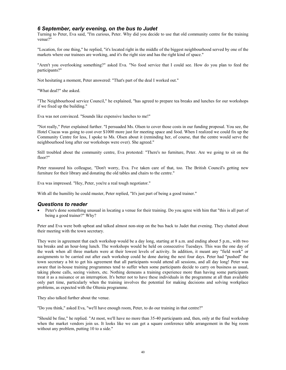### *6 September, early evening, on the bus to Judet*

Turning to Peter, Eva said, "I'm curious, Peter. Why did you decide to use that old community centre for the training venue?"

"Location, for one thing," he replied, "it's located right in the middle of the biggest neighbourhood served by one of the markets where our trainees are working, and it's the right size and has the right kind of space."

"Aren't you overlooking something?" asked Eva. "No food service that I could see. How do you plan to feed the participants?"

Not hesitating a moment, Peter answered: "That's part of the deal I worked out."

"What deal?" she asked.

"The Neighbourhood service Council," he explained, "has agreed to prepare tea breaks and lunches for our workshops if we fixed up the building."

Eva was not convinced. "Sounds like expensive lunches to me!"

"Not really," Peter explained further. "I persuaded Ms. Olsen to cover those costs in our funding proposal. You see, the Hotel Ciucas was going to cost over \$1000 more just for meeting space and food. When I realized we could fix up the Community Centre for less, I spoke to Ms. Olsen about it (reminding her, of course, that the centre would serve the neighbourhood long after our workshops were over). She agreed."

Still troubled about the community centre, Eva protested: "There's no furniture, Peter. Are we going to sit on the floor?"

Peter reassured his colleague, "Don't worry, Eva. I've taken care of that, too. The British Council's getting new furniture for their library and donating the old tables and chairs to the centre."

Eva was impressed. "Hey, Peter, you're a real tough negotiator."

With all the humility he could muster, Peter replied, "It's just part of being a good trainer."

#### *Questions to reader*

• Peter's done something unusual in locating a venue for their training. Do you agree with him that "this is all part of being a good trainer?" Why?

Peter and Eva were both upbeat and talked almost non-stop on the bus back to Judet that evening. They chatted about their meeting with the town secretary.

They were in agreement that each workshop would be a day long, starting at 8 a.m. and ending about 5 p.m., with two tea breaks and an hour-long lunch. The workshops would be held on consecutive Tuesdays. This was the one day of the week when all three markets were at their lowest levels of activity. In addition, it meant any "field work" or assignments to be carried out after each workshop could he done during the next four days. Peter had "pushed" the town secretary a bit to get his agreement that all participants would attend all sessions, and all day long! Peter was aware that in-house training programmes tend to suffer when some participants decide to carry on business as usual, taking phone calls, seeing visitors, etc. Nothing demeans a training experience more than having some participants treat it as a nuisance or an interruption. It's better not to have these individuals in the programme at all than available only part time, particularly when the training involves the potential for making decisions and solving workplace problems, as expected with the Oltenia programme.

They also talked further about the venue.

"Do you think," asked Eva, "we'll have enough room, Peter, to do our training in that centre?"

"Should be fine," he replied. "At most, we'll have no more than 35-40 participants and, then, only at the final workshop when the market vendors join us. It looks like we can get a square conference table arrangement in the big room without any problem, putting 10 to a side."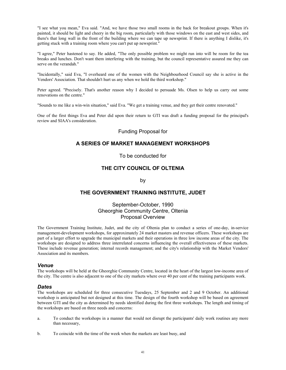"I see what you mean," Eva said. "And, we have those two small rooms in the back for breakout groups. When it's painted, it should be light and cheery in the big room, particularly with those windows on the east and west sides, and there's that long wall in the front of the building where we can tape up newsprint. If there is anything I dislike, it's getting stuck with a training room where you can't put up newsprint."

"I agree," Peter hastened to say. He added, "The only possible problem we might run into will be room for the tea breaks and lunches. Don't want them interfering with the training, but the council representative assured me they can serve on the verandah."

"Incidentally," said Eva, "I overheard one of the women with the Neighbourhood Council say she is active in the Vendors' Association. That shouldn't hurt us any when we hold the third workshop."

Peter agreed. "Precisely. That's another reason why I decided to persuade Ms. Olsen to help us carry out some renovations on the centre."

"Sounds to me like a win-win situation," said Eva. "We get a training venue, and they get their centre renovated."

One of the first things Eva and Peter did upon their return to GTI was draft a funding proposal for the principal's review and SIAA's consideration.

### Funding Proposal for

### **A SERIES OF MARKET MANAGEMENT WORKSHOPS**

To be conducted for

### **THE CITY COUNCIL OF OLTENIA**

by

### **THE GOVERNMENT TRAINING INSTITUTE, JUDET**

### September-October, 1990 Gheorghie Community Centre, Oltenia Proposal Overview

The Government Training Institute, Judet, and the city of Oltenia plan to conduct a series of one-day, in-service management-development workshops, for approximately 24 market masters and revenue officers. These workshops are part of a larger effort to upgrade the municipal markets and their operations in three low income areas of the city. The workshops are designed to address three interrelated concerns influencing the overall effectiveness of these markets. These include revenue generation; internal records management; and the city's relationship with the Market Vendors' Association and its members.

#### *Venue*

The workshops will be held at the Gheorghie Community Centre, located in the heart of the largest low-income area of the city. The centre is also adjacent to one of the city markets where over 40 per cent of the training participants work.

#### *Dates*

The workshops are scheduled for three consecutive Tuesdays, 25 September and 2 and 9 October. An additional workshop is anticipated but not designed at this time. The design of the fourth workshop will be based on agreement between GTI and the city as determined by needs identified during the first three workshops. The length and timing of the workshops are based on three needs and concerns:

- a. To conduct the workshops in a manner that would not disrupt the participants' daily work routines any more than necessary,
- b. To coincide with the time of the week when the markets are least busy, and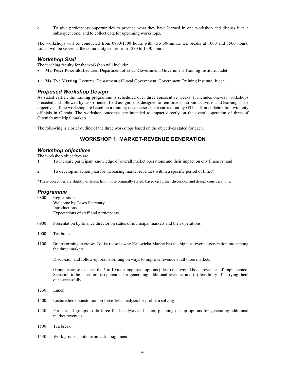c. To give participants opportunities to practice what they have learned in one workshop and discuss it in a subsequent one, and to collect data for upcoming workshops.

The workshops will be conducted from 0800-1700 hours with two 30-minute tea breaks at 1000 and 1500 hours. Lunch will be served at the community centre from 1230 to 1330 hours.

### *Workshop Stall*

The teaching faculty for the workshop will include:

- **Mr. Peter Poszmik,** Lecturer, Department of Local Government, Government Training Institute, Judet
- **Ms. Eva Metzing**, Lecturer, Department of Local Government, Government Training Institute, Judet.

### *Proposed Workshop Design*

As stated earlier, the training programme is scheduled over three consecutive weeks. It includes one-day workshops preceded and followed by task-oriented field assignments designed to reinforce classroom activities and learnings. The objectives of the workshop are based on a training needs assessment carried out by GTI staff in collaboration with city officials in Oltenia. The workshop outcomes are intended to impact directly on the overall operation of three of Oltenia's municipal markets.

The following is a brief outline of the three workshops based on the objectives stated for each.

# **WORKSHOP 1: MARKET-REVENUE GENERATION**

### *Workshop objectives*

The workshop objectives are

- 1. To increase participant knowledge of overall market operations and their impact on city finances, and
- 2. To develop an action plan for increasing market revenues within a specific period of time.\*

\*These objectives are slightly different from those originally stated, based on further discussion and design considerations.

#### *Programme*

- 0800: Registration Welcome by Town Secretary Introductions Expectations of staff and participants
- 0900: Presentation by finance director on status of municipal markets and their operations
- 1000: Tea break
- 1100: Brainstorming exercise: To list reasons why Kalowicka Market has the highest revenue-generation rate among the three markets

Discussion and follow-up brainstorming on ways to improve revenue at all three markets

Group exercise to select the 5 to 10 most important options (ideas) that would boost revenues, if implemented. Selection to be based on: (a) potential for generating additional revenue, and (b) feasibility of carrying them out successfully.

- 1230: Lunch
- 1400: Lecturette/demonstration on force-field analysis for problem solving
- 1430: Form small groups to do force field analysis and action planning on top options for generating additional market revenues
- 1500: Tea break
- 1530: Work groups continue on task assignment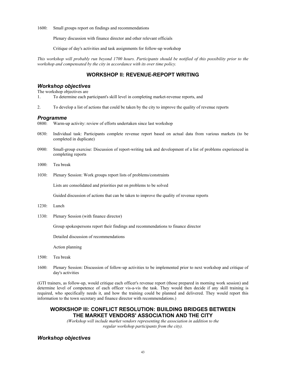1600: Small groups report on findings and recommendations

Plenary discussion with finance director and other relevant officials

Critique of day's activities and task assignments for follow-up workshop

*This workshop will probably run beyond 1700 hours. Participants should be notified of this possibility prior to the workshop and compensated by the city in accordance with its over time policy.* 

### **WORKSHOP lI: REVENUE-REPOPT WRITING**

### *Workshop objectives*

The workshop objectives are

- 1. To determine each participant's skill level in completing market-revenue reports, and
- 2. To develop a list of actions that could be taken by the city to improve the quality of revenue reports

#### *Programme*

0800: Warm-up activity: review of efforts undertaken since last workshop

- 0830: Individual task: Participants complete revenue report based on actual data from various markets (to be completed in duplicate)
- 0900: Small-group exercise: Discussion of report-writing task and development of a list of problems experienced in completing reports
- 1000: Tea break
- 1030: Plenary Session: Work groups report lists of problems/constraints

Lists are consolidated and priorities put on problems to be solved

Guided discussion of actions that can be taken to improve the quality of revenue reports

- 1230: Lunch
- 1330: Plenary Session (with finance director)

Group spokespersons report their findings and recommendations to finance director

Detailed discussion of recommendations

Action planning

- 1500: Tea break
- 1600: Plenary Session: Discussion of follow-up activities to be implemented prior to next workshop and critique of day's activities

(GTI trainers, as follow-up, would critique each officer's revenue report (those prepared in morning work session) and determine level of competence of each officer vis-a-vis the task. They would then decide if any skill training is required, who specifically needs it, and how the training could be planned and delivered. They would report this information to the town secretary and finance director with recommendations.)

### **WORKSHOP Ill: CONFLICT RESOLUTION: BUILDING BRIDGES BETWEEN THE MARKET VENDORS' ASSOCIATION AND THE CITY**

*(Workshop will include market vendors representing the association in addition to the regular workshop participants from the city).* 

#### *Workshop objectives*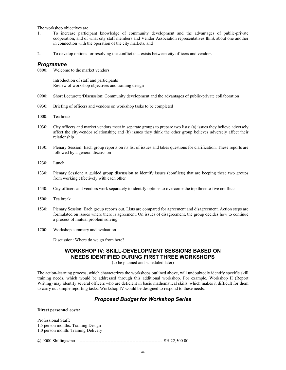The workshop objectives are

- 1. To increase participant knowledge of community development and the advantages of public-private cooperation, and of what city staff members and Vendor Association representatives think about one another in connection with the operation of the city markets, and
- 2. To develop options for resolving the conflict that exists between city officers and vendors

#### *Programme*

0800: Welcome to the market vendors

 Introduction of staff and participants Review of workshop objectives and training design

- 0900: Short Lecturette/Discussion: Community development and the advantages of public-private collaboration
- 0930: Briefing of officers and vendors on workshop tasks to be completed
- 1000: Tea break
- 1030: City officers and market vendors meet in separate groups to prepare two lists: (a) issues they believe adversely affect the city-vendor relationship; and (b) issues they think the other group believes adversely affect their relationship
- 1130: Plenary Session: Each group reports on its list of issues and takes questions for clarification. These reports are followed by a general discussion
- 1230: Lunch
- 1330: Plenary Session: A guided group discussion to identify issues (conflicts) that are keeping these two groups from working effectively with each other
- 1430: City officers and vendors work separately to identify options to overcome the top three to five conflicts
- 1500: Tea break
- 1530: Plenary Session: Each group reports out. Lists are compared for agreement and disagreement. Action steps are formulated on issues where there is agreement. On issues of disagreement, the group decides how to continue a process of mutual problem solving
- 1700: Workshop summary and evaluation

Discussion: Where do we go from here?

# **WORKSHOP IV: SKILL-DEVELOPMENT SESSIONS BASED ON NEEDS IDENTIFIED DURING FIRST THREE WORKSHOPS**

(to be planned and scheduled later)

The action-learning process, which characterizes the workshops outlined above, will undoubtedly identify specific skill training needs, which would be addressed through this additional workshop. For example, Workshop II (Report Writing) may identify several officers who are deficient in basic mathematical skills, which makes it difficult for them to carry out simple reporting tasks. Workshop IV would be designed to respond to these needs.

### *Proposed Budget for Workshop Series*

#### **Direct personnel costs:**

Professional Staff: 1.5 person months: Training Design 1.0 person month: Training Delivery

@ 9000 Shillings/mo -------------------------------------------------------- SH 22,500.00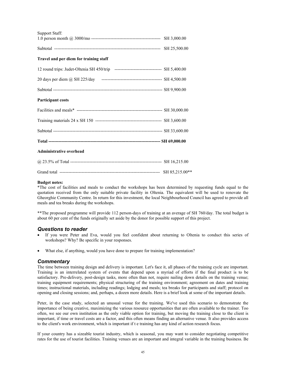| Support Staff:                                                                         |  |
|----------------------------------------------------------------------------------------|--|
|                                                                                        |  |
|                                                                                        |  |
| Travel and per diem for training staff                                                 |  |
| 12 round trips: Judet-Oltenia SH 450/trip -------------------------------- SH 5,400.00 |  |
|                                                                                        |  |
|                                                                                        |  |
| <b>Participant costs</b>                                                               |  |
|                                                                                        |  |
|                                                                                        |  |
|                                                                                        |  |
|                                                                                        |  |
| <b>Administrative overhead</b>                                                         |  |
|                                                                                        |  |
|                                                                                        |  |

#### **Budget notes:**

\*The cost of facilities and meals to conduct the workshops has been determined by requesting funds equal to the quotation received from the only suitable private facility in Oltenia. The equivalent will be used to renovate the Gheorghie Community Centre. In return for this investment, the local Neighbourhood Council has agreed to provide all meals and tea breaks during the workshops.

\*\*The proposed programme will provide 112 person-days of training at an average of SH 760/day. The total budget is about 60 per cent of the funds originally set aside by the donor for possible support of this project.

#### *Questions to reader*

- If you were Peter and Eva, would you feel confident about returning to Oltenia to conduct this series of workshops? Why? Be specific in your responses.
- What else, if anything, would you have done to prepare for training implementation?

#### *Commentary*

The time between training design and delivery is important. Let's face it, all phases of the training cycle are important. Training is an interrelated system of events that depend upon a myriad of efforts if the final product is to be satisfactory. Pre-delivery, post-design tasks, more often than not, require nailing down details on the training venue; training equipment requirements; physical structuring of the training environment; agreement on dates and training times; instructional materials, including readings; lodging and meals; tea breaks for participants and staff; protocol on opening and closing sessions; and, perhaps, a dozen more details. Here is a brief look at some of the important details.

Peter, in the case study, selected an unusual venue for the training. We've used this scenario to demonstrate the importance of being creative, maximizing the various resource opportunities that are often available to the trainer. Too often, we see our own institution as the only viable option for training, but moving the training close to the client is important, if time or travel costs are a factor, and this often means finding an alternative venue. It also provides access to the client's work environment, which is important if t e training has any kind of action research focus.

If your country has a sizeable tourist industry, which is seasonal, you may want to consider negotiating competitive rates for the use of tourist facilities. Training venues are an important and integral variable in the training business. Be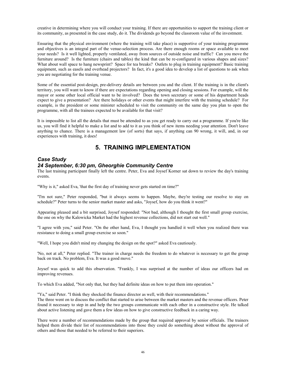creative in determining where you will conduct your training. If there are opportunities to support the training client or its community, as presented in the case study, do it. The dividends go beyond the classroom value of the investment.

Ensuring that the physical environment (where the training will take place) is supportive of your training programme and objectives is an integral part of the venue-selection process. Are there enough rooms or space available to meet your needs? Is it well lighted, properly ventilated, away from sources of outside noise and traffic? Can you move the furniture around? Is the furniture (chairs and tables) the kind that can be re-configured in various shapes and sizes? What about wall space to hang newsprint? Space for tea breaks? Outlets to plug in training equipment? Basic training equipment, such as easels and overhead projectors? In fact, it's a good idea to develop a list of questions to ask when you are negotiating for the training venue.

Some of the essential post-design, pre-delivery details are between you and the client. If the training is in the client's territory, you will want to know if there are expectations regarding opening and closing sessions. For example, will the mayor or some other local official want to be involved? Does the town secretary or some of his department heads expect to give a presentation? Are there holidays or other events that might interfere with the training schedule? For example, is the president or some minister scheduled to visit the community on the same day you plan to open the programme, with all the trainees expected to be available for that visit?

It is impossible to list all the details that must be attended to as you get ready to carry out a programme. If you're like us, you will find it helpful to make a list and to add to it as you think of new items needing your attention. Don't leave anything to chance. There is a management law (of sorts) that says, if anything can 90 wrong, it will, and, in our experiences with training, it does!

# **5. TRAINING IMPLEMENTATION**

### *Case Study 24 September, 6:30 pm, Gheorghie Community Centre*

The last training participant finally left the centre. Peter, Eva and Joysef Korner sat down to review the day's training events.

"Why is it," asked Eva, 'that the first day of training never gets started on time?"

"I'm not sure," Peter responded, "but it always seems to happen. Maybe, they're testing our resolve to stay on schedule?" Peter turns to the senior market master and asks, "Joysef, how do you think it went?"

Appearing pleased and a bit surprised, Joysef responded: "Not bad, although I thought the first small group exercise, the one on why the Kalowicka Market had the highest revenue collections, did not start out well."

"I agree with you," said Peter. "On the other hand, Eva, I thought you handled it well when you realized there was resistance to doing a small group exercise so soon."

"Well, I hope you didn't mind my changing the design on the spot?" asked Eva cautiously.

'No, not at all," Peter replied. "The trainer in charge needs the freedom to do whatever is necessary to get the group back on track. No problem, Eva. It was a good move."

Joysef was quick to add this observation. "Frankly, I was surprised at the number of ideas our officers had on improving revenues.

To which Eva added, "Not only that, but they had definite ideas on how to put them into operation."

"Ya," said Peter. "I think they shocked the finance director as well, with their recommendations."

The three went on to discuss the conflict that started to arise between the market masters and the revenue officers. Peter found it necessary to step in and help the two groups communicate with each other in a constructive style. He talked about active listening and gave them a few ideas on how to give constructive feedback in a caring way.

There were a number of recommendations made by the group that required approval by senior officials. The trainers helped them divide their list of recommendations into those they could do something about without the approval of others and those that needed to be referred to their superiors.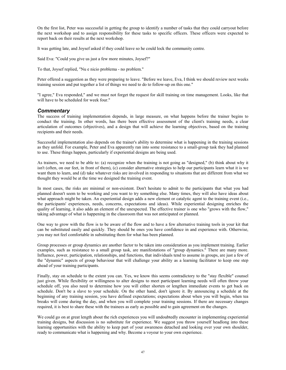On the first list, Peter was successful in getting the group to identify a number of tasks that they could carryout before the next workshop and to assign responsibility for these tasks to specific officers. These officers were expected to report back on their results at the next workshop.

It was getting late, and Joysef asked if they could leave so he could lock the community centre.

Said Eva: "Could you give us just a few more minutes, Joysef?"

To that, Joysef replied, "Nu e nicio problema - no problem."

Peter offered a suggestion as they were preparing to leave. "Before we leave, Eva, I think we should review next weeks training session and put together a list of things we need to do to follow-up on this one."

"I agree," Eva responded," and we must not forget the request for skill training on time management. Looks, like that will have to be scheduled for week four."

#### *Commentary*

The success of training implementation depends, in large measure, on what happens before the trainer begins to conduct the training. In other words, has there been effective assessment of the client's training needs, a clear articulation of outcomes (objectives), and a design that will achieve the learning objectives, based on the training recipients and their needs.

Successful implementation also depends on the trainer's ability to determine what is happening in the training sessions as they unfold. For example, Peter and Eva apparently ran into some resistance to a small-group task they had planned to use. These things happen, particularly if experiential designs are being used.

As trainers, we need to be able to: (a) recognize when the training is not going as "designed," (b) think about why it isn't (often, on our feet, in front of them), (c) consider alternative strategies to help our participants learn what it is we want them to learn, and (d) take whatever risks are involved in responding to situations that are different from what we thought they would be at the time we designed the training event.

In most cases, the risks are minimal or non-existent. Don't hesitate to admit to the participants that what you had planned doesn't seem to be working and you want to try something else. Many times, they will also have ideas about what approach might be taken. An experiential design adds a new element or catalytic agent to the training event (i.e., the participants' experiences, needs, concerns, expectations and ideas). While experiential designing enriches the quality of learning, it also adds an element of the unexpected. The effective trainer is one who "grows with the flow," taking advantage of what is happening in the classroom that was not anticipated or planned.

One way to grow with the flow is to be aware of the flow and to have a few alternative training tools in your kit that can be substituted easily and quickly. They should be ones you have confidence in and experience with. Otherwise, you may not feel comfortable in substituting them for what has been planned.

Group processes or group dynamics are another factor to be taken into consideration as you implement training. Earlier examples, such as resistance to a small group task, are manifestations of "group dynamics." There are many more. Influence, power, participation, relationships, and functions, that individuals tend to assume in groups, are just a few of the "dynamic" aspects of group behaviour that will challenge your ability as a learning facilitator to keep one step ahead of your training participants.

Finally, stay on schedule to the extent you can. Yes, we know this seems contradictory to the "stay flexible" counsel just given. While flexibility or willingness to alter designs to meet participant learning needs will often throw your schedule off, you also need to determine how you will either shorten or lengthen immediate events to get back on schedule. Don't be a slave to your schedule. On the other hand, don't ignore it. By announcing a schedule at the beginning of any training session, you have defined expectations; expectations about when you will begin, when tea breaks will come during the day, and when you will complete your training sessions. If there are necessary changes required, it is best to share these with the trainees as early as possible and to gain agreement on the changes.

We could go on at great length about the rich experiences you will undoubtedly encounter in implementing experiential training designs, but discussion is no substitute for experience. We suggest you throw yourself headlong into these learning opportunities with the ability to keep part of your awareness detached and looking over your own shoulder, ready to communicate what is happening and why. Become a voyeur to your own experience.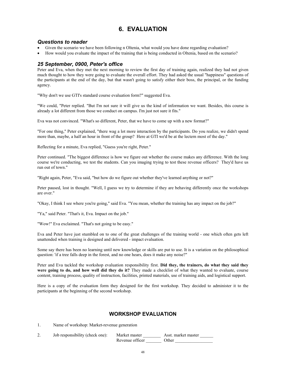# **6. EVALUATION**

### *Questions to reader*

- Given the scenario we have been following n Oltenia, what would you have done regarding evaluation?
- How would you evaluate the impact of the training that is being conducted in Oltenia, based on the scenario?

### *25 September, 0900, Peter's office*

Peter and Eva, when they met the next morning to review the first day of training again, realized they had not given much thought to how they were going to evaluate the overall effort. They had asked the usual "happiness" questions of the participants at the end of the day, but that wasn't going to satisfy either their boss, the principal, or the funding agency.

"Why don't we use GTI's standard course evaluation form?" suggested Eva.

"We could, "Peter replied. "But I'm not sure it will give us the kind of information we want. Besides, this course is already a lot different from those we conduct on campus. I'm just not sure it fits."

Eva was not convinced. "What's so different, Peter, that we have to come up with a new format?"

"For one thing," Peter explained, "there wag a lot more interaction by the participants. Do you realize, we didn't spend more than, maybe, a half an hour in front of the group? Here at GTI we'd be at the lectern most of the day."

Reflecting for a minute, Eva replied, "Guess you're right, Peter."

Peter continued. "The biggest difference is how we figure out whether the course makes any difference. With the long course we're conducting, we test the students. Can you imaging trying to test these revenue officers? They'd have us run out of town."

"Right again, Peter, "Eva said, "but how do we figure out whether they've learned anything or not?"

Peter paused, lost in thought. "Well, I guess we try to determine if they are behaving differently once the workshops are over."

"Okay, I think I see where you're going," said Eva. "You mean, whether the training has any impact on the job?"

"Ya," said Peter. "That's it, Eva. Impact on the job."

"Wow!" Eva exclaimed. "That's not going to be easy."

Eva and Peter have just stumbled on to one of the great challenges of the training world - one which often gets left unattended when training is designed and delivered - impact evaluation.

Some say there has been no learning until new knowledge or skills are put to use. It is a variation on the philosophical question: 'if a tree falls deep in the forest, and no one hears, does it make any noise?"

Peter and Eva tackled the workshop evaluation responsibility first. **Did they, the trainers, do what they said they were going to do, and how well did they do it?** They made a checklist of what they wanted to evaluate, course content, training process, quality of instruction, facilities, printed materials, use of training aids, and logistical support.

Here is a copy of the evaluation form they designed for the first workshop. They decided to administer it to the participants at the beginning of the second workshop.

### **WORKSHOP EVALUATION**

1. Name of workshop: Market-revenue generation

2. Job responsibility (check one): Market master \_\_\_\_\_\_\_\_\_\_\_\_ Asst. market master \_\_\_\_\_ Revenue officer \_\_\_\_\_\_\_\_\_\_\_\_ Other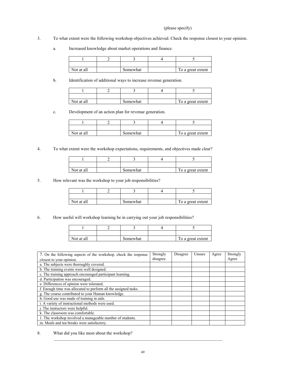#### (please specify)

- 3. To what extent were the following workshop objectives achieved. Check the response closest to your opinion.
	- a. Increased knowledge about market operations and finance.

| Not at all | Somewhat | To a great extent |
|------------|----------|-------------------|

b. Identification of additional ways to increase revenue generation.

| Not at all | Somewhat | To a great extent |
|------------|----------|-------------------|

c. Development of an action plan for revenue generation.

| Not at all | Somewhat | To a great extent |
|------------|----------|-------------------|

4. To what extent were the workshop expectations, requirements, and objectives made clear?

| Not at all | Somewhat | To a great extent |
|------------|----------|-------------------|

5. How relevant was the workshop to your job responsibilities?

| Not at all | Somewhat | To a great extent |
|------------|----------|-------------------|

6. How useful will workshop learning be in carrying out your job responsibilities?

| Not at all | Somewhat | To a great extent |
|------------|----------|-------------------|

| 7. On the following aspects of the workshop, check the response<br>closest to your opinion. |  | Disagree | Unsure | Agree | Strongly<br>Agree |
|---------------------------------------------------------------------------------------------|--|----------|--------|-------|-------------------|
| a. The subjects were thoroughly covered.                                                    |  |          |        |       |                   |
| b. The training events were well designed.                                                  |  |          |        |       |                   |
| c. The training approach encouraged participant learning.                                   |  |          |        |       |                   |
| d. Participation was encouraged.                                                            |  |          |        |       |                   |
| e. Differences of opinion were tolerated.                                                   |  |          |        |       |                   |
| f. Enough time was allocated to perform all the assigned tasks.                             |  |          |        |       |                   |
| g. The course contributed to your Human knowledge.                                          |  |          |        |       |                   |
| h. Good use was made of training in aids.                                                   |  |          |        |       |                   |
| i. A variety of instructional methods were used.                                            |  |          |        |       |                   |
| The instructors were helpful.                                                               |  |          |        |       |                   |
| k. The classroom was comfortable.                                                           |  |          |        |       |                   |
| 1. The workshop involved a manageable number of students.                                   |  |          |        |       |                   |
| m. Meals and tea breaks were satisfactory.                                                  |  |          |        |       |                   |

8. What did you like most about the workshop?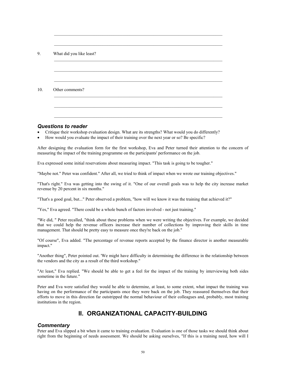| What did you like least? |  |  |
|--------------------------|--|--|
|                          |  |  |
|                          |  |  |
|                          |  |  |
|                          |  |  |
| Other comments?          |  |  |
|                          |  |  |
|                          |  |  |

#### *Questions to reader*

- Critique their workshop evaluation design. What are its strengths? What would you do differently?
- How would you evaluate the impact of their training over the next year or so? Be specific?

After designing the evaluation form for the first workshop, Eva and Peter turned their attention to the concern of measuring the impact of the training programme on the participants' performance on the job.

Eva expressed some initial reservations about measuring impact. "This task is going to be tougher."

"Maybe not." Peter was confident." After all, we tried to think of impact when we wrote our training objectives."

"That's right." Eva was getting into the swing of it. "One of our overall goals was to help the city increase market revenue by 20 percent in six months."

"That's a good goal, but..." Peter observed a problem, "how will we know it was the training that achieved it?"

"Yes," Eva agreed. "There could be a whole bunch of factors involved - not just training."

"We did, " Peter recalled, "think about these problems when we were writing the objectives. For example, we decided that we could help the revenue officers increase their number of collections by improving their skills in time management. That should be pretty easy to measure once they're back on the job."

"Of course", Eva added. "The percentage of revenue reports accepted by the finance director is another measurable impact."

"Another thing", Peter pointed out. 'We might have difficulty in determining the difference in the relationship between the vendors and the city as a result of the third workshop."

"At least," Eva replied. "We should be able to get a feel for the impact of the training by interviewing both sides sometime in the future."

Peter and Eva were satisfied they would he able to determine, at least, to some extent, what impact the training was having on the performance of the participants once they were back on the job. They reassured themselves that their efforts to move in this direction far outstripped the normal behaviour of their colleagues and, probably, most training institutions in the region.

# **II. ORGANIZATIONAL CAPACITY-BUILDING**

#### *Commentary*

Peter and Eva slipped a bit when it came to training evaluation. Evaluation is one of those tasks we should think about right from the beginning of needs assessment. We should be asking ourselves, "If this is a training need, how will I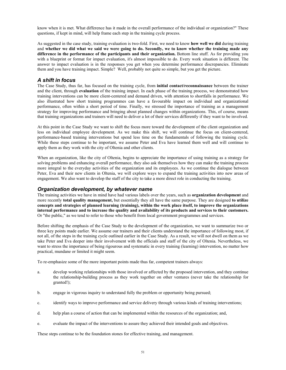know when it is met. What difference has it made in the overall performance of the individual or organization?" These questions, if kept in mind, will help frame each step in the training cycle process.

As suggested in the case study, training evaluation is two-fold. First, we need to know **how well we did** during training and **whether we did what we said we were going to do. Secondly, we to know whether the training made any difference in the performance of the participants and their organization.** Bottom line stuff. As for providing you with a blueprint or format for impact evaluation, it's almost impossible to do. Every work situation is different. The answer to impact evaluation is in the responses you get when you determine performance discrepancies. Eliminate them and you have training impact. Simple? Well, probably not quite so simple, but you get the picture.

#### *A shift in focus*

The Case Study, thus far, has focused on the training cycle, from **initial contact/reconnaissance** between the trainer and the client, through **evaluation** of the training impact. In each phase of the training process, we demonstrated how training interventions can be more client-centered and demand driven, with attention to shortfalls in performance. We also illustrated how short training programmes can have a favourable impact on individual and organizational performance, often within a short period of time. Finally, we stressed the importance of training as a management strategy for improving performance and bringing about planned changes within organizations. This, of course, means that training organizations and trainers will need to deliver a lot of their services differently if they want to be involved.

At this point in the Case Study we want to shift the focus more toward the development of the client organization and less on individual employee development. As we make this shift, we will continue the focus on client-centered, performance-based training interventions but spend less time on the fundamentals of following the training cycle. While these steps continue to be important, we assume Peter and Eva have learned them well and will continue to apply them as they work with the city of Oltenia and other clients.

When an organization, like the city of Oltenia, begins to appreciate the importance of using training as a strategy for solving problems and enhancing overall performance, they also ask themselves how they can make the training process more integral to the everyday activities of the organization and its employees. As we continue the dialogue between Peter, Eva and their new clients in Oltenia, we will explore ways to expand the training activities into new areas of engagement. We also want to develop the staff of the city to take a more direct role in conducting the training.

#### *Organization development, by whatever name*

The training activities we have in mind have had various labels over the years, such as **organization development** and more recently **total quality management,** but essentially they all have the same purpose. They are designed **to utilize concepts and strategies of planned learning (training), within the work place itself, to improve the organizations internal performance and to increase the quality and availability of its products and services to their customers.**  Or "the public," as we tend to refer to those who benefit from local government programmes and services.

Before shifting the emphasis of the Case Study to the development of the organization, we want to summarize two or three key points made earlier. We assume our trainers and their clients understand the importance of following most, if not all, of the steps in the training cycle outlined earlier in the Case Study. As a result, we will not dwell on them as we take Peter and Eva deeper into their involvement with the officials and staff of the city of Oltenia. Nevertheless, we want to stress the importance of being rigourous and systematic in every training (learning) intervention, no matter how practical, mundane or limited it might seem.

To re-emphasize some of the more important points made thus far, competent trainers always:

- a. develop working relationships with those involved or affected by the proposed intervention, and they continue the relationship-building process as they work together on other ventures (never take the relationship for granted!);
- b. engage in vigorous inquiry to understand fully the problem or opportunity being pursued;
- c. identify ways to improve performance and service delivery through various kinds of training interventions;
- d. help plan a course of action that can be implemented within the resources of the organization; and,
- e. evaluate the impact of the interventions to assure they achieved their intended goals and objectives.

These steps continue to be the foundation stones for effective training, and management.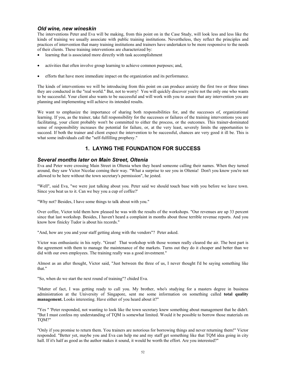#### *Old wine, new wineskin*

The interventions Peter and Eva will be making, from this point on in the Case Study, will look less and less like the kinds of training we usually associate with public training institutions. Nevertheless, they reflect the principles and practices of intervention that many training institutions and trainers have undertaken to be more responsive to the needs of their clients. These training interventions are characterized by:

- learning that is associated more directly with task accomplishment
- activities that often involve group learning to achieve common purposes; and,
- efforts that have more immediate impact on the organization and its performance.

The kinds of interventions we will be introducing from this point on can produce anxiety the first two or three times they are conducted in the "real world." But, not to worry! You will quickly discover you're not the only one who wants to be successful. Your client also wants to be successful and will work with you to assure that any intervention you are planning and implementing will achieve its intended results.

We want to emphasize the importance of sharing both responsibilities for, and the successes of, organizational learning. If you, as the trainer, take full responsibility for the successes or failures of the training interventions you are facilitating, your client probably won't be committed to either the process, or the outcomes. This trainer-dominated sense of responsibility increases the potential for failure, or, at the very least, severely limits the opportunities to succeed. If both the trainer and client expect the intervention to be successful, chances are very good it ill be. This is what some individuals call the "self-fulfilling prophesy."

### **1. LAYING THE FOUNDATION FOR SUCCESS**

### *Several months later on Main Street, Oltenia*

Eva and Peter were crossing Main Street in Oltenia when they heard someone calling their names. When they turned around, they saw Victor Nicolae coming their way. "What a surprise to see you in Oltenia! Don't you know you're not allowed to be here without the town secretary's permission", he jested.

"Well", said Eva, "we were just talking about you. Peter said we should touch base with you before we leave town. Since you beat us to it. Can we buy you a cup of coffee?'

"Why not? Besides, I have some things to talk about with you."

Over coffee, Victor told them how pleased he was with the results of the workshops. "Our revenues are up 33 percent since that last workshop. Besides, I haven't heard a complaint in months about those terrible revenue reports. And you know how finicky Tudor is about his records."

"And, how are you and your staff getting along with the vendors"? Peter asked.

Victor was enthusiastic in his reply. "Great! That workshop with those women really cleared the air. The best part is the agreement with them to manage the maintenance of the markets. Turns out they do it cheaper and better than we did with our own employees. The training really was a good investment."

Almost as an after thought, Victor said, "Just between the three of us, I never thought I'd be saying something like that."

"So, when do we start the next round of training"? chided Eva.

"Matter of fact, I was getting ready to call you. My brother, who's studying for a masters degree in business administration at the University of Singapore, sent me some information on something called **total quality management.** Looks interesting. Have either of you heard about it?"

"Yes " 'Peter responded, not wanting to look like the town secretary knew something about management that he didn't. "But I must confess my understanding of TQM is somewhat limited. Would it be possible to borrow those materials on TQM?"

"Only if you promise to return them. You trainers are notorious for borrowing things and never returning them!" Victor responded. "Better yet, maybe you and Eva can help me and my staff get something like that TQM idea going in city hall. If it's half as good as the author makes it sound, it would be worth the effort. Are you interested?"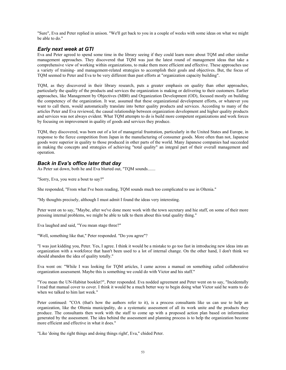"Sure", Eva and Peter replied in unison. "We'll get back to you in a couple of weeks with some ideas on what we might be able to do."

### *Early next week at GTI*

Eva and Peter agreed to spend some time in the library seeing if they could learn more about TQM and other similar management approaches. They discovered that TQM was just the latest round of management ideas that take a comprehensive view of working within organizations, to make them more efficient and effective. These approaches use a variety of training- and management-related strategies to accomplish their goals and objectives. But, the focus of TQM seemed to Peter and Eva to be very different than past efforts at "organization capacity building".

TQM, as they discovered in their library research, puts a greater emphasis on quality than other approaches, particularly the quality of the products and services the organization is making or delivering to their customers. Earlier approaches, like Management by Objectives (MB0) and Organization Development (OD), focused mostly on building the competency of the organization. It war, assumed that these organizational development efforts, or whatever you want to call them, would automatically translate into better quality products and services. According to many of the articles Peter and Eva reviewed, the causal relationship between organization development and higher quality products and services was not always evident. What TQM attempts to do is build more competent organizations and work forces by focusing on improvement in quality of goods and services they produce.

TQM, they discovered, was born out of a lot of managerial frustration, particularly in the United States and Europe, in response to the fierce competition from Japan in the manufacturing of consumer goods. More often than not, Japanese goods were superior in quality to those produced in other parts of the world. Many Japanese companies had succeeded in making the concepts and strategies of achieving "total quality" an integral part of their overall management and operation.

### *Back in Eva's office later that day*

As Peter sat down, both he and Eva blurted out, "TQM sounds.......

"Sorry, Eva, you were a bout to say?"

She responded, "From what I've been reading, TQM sounds much too complicated to use in Oltenia."

"My thoughts precisely, although I must admit I found the ideas very interesting.

Peter went on to say, "Maybe, after we've done more work with the town secretary and hie staff, on some of their more pressing internal problems, we might be able to talk to them about this total quality thing."

Eva laughed and said, "You mean stage three?"

"Well, something like that," Peter responded. "Do you agree"?

"I was just kidding you, Peter. Yes, I agree. I think it would be a mistake to go too fast in introducing new ideas into an organization with a workforce that hasn't been used to a lot of internal change. On the other hand, I don't think we should abandon the idea of quality totally."

Eva went on: "While I was looking for TQM articles, I came across a manual on something called collaborative organization assessment. Maybe this is something we could do with Victor and his staff."

"You mean the UN-Habitat booklet?", Peter responded. Eva nodded agreement and Peter went on to say, "Incidentally I read that manual cover to cover. I think it would be a much better way to begin doing what Victor said he wants to do when we talked to him last week."

Peter continued: "COA (that's how the authors refer to it), is a process consultants like us can use to help an organization, like the Oltenia municipality, do a systematic assessment of all its work unite and the products they produce. The consultants then work with the staff to come up with a proposed action plan based on information generated by the assessment. The idea behind the assessment and planning process is to help the organization become more efficient and effective in what it does."

"Like 'doing the right things and doing things right', Eva," chided Peter.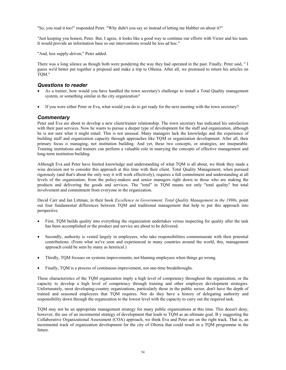"So, you read it too!" responded Peter. "Why didn't you say so instead of letting me blabber on about it?"

"Just keeping you honest, Peter. But, I agree, it looks like a good way to continue our efforts with Victor and his team. It would provide an information base so our interventions would be less ad hoc."

"And, less supply-driven," Peter added.

There was a long silence as though both were pondering the way they had operated in the past. Finally, Peter said, " I guess we'd better put together a proposal and make a trip to Oltenia. After all, we promised to return his articles on TQM."

#### *Questions to reader*

- As a trainer, how would you have handled the town secretary's challenge to install a Total Quality management system, or something similar in the city organization?
- If you were either Peter or Eva, what would you do to get ready for the next meeting with the town secretary?

#### *Commentary*

Peter and Eva are about to develop a new client/trainer relationship. The town secretary has indicated his satisfaction with their past services. Now he wants to pursue a deeper type of development for the staff and organization, although he is not sure what it might entail. This is not unusual. Many managers lack the knowledge and the experience of building staff and organization capacity through approaches like TQM or organization development. After all, their primary focus *is* managing, not institution building. And yet, these two concepts, or strategies, are inseparable. Training institutions and trainers can perform a valuable role in marrying the concepts of effective management and long-term institution building.

Although Eva and Peter have limited knowledge and understanding of what TQM is all about, we think they made a wise decision not to consider this approach at this time with their client. Total Quality Management, when pursued rigorously (and that's about the only way it will work effectively), requires a full commitment and understanding at all levels of the organization; from the policy-makers and senior managers right down to those who are making the products and delivering the goods and services. The "total" in TQM means not only "total quality" but total involvement and commitment from everyone in the organization.

David Carr and Ian Littman, in their book *Excellence in Government, Total Quality Management in the 1990s*, point out four fundamental differences between TQM and traditional management that help to put this approach into perspective.

- First, TQM builds quality into everything the organization undertakes versus inspecting for quality after the task has been accomplished or the product and service are about to be delivered.
- Secondly, authority is vested largely in employees, who take responsibilities commensurate with their potential contributions. (From what we've seen and experienced in many countries around the world, this, management approach could be seen by many as heretical.)
- Thirdly, TQM focuses on systems improvements, not blaming employees when things go wrong.
- Finally, TQM is a process of continuous improvement, not one-time breakthroughs.

These characteristics of the TQM organization imply a high level of competency throughout the organization, or the capacity to develop a high level of competency through training and other employee development strategies. Unfortunately, most developing-country organizations, particularly those in the public sector, don't have the depth of trained and seasoned employees that TQM requires. Nor do they have a history of delegating authority and responsibility down through the organization to the lowest level with the capacity to carry out the required task.

TQM may not be an appropriate management strategy for many public organizations at this time. This doesn't deny, however, the use of an incremental strategy of development that leads to TQM as an ultimate goal. B y suggesting the Collaborative Organizational Assessment (COA) approach, we think Eva and Peter are on the right track. That is, an incremental track of organization development for the city of Oltenia that could result in a TQM programme in the future.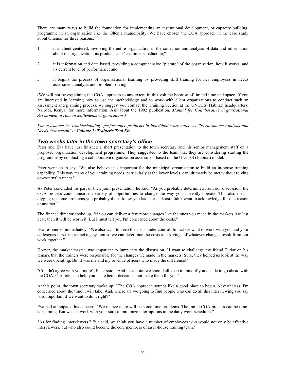There are many ways to build the foundation for implementing an institutional development, or capacity building, programme in an organization like the Oltenia municipality. We have chosen the COA approach in the case study about Oltenia, for three reasons:

- 1. it is client-centered, involving the entire organization in the collection and analysis of data and information about the organization, its products and "customer satisfaction;"
- 2. it is information and data based, providing a comprehensive "picture" of the organization, how it works, and its current level of performance; and,
- 3. it begins the process of organizational learning by providing skill training for key employees in needs assessment, analysis and problem solving.

(We will not be explaining the COA approach to any extent in this volume because of limited time and space. If you are interested in learning how to use the methodology and to work with client organizations to conduct such an assessment and planning process, we suggest you contact the Training Section at the UNCHS (Habitat) headquarters, Nairobi, Kenya, for more information. Ask about the 1992 publication, *Manual for Collaborative Organizational Assessment in Human Settlements Organizations.)*

*For assistance in "troubleshooting" performance problems in individual work units, see "Performance Analysis and Needs Assessment" in Volume 2: Trainer's Tool Kit.*

#### *Two weeks later in the town secretary's office*

Peter and Eva have just finished a short presentation to the town secretary and his senior management staff on a proposed organization development programme. They suggested to the team that they are considering starting the programme by conducting a collaborative organization assessment based on the UNCHS (Habitat) model.

Peter went on to say, "We also believe it is important for the municipal organization to build an in-house training capability. This way many of your training needs, particularly at the lower levels, can ultimately be met without relying on-external trainers."

As Peter concluded his part of their joint presentation, he said, "As you probably determined from our discussion, the COA process could unearth a variety of opportunities to change the way you currently operate. This also means digging up some problems you probably didn't know you had - or, at least, didn't want to acknowledge for one reason or another."

The finance director spoke up, "if you can deliver a few more changes like the ones you made in the markets late last year, then it will be worth it. But I must tell you I'm concerned about the costs."

Eva responded immediately, "We also want to keep the costs under control. In fact we want to work with you and your colleagues to set up a tracking system so we can determine the costs and savings of whatever changes result from our work together."

Korner, the market master, was impatient to jump into the discussion, "I want to challenge my friend Tudor on his remark that the trainers were responsible for the changes we made in the markets. Sure, they helped us look at the way we were operating. But it was me and my revenue officers who made the difference!"

"Couldn't agree with you more", Peter said. "And it's a point we should all keep in mind if you decide to go ahead with the COA. Our role is to help you make better decisions, not make them for you."

At this point, the town secretary spoke up: "The COA approach sounds like a good place to begin. Nevertheless, I'm concerned about the time it will take. And, where are we going to find people who can do all this interviewing you say is so important if we want to do it right?"

Eva had anticipated his concern. "We realize there will be some time problems. The initial COA process can be timeconsuming. But we can work with your staff to minimize interruptions in the daily work schedules."

"As for finding interviewers," Eva said, we think you have a number of employees who would not only be effective interviewers, but who also could become the core members of an in-house training team."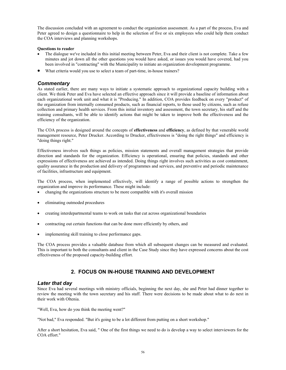The discussion concluded with an agreement to conduct the organization assessment. As a part of the process, Eva and Peter agreed to design a questionnaire to help in the selection of five or six employees who could help them conduct the COA interviews and planning workshops.

#### **Questions to reader**

- The dialogue we've included in this initial meeting between Peter, Eva and their client is not complete. Take a few minutes and jot down all the other questions you would have asked, or issues you would have covered, had you been involved in "contracting" with the Municipality to initiate an organization development programme.
- What criteria would you use to select a team of part-time, in-house trainers?

### *Commentary*

As stated earlier, there are many ways to initiate a systematic approach to organizational capacity building with a client. We think Peter and Eva have selected an effective approach since it will provide a baseline of information about each organizational work unit and what it is "Producing." In addition, COA provides feedback on every "product" of the organization from internally consumed products, such as financial reports, to those used by citizens, such as refuse collection and primary health services. From this initial inventory and assessment, the town secretary, his staff and the training consultants, will be able to identify actions that might be taken to improve both the effectiveness and the efficiency of the organization.

The COA process is designed around the concepts of **effectiveness** and **efficiency**, as defined by that venerable world management resource, Peter Drucker. According to Drucker, effectiveness is "doing the right things" and efficiency is "doing things right."

Effectiveness involves such things as policies, mission statements and overall management strategies that provide direction and standards for the organization. Efficiency is operational, ensuring that policies, standards and other expressions of effectiveness are achieved as intended. Doing things right involves such activities as cost containment, quality assurance in the production and delivery of programmes and services, and preventive and periodic maintenance of facilities, infrastructure and equipment.

The COA process, when implemented effectively, will identify a range of possible actions to strengthen the organization and improve its performance. These might include:

- changing the organizations structure to be more compatible with it's overall mission
- eliminating outmoded procedures
- creating interdepartmental teams to work on tasks that cut across organizational boundaries
- contracting out certain functions that can be done more efficiently by others, and
- implementing skill training to close performance gaps.

The COA process provides a valuable database from which all subsequent changes can be measured and evaluated. This is important to both the consultants and client in the Case Study since they have expressed concerns about the cost effectiveness of the proposed capacity-building effort.

### **2. FOCUS ON IN-HOUSE TRAINING AND DEVELOPMENT**

#### *Later that day*

Since Eva had several meetings with ministry officials, beginning the next day, she and Peter had dinner together to review the meeting with the town secretary and his staff. There were decisions to be made about what to do next in their work with Oltenia.

"Well, Eva, how do you think the meeting went?"

"Not bad," Eva responded. "But it's going to be a lot different from putting on a short workshop."

After a short hesitation, Eva said, " One of the first things we need to do is develop a way to select interviewers for the COA effort."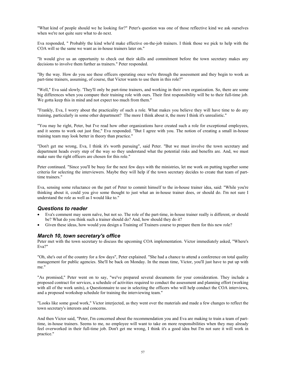"What kind of people should we he looking for?" Peter's question was one of those reflective kind we ask ourselves when we're not quite sure what to do next.

Eva responded, " Probably the kind who'd make effective on-the-job trainers. I think those we pick to help with the COA will se the same we want as in-house trainers later on."

"It would give us an opportunity to check out their skills and commitment before the town secretary makes any decisions to involve them further as trainers." Peter responded.

"By the way. How do you see these officers operating once we're through the assessment and they begin to work as part-time trainers, assuming, of course, that Victor wants to use them in this role?"

"Well," Eva said slowly. 'They'll only be part-time trainers, and working in their own organization. So, there are some big differences when you compare their training role with ours. Their first responsibility will be to their full-time job. We gotta keep this in mind and not expect too much from them."

"Frankly, Eva, I worry about the practicality of such a role. What makes you believe they will have time to do any training, particularly in some other department? The more I think about it, the more I think it's unrealistic."

"You may he right, Peter, but I've read how other organizations have created such a role for exceptional employees, and it seems to work out just fine," Eva responded. "But I agree with you. The notion of creating a small in-house training team may look better in theory than practice."

"Don't get me wrong, Eva, I think it's worth pursuing", said Peter. "But we must involve the town secretary and department heads every step of the way so they understand what the potential risks and benefits are. And, we must make sure the right officers are chosen for this role."

Peter continued. "Since you'll be busy for the next few days with the ministries, let me work on putting together some criteria for selecting the interviewers. Maybe they will help if the town secretary decides to create that team of parttime trainers."

Eva, sensing some reluctance on the part of Peter to commit himself to the in-house trainer idea, said: "While you're thinking about it, could you give some thought to just what an in-house trainer does, or should do. I'm not sure I understand the role as well as I would like to."

#### *Questions to reader*

- Eva's comment may seem naïve, but not so. The role of the part-time, in-house trainer really is different, or should be? What do you think such a trainer should do? And, how should they do it?
- Given these ideas, how would you design a Training of Trainers course to prepare them for this new role?

#### *March 10, town secretary's office*

Peter met with the town secretary to discuss the upcoming COA implementation. Victor immediately asked, "Where's Eva?"

"Oh, she's out of the country for a few days", Peter explained. "She had a chance to attend a conference on total quality management for public agencies. She'll be back on Monday. In the mean time, Victor, you'll just have to put up with me."

"As promised," Peter went on to say, "we've prepared several documents for your consideration. They include a proposed contract for services, a schedule of activities required to conduct the assessment and planning effort (working with all of the work units), a Questionnaire to use in selecting the officers who will help conduct the COA interviews, and a proposed workshop schedule for training the interviewing team."

"Looks like some good work," Victor interjected, as they went over the materials and made a few changes to reflect the town secretary's interests and concerns.

And then Victor said, "Peter, I'm concerned about the recommendation you and Eva are making to train a team of parttime, in-house trainers. Seems to me, no employee will want to take on more responsibilities when they may already feel overworked in their full-time job. Don't get me wrong, I think it's a good idea but I'm not sure it will work in practice."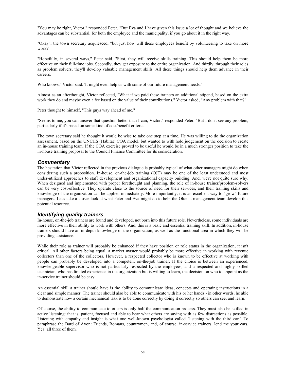"You may be right, Victor," responded Peter. "But Eva and I have given this issue a lot of thought and we believe the advantages can be substantial, for both the employee and the municipality, if you go about it in the right way.

"Okay", the town secretary acquiesced, "but just how will these employees benefit by volunteering to take on more work?'

"Hopefully, in several ways," Peter said. "First, they will receive skills training. This should help them be more effective on their full-time jobs. Secondly, they get exposure to the entire organization. And thirdly, through their roles as problem solvers, they'll develop valuable management skills. All these things should help them advance in their careers.

Who knows," Victor said. 'It might even help us with some of our future management needs."

Almost as an afterthought, Victor reflected, "What if we paid these trainers an additional stipend, based on the extra work they do and maybe even a fee based on the value of their contributions." Victor asked, "Any problem with that?"

Peter thought to himself, "This guys way ahead of me."

"Seems to me, you can answer that question better than I can, Victor," responded Peter. "But I don't see any problem, particularly if it's based on some kind of cost/benefit criteria.

The town secretary said he thought it would be wise to take one step at a time. He was willing to do the organization assessment, based on the UNCHS (Habitat) COA model, but wanted to with hold judgement on the decision to create an in-house training team. If the COA exercise proved to be useful he would be in a much stronger position to take the in-house training proposal to the Council Finance Committee for its consideration.

### *Commentary*

The hesitation that Victor reflected in the previous dialogue is probably typical of what other managers might do when considering such a proposition. In-house, on-the-job training (OJT) may be one of the least understood and most under-utilized approaches to staff development and organizational capacity building. And, we're not quite sure why. When designed and implemented with proper forethought and planning, the role of in-house trainer/problem-solvers can be very cost-effective. They operate close to the source of need for their services, and their training skills and knowledge of the organization can be applied immediately. More importantly, it is an excellent way to "grow" future managers. Let's take a closer look at what Peter and Eva might do to help the Oltenia management team develop this potential resource.

### *Identifying quality trainers*

In-house, on-the-job trainers are found and developed, not born into this future role. Nevertheless, some individuals are more effective in their ability to work with others. And, this is a basic and essential training skill. In addition, in-house trainers should have an in-depth knowledge of the organization, as well as the functional area in which they will be providing assistance.

While their role as trainer will probably be enhanced if they have position or role status in the organization, it isn't critical. All other factors being equal, a market master would probably be more effective in working with revenue collectors than one of the collectors. However, a respected collector who is known to be effective at working with people can probably be developed into a competent on-the-job trainer. If the choice is between an experienced, knowledgeable supervisor who is not particularly respected by the employees, and a respected and highly skilled technician, who has limited experience in the organization but is willing to learn, the decision on who to appoint as the in-service trainer should be easy.

An essential skill a trainer should have is the ability to communicate ideas, concepts and operating instructions in a clear and simple manner. The trainer should also be able to communicate with his or her hands - in other words, he able to demonstrate how a certain mechanical task is to be done correctly by doing it correctly so others can see, and learn.

Of course, the ability to communicate to others is only half the communication process. They must also be skilled in active listening: that is, patient, focused and able to hear what others are saying with as few distractions as possible. Listening with empathy and insight is what one well-known psychologist called "listening with the third ear." To paraphrase the Bard of Avon: Friends, Romans, countrymen, and, of course, in-service trainers, lend me your ears. Yea, all three of them.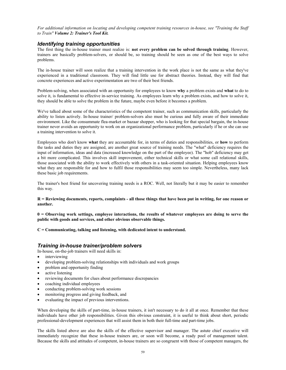*For additional information on locating and developing competent training resources in-house, see "Training the Staff to Train" Volume 2: Trainer's Tool Kit.*

#### *Identifying training opportunities*

The first thing the in-house trainer must realize is: **not every problem can be solved through training**. However, trainers are basically problem-solvers, or should be, so training should be seen as one of the best ways to solve problems.

The in-house trainer will soon realize that a training intervention in the work place is not the same as what they've experienced in a traditional classroom. They will find little use for abstract theories. Instead, they will find that concrete experiences and active experimentation are two of their best friends.

Problem-solving, when associated with an opportunity for employees to know **why** a problem exists and **what** to do to solve it, is fundamental to effective in-service training. As employees learn why a problem exists, and how to solve it, they should be able to solve the problem in the future, maybe even before it becomes a problem.

We've talked about some of the characteristics of the competent trainer, such as communication skills, particularly the ability to listen actively. In-house trainer/ problem-solvers also must be curious and fully aware of their immediate environment. Like the consummate flea-market or bazaar shopper, who is looking for that special bargain, the in-house trainer never avoids an opportunity to work on an organizational performance problem, particularly if he or she can use a training intervention to solve it.

Employees who don't know **what** they are accountable for, in terms of duties and responsibilities, or **how** to perform the tasks and duties they are assigned, are another great source of training needs. The "what" deficiency requires the input of information, ideas and data (increased knowledge on the part of the employee). The "hob" deficiency may get a bit more complicated. This involves skill improvement, either technical skills or what some call relational skills, those associated with the ability to work effectively with others in a task-oriented situation. Helping employees know what they are responsible for and how to fulfil those responsibilities may seem too simple. Nevertheless, many lack these basic job requirements.

The trainer's best friend for uncovering training needs is a ROC. Well, not literally but it may be easier to remember this way.

**R = Reviewing documents, reports, complaints - all those things that have been put in writing, for one reason or another.** 

**0 = Observing work settings, employee interactions, the results of whatever employees are doing to serve the public with goods and services, and other obvious observable things.** 

**C = Communicating, talking and listening, with dedicated intent to understand.** 

#### *Training in-house trainer/problem solvers*

In-house, on-the-job trainers will need skills in:

- interviewing
- developing problem-solving relationships with individuals and work groups
- problem and opportunity finding
- active listening
- reviewing documents for clues about performance discrepancies
- coaching individual employees
- conducting problem-solving work sessions
- monitoring progress and giving feedback, and
- evaluating the impact of previous interventions.

When developing the skills of part-time, in-house trainers, it isn't necessary to do it all at once. Remember that these individuals have other job responsibilities. Given this obvious constraint, it is useful to think about short, periodic professional-development experiences that will assist them in both their full-time and part-time jobs.

The skills listed above are also the skills of the effective supervisor and manager. The astute chief executive will immediately recognize that these in-house trainers are, or soon will become, a ready pool of management talent. Because the skills and attitudes of competent, in-house trainers are so congruent with those of competent managers, the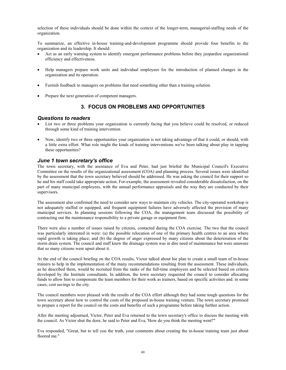selection of these individuals should be done within the context of the longer-term, managerial-staffing needs of the organization.

To summarize, an effective in-house training-and-development programme should provide four benefits to the organization and its leadership. It should:

- Act as an early warning system to identify emergent performance problems before they jeopardize organizational efficiency and effectiveness.
- Help managers prepare work units and individual employees for the introduction of planned changes in the organization and its operation.
- Furnish feedback to managers on problems that need something other than a training solution.
- Prepare the next generation of competent managers.

### **3. FOCUS ON PROBLEMS AND OPPORTUNITIES**

#### *Questions to readers*

- List two or three problems your organization is currently facing that you believe could be resolved, or reduced through some kind of training intervention
- Now, identify two or three opportunities your organization is not taking advantage of that it could, or should, with a little extra effort. What role might the kinds of training interventions we've been talking about play in tapping these opportunities?

### *June 1 town secretary's office*

The town secretary, with the assistance of Eva and Peter, had just briefed the Municipal Council's Executive Committee on the results of the organizational assessment (COA) and planning process. Several issues were identified by the assessment that the town secretary believed should be addressed. He was asking the council for their support so he and his staff could take appropriate action. For-example, the assessment revealed considerable dissatisfaction, on the part of many municipal employees, with the annual performance appraisals and the way they are conducted by their supervisors.

The assessment also confirmed the need to consider new ways to maintain city vehicles. The city-operated workshop is not adequately staffed or equipped, and frequent equipment failures have adversely affected the provision of many municipal services. In planning sessions following the COA, the management team discussed the possibility of contracting out the maintenance responsibility to a private garage or equipment firm.

There were also a number of issues raised by citizens, contacted during the COA exercise. The two that the council was particularly interested in were: (a) the possible relocation of one of the primary health centres to an area where rapid growth is taking place; and (b) the degree of anger expressed by many citizens about the deterioration of the storm drain system. The council and staff knew the drainage system was in dire need of maintenance but were unaware that so many citizens were upset about it.

At the end of the council briefing on the COA results, Victor talked about hie plan to create a small team of in-house trainers to help in the implementation of the many recommendations resulting from the assessment. These individuals, as he described them, would be recruited from the ranks of the full-time employees and be selected based on criteria developed by the Institute consultants. In addition, the town secretary requested the council to consider allocating funds to allow him to compensate the team members for their work as trainers, based on specific activities and. in some cases, cost savings to the city.

The council members were pleased with the results of the COA effort although they had some tough questions for the town secretary about how to control the costs of the proposed in-house training venture. The town secretary promised to prepare a report for the council on the costs and benefits of such a programme before taking further action.

After the meeting adjourned, Victor, Peter and Eva returned to the town secretary's office to discuss the meeting with the council. As Victor shut the door, he said to Peter and Eva, 'How do you think the meeting went?"

Eva responded, "Great, but to tell you the truth, your comments about creating the in-house training team just about floored me."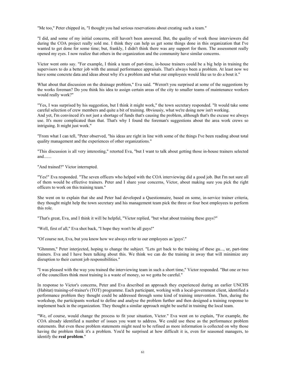"Me too," Peter chipped in, "I thought you had serious reservations about creating such a team."

"I did, and some of my initial concerns, still haven't been answered. But, the quality of work those interviewers did during the COA project really sold me. I think they can help us get some things done in this organization that I've wanted to get done for some time; but, frankly, I didn't think there was any support for them. The assessment really opened my eyes. I now realize that others in the organization and the community have similar concerns.

Victor went onto say. "For example, I think a team of part-time, in-house trainers could be a big help in training the supervisors to do a better job with the annual performance appraisals. That's always been a problem. At least now we have some concrete data and ideas about why it's a problem and what our employees would like us to do a bout it."

What about that discussion on the drainage problem," Eva said. "Weren't you surprised at some of the suggestions by the works foreman? Do you think his idea to assign certain areas of the city to smaller teams of maintenance workers would really work?"

"Yes, I was surprised by his suggestion, but I think it might work," the town secretary responded. "It would take some careful selection of crew members and quite a bit of training. 0bviousiy, what we're doing now isn't working. And yet, I'm convinced it's not just a shortage of funds that's causing the problem, although that's the excuse we always use. It's more complicated than that. That's why I found the foreman's suggestions about the area work crews so intriguing. It might just work."

"From what I can tell, "Peter observed, "his ideas are right in line with some of the things I've been reading about total quality management and the experiences of other organizations."

"This discussion is all very interesting," retorted Eva, "but I want to talk about getting those in-house trainers selected and.......

"And trained?" Victor interrupted.

"Yes!" Eva responded. "The seven officers who helped with the COA interviewing did a good job. But I'm not sure all of them would be effective trainers. Peter and I share your concerns, Victor, about making sure you pick the right officers to work on this training team."

She went on to explain that she and Peter had developed a Questionnaire, based on some, in-service trainer criteria, they thought might help the town secretary and his management team pick the three or four best employees to perform this role.

"That's great, Eva, and I think it will be helpful, "Victor replied, "but what about training these guys?"

"Well, first of all," Eva shot back, "I hope they won't be all guys!"

"Of course not, Eva, but you know how we always refer to our employees as 'guys'."

"Ghmmm," Peter interjected, hoping to change the subject. "Lets get back to the training of these gu..., ur, part-time trainers. Eva and I have been talking about this. We think we can do the training in away that will minimize any disruption to their current job responsibilities."

"I was pleased with the way you trained the interviewing team in such a short time," Victor responded. "But one or two of the councillors think most training is a waste of money, so we gotta be careful."

In response to Victor's concerns, Peter and Eva described an approach they experienced during an earlier UNCHS (Habitat) training-of-trainer's (TOT) programme. Each participant, working with a local-government client, identified a performance problem they thought could be addressed through some kind of training intervention. Then, during the workshop, the participants worked to define and analyse the problem further and then designed a training response to implement back in the organization. They thought a similar approach might be useful in training the local team.

"We, of course, would change the process to fit your situation, Victor." Eva went on to explain, "For example, the COA already identified a number of issues you want to address. We could use these as the performance problem statements. But even these problem statements might need to be refined as more information is collected on why those having the problem think it's a problem. You'd be surprised at how difficult it is, even for seasoned managers, to identify the **real problem**."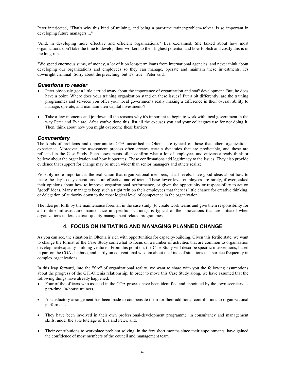Peter interjected, "That's why this kind of training, and being a part-time trainer/problem-solver, is so important in developing future managers...."

"And, in developing more effective and efficient organizations," Eva exclaimed. She talked about how most organizations don't take the time to develop their workers to their highest potential and how foolish and costly this is in the long run.

"We spend enormous sums, of money, a lot of it on long-term loans from international agencies, and never think about developing our organizations and employees so they can manage, operate and maintain these investments. It's downright criminal! Sorry about the preaching, but it's, true," Peter said.

### *Questions to reader*

- Peter obviously got a little carried away about the importance of organization and staff development. But, he does have a point. Where does your training organization stand on these issues? Put a bit differently, are the training programmes and services you offer your local governments really making a difference in their overall ability to manage, operate, and maintain their capital investments?
- Take a few moments and jot down all the reasons why it's important to begin to work with local government in the way Peter and Eva are. After you've done this, list all the excuses you and your colleagues use for not doing it. Then, think about how you might overcome these barriers.

### *Commentary*

The kinds of problems and opportunities COA unearthed in Oltenia are typical of those that other organizations experience. Moreover, the assessment process often creates certain dynamics that are predictable, and these are reflected in the Case Study. Such assessments often confirm what a lot of employees and citizens already think or believe about the organization and how it operates. These confirmations add legitimacy to the issues. They also provide evidence that support for change may be much wider than senior managers and others realize.

Probably more important is the realization that organizational members, at all levels, have good ideas about how to make the day-to-day operations more effective and efficient. These lower-level employees are rarely, if ever, asked their opinions about how to improve organizational performance, or given the opportunity or responsibility to act on "good" ideas. Many managers keep such a tight rein on their employees that there is little chance for creative thinking, or delegation of authority down to the most logical level of competence in the organization.

The idea put forth by the maintenance foreman in the case study (to create work teams and give them responsibility for all routine infrastructure maintenance in specific locations), is typical of the innovations that are initiated when organizations undertake total-quality-management-related programmes.

### **4. FOCUS ON INITIATING AND MANAGING PLANNED CHANGE**

As you can see, the situation in Oltenia is rich with opportunities for capacity-building. Given this fertile state, we want to change the format of the Case Study somewhat to focus on a number of activities that are common to organization development/capacity-building ventures. From this point on, the Case Study will describe specific interventions, based in part on the COA database, and partly on conventional wisdom about the kinds of situations that surface frequently in complex organizations.

In this leap forward, into the "fire" of organizational reality, we want to share with you the following assumptions about the progress of the GTI-Oltenia relationship. In order to move this Case Study along, we have assumed that the following things have already happened:

- Four of the officers who assisted in the COA process have been identified and appointed by the town secretary as part-time, in-house trainers,
- A satisfactory arrangement has been made to compensate them for their additional contributions to organizational performance,
- They have been involved in their own professional-development programme, in consultancy and management skills, under the able tutelage of Eva and Peter, and,
- Their contributions to workplace problem solving, in the few short months since their appointments, have gained the confidence of most members of the council and management team.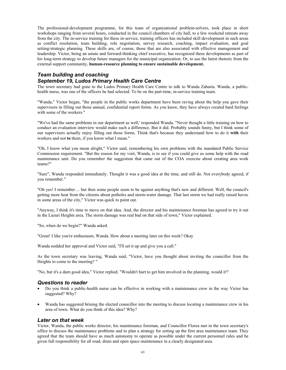The professional-development programme, for this team of organizational problem-solvers, took place in short workshops ranging from several hours, conducted in the council chambers of city hall, to a few weekend retreats away from the city. The in-service training for these in-service, training officers has included skill development in such areas as conflict resolution, team building, role negotiation, survey research, coaching, impact evaluation, and goal setting/strategic planning. These skills are, of course, those that are also associated with effective management and leadership. Victor, being an astute and forward-thinking chief executive, has recognized these developments as part of his long-term strategy to develop future managers for the municipal organization. Or, to use the latest rhetoric from the external support community, **human-resource planning to ensure sustainable development.**

### *Team building and coaching September 19, Ludos Primary Health Care Centre*

The town secretary had gone to the Ludos Primary Health Care Centre to talk to Wanda Zaharia. Wanda, a publichealth nurse, was one of the officers he had selected. To be on the part-time, in-service training team.

"Wanda," Victor began, "the people in the public works department have been raving about the help you gave their supervisors in filling out those annual, confidential report forms. As you know, they have always created hard feelings with some of the workers."

"We've had the same problems in our department as well,' responded Wanda. "Never thought a little training on how to conduct an evaluation interview would make such a difference. But it did. Probably sounds funny, but I think some of our supervisors actually enjoy filling out those forms. Think that's because they understand how to do it **with** their workers and not **to** them, if you know what I mean."

"Oh, I know what you mean alright," Victor said, remembering his own problems with the mandated Public Service Commission requirement. "But the reason for my visit, Wanda, is to see if you could give us some help with the road maintenance unit. Do you remember the suggestion that came out of the COA exercise about creating area work teams?"

"Sure", Wanda responded immediately. Thought it was a good idea at the time, and still do. Not everybody agreed, if you remember."

"Oh yes! I remember ... but then some people seem to be against anything that's new and different. Well, the council's getting more heat from the citizens about potholes and storm-water damage. That last storm we had really raised havoc in some areas of the city," Victor was quick to point out.

"Anyway, I think it's time to move on that idea. And, the director and his maintenance foreman has agreed to try it out in the Lazuri Heights area. The storm damage was real bad on that side of town," Victor explained.

"So, when do we begin?" Wanda asked.

"Great! I like you're enthusiasm, Wanda. How about a meeting later on this week? Okay

Wanda nodded her approval and Victor said, "I'll set it up and give you a call."

As the town secretary was leaving, Wanda said, "Victor, have you thought about inviting the councillor from the Heights to come to the meeting? "

"No, but it's a darn good idea," Victor replied. "Wouldn't hurt to get him involved in the planning, would it'?

#### *Questions to reader*

- Do you think a public-health nurse can be effective in working with a maintenance crew in the way Victor has suggested? Why?
- Wanda has suggested brining the elected councillor into the meeting to discuss locating a maintenance crew in his area of town. What do you think of this idea? Why?

#### *Later on that week*

Victor, Wanda, the public works director, his maintenance foreman, and Councillor Florea met in the town secretary's office to discuss the maintenance problems and to plan a strategy for setting up the first area maintenance team. They agreed that the team should have as much autonomy to operate as possible under the current personnel rules and be given full responsibility for all road, drain and open space maintenance in a clearly designated area.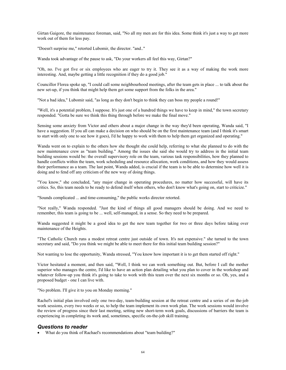Girtan Gaigore, the maintenance foreman, said, "No all my men are for this idea. Some think it's just a way to get more work out of them for less pay.

"Doesn't surprise me," retorted Lubomir, the director. "and.."

Wanda took advantage of the pause to ask, "Do your workers all feel this way, Girtan?"

"Oh, no. I've got five or six employees who are eager to try it. They see it as a way of making the work more interesting. And, maybe getting a little recognition if they do a good job."

Councillor Florea spoke up, "I could call some neighbourhood meetings, after the team gets in place ... to talk about the new set-up, if you think that might help them get some support from the folks in the area."

"Not a bad idea," Lubomir said, "as long as they don't begin to think they can boss my people a round!"

"Well, it's a potential problem, I suppose. It's just one of a hundred things we have to keep in mind," the town secretary responded. "Gotta be sure we think this thing through before we make the final move."

Sensing some anxiety from Victor and others about a major change in the way they'd been operating, Wanda said, "I have a suggestion. If you all can make a decision on who should be on the first maintenance team (and I think it's smart to start with only one to see how it goes), I'd he happy to work with them to help them get organized and operating."

Wanda went on to explain to the others how she thought she could help, referring to what she planned to do with the new maintenance crew as "team building." Among the issues she said she would try to address in the initial team building sessions would be: the overall supervisory role on the team, various task responsibilities, how they planned to handle conflicts within the team, work scheduling and resource allocation, work conditions, and how they would assess their performance as a team. The last point, Wanda added, is crucial if the team is to be able to determine how well it is doing and to fend off any criticism of the new way of doing things.

"You know," she concluded, "any major change in operating procedures, no matter how successful, will have its critics. So, this team needs to be ready to defend itself when others, who don't know what's going on, start to criticize."

"Sounds complicated ... and time-consuming," the public works director retorted.

"Not really," Wanda responded. "Just the kind of things all good managers should be doing. And we need to remember, this team is going to be ... well, self-managed, in a sense. So they need to be prepared.

Wanda suggested it might be a good idea to get the new team together for two or three days before taking over maintenance of the Heights.

"The Catholic Church runs a modest retreat centre just outside of town. It's not expensive." she turned to the town secretary and said, "Do you think we might be able to meet there for this initial team building session?"

Not wanting to lose the opportunity, Wanda stressed, "You know how important it is to get them started off right."

Victor hesitated a moment, and then said, "Well, I think we can work something out. But, before I call the mother superior who manages the centre, I'd like to have an action plan detailing what you plan to cover in the workshop and whatever follow-up you think it's going to take to work with this team over the next six months or so. Oh, yes, and a proposed budget - one I can live with.

"No problem. I'll give it to you on Monday morning."

Rachel's initial plan involved only one two-day, team-building session at the retreat centre and a series of on the-job work sessions, every two weeks or so, to help the team implement its own work plan. The work sessions would involve the review of progress since their last meeting, setting new short-term work goals, discussions of barriers the team is experiencing in completing its work and, sometimes, specific on-the-job skill training.

### *Questions to reader*

• What do you think of Rachael's recommendations about "team building?"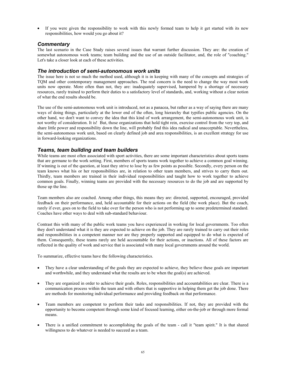If you were given the responsibility to work with this newly formed team to help it get started with its new responsibilities, how would you go about it?

### *Commentary*

The last scenario in the Case Study raises several issues that warrant further discussion. They are: the creation of somewhat autonomous work teams; team building and the use of an outside facilitator, and, the role of "coaching." Let's take a closer look at each of these activities.

### *The introduction of semi-autonomous work units*

The issue here is not so much the method used, although it is in keeping with many of the concepts and strategies of TQM and other contemporary management approaches. The real concern is the need to change the way most work units now operate. More often than not, they are: inadequately supervised, hampered by a shortage of necessary resources, rarely trained to perform their duties to a satisfactory level of standards, and, working without a clear notion of what the end results should be.

The use of the semi-autonomous work unit is introduced, not as a panacea, but rather as a way of saying there are many ways of doing things, particularly at the lower end of the often, long hierarchy that typifies public agencies. On the other hand, we don't want to convey the idea that this kind of work arrangement, the semi-autonomous work unit, is not worthy of consideration. It is! But, those organizations that hold tight rein, exercise control from the very top, and share little power and responsibility down the line, will probably find this idea radical and unacceptable. Nevertheless, the semi-autonomous work unit, based on clearly defined job and area responsibilities, is an excellent strategy for use in forward-looking organizations.

### *Teams, team building and team builders*

While teams are most often associated with sport activities, there are some important characteristics about sports teams that are germane to the work setting. First, members of sports teams work together to achieve a common goal winning. If winning is out of the question, at least they strive to lose by as few points as possible. Secondly, every person on the team knows what his or her responsibilities are, in relation to other team members, and strives to carry them out. Thirdly, team members are trained in their individual responsibilities and taught how to work together to achieve common goals. Finally, winning teams are provided with the necessary resources to do the job and are supported by those up the line.

Team members also are coached. Among other things, this means they are: directed, supported, encouraged, provided feedback on their performance, and, held accountable for their actions on the field (the work place). But the coach, rarely if ever, goes on to the field to take over for the person who is not performing up to some predetermined standard. Coaches have other ways to deal with sub-standard behaviour.

Contrast this with many of the public work teams you have experienced in working for local governments. Too often they don't understand what it is they are expected to achieve on the job. They are rarely trained to carry out their roles and responsibilities in a competent manner nor are they properly supported and equipped to do what is expected of them. Consequently, these teams rarely are held accountable for their actions, or inactions. All of these factors are reflected in the quality of work and service that is associated with many local governments around the world.

To summarize, effective teams have the following characteristics.

- They have a clear understanding of the goals they are expected to achieve, they believe these goals are important and worthwhile, and they understand what the results are to be when the goal(s) are achieved.
- They are organized in order to achieve their goals. Roles, responsibilities and accountabilities are clear. There is a communication process within the team and with others that is supportive in helping them get the job done. There are methods for monitoring individual performance and providing feedback on that performance.
- Team members are competent to perform their tasks and responsibilities. If not, they are provided with the opportunity to become competent through some kind of focused learning, either on-the-job or through more formal means.
- There is a unified commitment to accomplishing the goals of the team call it "team spirit." It is that shared willingness to do whatever is needed to succeed as a team.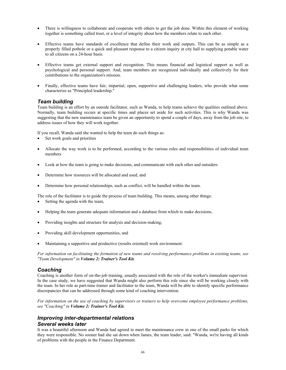- There is willingness to collaborate and cooperate with others to get the job done. Within this element of working together is something called trust, or a level of integrity about how the members relate to each other.
- Effective teams have standards of excellence that define their work and outputs. This can be as simple as a properly filled pothole or a quick and pleasant response to a citizen inquiry at city hall to supplying potable water to all citizens on a 24-hour basis.
- Effective teams get external support and recognition. This means financial and logistical support as well as psychological and personal support. And, team members are recognized individually and collectively for their contributions to the organization's mission.
- Finally, effective teams have fair, impartial, open, supportive and challenging leaders, who provide what some characterize as "Principled leadership."

### *Team building*

Team building is an effort by an outside facilitator, such as Wanda, to help teams achieve the qualities outlined above. Normally, team building occurs at specific times and places set aside for such activities. This is why Wanda was suggesting that the new maintenance team be given an opportunity to spend a couple of days, away from the job site, to address issues of how they will work together.

If you recall, Wanda said she wanted to help the team do such things as:

- Set work goals and priorities
- Allocate the way work is to be performed, according to the various roles and responsibilities of individual team members
- Look at how the team is going to make decisions, and communicate with each other and outsiders
- Determine how resources will be allocated and used, and
- Determine how personal relationships, such as conflict, will be handled within the team.

The role of the facilitator is to guide the process of team building. This means, among other things:

- Setting the agenda with the team,
- Helping the team generate adequate information and a database from which to make decisions,
- Providing insights and structure for analysis and decision-making,
- Providing skill development opportunities, and
- Maintaining a supportive and productive (results oriented) work environment.

*For information on facilitating the formation of new teams and resolving performance problems in existing teams, see "Team Development" in Volume 2: Trainer's Tool Kit.*

#### *Coaching*

Coaching is another form of on-the-job training, usually associated with the role of the worker's immediate supervisor. In the case study, we have suggested that Wanda might also perform this role since she will be working closely with the team. In her role as part-time trainer and facilitator to the team, Wanda will be able to identify specific performance discrepancies that can be addressed through some kind of coaching intervention.

*For information on the use of coaching by supervisors or trainers to help overcome employee performance problems, see "Coaching" in Volume 2: Trainer's Tool Kit.*

### *Improving inter-departmental relations Several weeks later*

It was a beautiful afternoon and Wanda had agreed to meet the maintenance crew in one of the small parks for which they were responsible. No sooner had she sat down when James, the team leader, said: "Wanda, we're having all kinds of problems with the people in the Finance Department.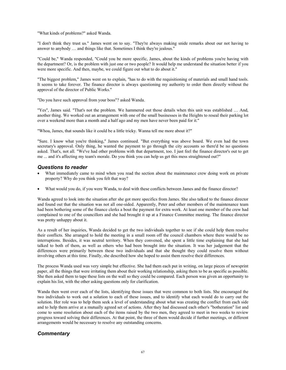"What kinds of problems?" asked Wanda.

"I don't think they trust us." James went on to say. "They're always making snide remarks about our not having to answer to anybody … and things like that. Sometimes I think they're jealous."

"Could be," Wanda responded, "Could you be more specific, James, about the kinds of problems you're having with the department? Or, is the problem with just one or two people? It would help me understand the situation better if you were more specific. And then, maybe, we could figure out what to do about it."

"The biggest problem," James went on to explain, "has to do with the requisitioning of materials and small hand tools. It seems to take forever. The finance director is always questioning my authority to order them directly without the approval of the director of Public Works."

"Do you have such approval from your boss"? asked Wanda.

"Yes", James said. "That's not the problem. We hammered out those details when this unit was established … And, another thing. We worked out an arrangement with one of the small businesses in the Heights to reseal their parking lot over a weekend more than a month and a half ago and my men have never been paid for it."

"Whoa, James, that sounds like it could be a little tricky. Wanna tell me more about it?"

"Sure. I know what you're thinking," James continued. "But everything was above board. We even had the town secretary's approval. Only thing, he wanted the payment to go through the city accounts so there'd be no questions asked. That's, not all. "We've had other problems with that department, too. I just feel the finance director's out to get me ... and it's affecting my team's morale. Do you think you can help us get this mess straightened out?"

#### *Questions to reader*

- What immediately came to mind when you read the section about the maintenance crew doing work on private property? Why do you think you felt that way?
- What would you do, if you were Wanda, to deal with these conflicts between James and the finance director?

Wanda agreed to look into the situation after she got more specifics from James. She also talked to the finance director and found out that the situation was not all one-sided. Apparently, Peter and other members of the maintenance team had been bothering some of the finance clerks a bout the payment for extra work. At least one member of the crew had complained to one of the councillors and she had brought it up at a Finance Committee meeting. The finance director was pretty unhappy about it.

As a result of her inquiries, Wanda decided to get the two individuals together to see if she could help them resolve their conflicts. She arranged to hold the meeting in a small room off the council chambers where there would be no interruptions. Besides, it was neutral territory. When they convened, she spent a little time explaining that she had talked to both of them, as well as others who had been brought into the situation. It was her judgement that the differences were primarily between these two individuals and that she thought they could resolve them without involving others at this time. Finally, she described how she hoped to assist them resolve their differences.

The process Wanda used was very simple but effective. She had them each put in writing, on large pieces of newsprint paper, all the things that were irritating them about their working relationship, asking them to be as specific as possible. She then asked them to tape these lists on the wall so they could be compared. Each person was given an opportunity to explain his list, with the other asking questions only for clarification.

Wanda then went over each of the lists, identifying those issues that were common to both lists. She encouraged the two individuals to work out a solution to each of these issues, and to identify what each would do to carry out the solution. Her role was to help them seek a level of understanding about what was creating the conflict from each side and to help them arrive at a mutually agreed set of actions. After they had discussed each other's "botheration" list and come to some resolution about each of the items raised by the two men, they agreed to meet in two weeks to review progress toward solving their differences. At that point, the three of them would decide if further meetings, or different arrangements would be necessary to resolve any outstanding concerns.

#### *Commentary*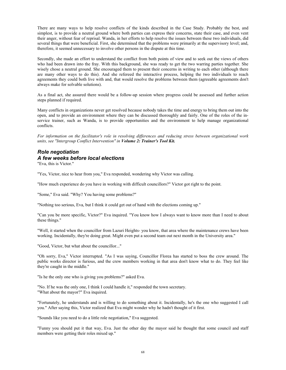There are many ways to help resolve conflicts of the kinds described in the Case Study. Probably the best, and simplest, is to provide a neutral ground where both parties can express their concerns, state their case, and even vent their anger, without fear of reprisal. Wanda, in her efforts to help resolve the issues between these two individuals, did several things that were beneficial. First, she determined that the problems were primarily at the supervisory level; and, therefore, it seemed unnecessary to involve other persons in the dispute at this time.

Secondly, she made an effort to understand the conflict from both points of view and to seek out the views of others who had been drawn into the fray. With this background, she was ready to get the two warring parties together. She wisely chose a neutral ground. She encouraged them to present their concerns in writing to each other (although there are many other ways to do this). And she refereed the interactive process, helping the two individuals to reach agreements they could both live with and, that would resolve the problems between them (agreeable agreements don't always make for solvable solutions).

As a final act, she assured there would be a follow-up session where progress could be assessed and further action steps planned if required.

Many conflicts in organizations never get resolved because nobody takes the time and energy to bring them out into the open, and to provide an environment where they can be discussed thoroughly and fairly. One of the roles of the inservice trainer, such as Wanda, is to provide opportunities and the environment to help manage organizational conflicts.

*For information on the facilitator's role in resolving differences and reducing stress between organizational work units, see "Intergroup Conflict Intervention" in Volume 2: Trainer's Tool Kit.*

# *Role negotiation A few weeks before local elections*

"Eva, this is Victor."

"Yes, Victor, nice to hear from you," Eva responded, wondering why Victor was calling.

"How much experience do you have in working with difficult councillors?" Victor got right to the point.

"Some," Eva said. "Why? You having some problems?"

"Nothing too serious, Eva, but I think it could get out of hand with the elections coming up."

"Can you be more specific, Victor?" Eva inquired. "You know how I always want to know more than I need to about these things."

"Well, it started when the councillor from Lazuri Heights- you know, that area where the maintenance crews have been working. Incidentally, they're doing great. Might even put a second team out next month in the University area."

"Good, Victor, but what about the councillor..."

"Oh sorry, Eva," Victor interrupted. "As I was saying, Councillor Florea has started to boss the crew around. The public works director is furious, and the crew members working in that area don't know what to do. They feel like they're caught in the middle."

"Is he the only one who is giving you problems?" asked Eva.

"No. If he was the only one, I think I could handle it," responded the town secretary. "What about the mayor?" Eva inquired.

"Fortunately, he understands and is willing to do something about it. Incidentally, he's the one who suggested I call you." After saying this, Victor realized that Eva might wonder why he hadn't thought of it first.

"Sounds like you need to do a little role negotiation," Eva suggested.

"Funny you should put it that way, Eva. Just the other day the mayor said he thought that some council and staff members were getting their roles mixed up."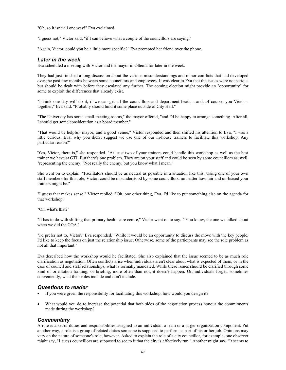"Oh, so it isn't all one way!" Eva exclaimed.

"I guess not," Victor said, "if I can believe what a couple of the councillors are saying."

"Again, Victor, could you be a little more specific?" Eva prompted her friend over the phone.

### *Later in the week*

Eva scheduled a meeting with Victor and the mayor in Oltenia for later in the week.

They had just finished a long discussion about the various misunderstandings and minor conflicts that had developed over the past few months between some councillors and employees. It was clear to Eva that the issues were not serious but should be dealt with before they escalated any further. The coming election might provide an "opportunity" for some to exploit the differences that already exist.

"I think one day will do it, if we can get all the councillors and department heads - and, of course, you Victor together," Eva said. "Probably should hold it some place outside of City Hall."

"The University has some small meeting rooms," the mayor offered, "and I'd be happy to arrange something. After all, I should get some consideration as a board member."

"That would be helpful, mayor, and a good venue," Victor responded and then shifted his attention to Eva. "I was a little curious, Eva, why you didn't suggest we use one of our in-house trainers to facilitate this workshop. Any particular reason?"

'Yes, Victor, there is," she responded. "At least two of your trainers could handle this workshop as well as the best trainer we have at GTI. But there's one problem. They are on your staff and could be seen by some councillors as, well, "representing the enemy. "Not really the enemy, but you know what I mean."

She went on to explain. "Facilitators should be as neutral as possible in a situation like this. Using one of your own staff members for this role, Victor, could be misunderstood by some councillors, no matter how fair and un-biased your trainers might be."

"I guess that makes sense," Victor replied. "Oh, one other thing, Eva. I'd like to put something else on the agenda for that workshop."

"Oh, what's that?"

"It has to do with shifting that primary health care centre," Victor went on to say. " You know, the one we talked about when we did the COA.'

"I'd prefer not to, Victor," Eva responded. "While it would be an opportunity to discuss the move with the key people, I'd like to keep the focus on just the relationship issue. Otherwise, some of the participants may sec the role problem as not all that important."

Eva described how the workshop would he facilitated. She also explained that the issue seemed to be as much role clarification as negotiation. Often conflicts arise when individuals aren't clear about what is expected of them, or in the case of council and staff relationships, what is formally mandated. While these issues should be clarified through some kind of orientation training, or briefing, more often than not, it doesn't happen. Or, individuals forget, sometimes conveniently, what their roles include and don't include.

#### *Questions to reader*

- If you were given the responsibility for facilitating this workshop, how would you design it?
- What would you do to increase the potential that both sides of the negotiation process honour the commitments made during the workshop?

### *Commentary*

A role is a set of duties and responsibilities assigned to an individual, a team or a larger organization component. Put another way, a role is a group of related duties someone is supposed to perform as part of his or her job. Opinions may vary on the nature of someone's role, however. Asked to explain the role of a city councillor, for example, one observer might say, "I guess councillors are supposed to see to it that the city is effectively run." Another might say, "It seems to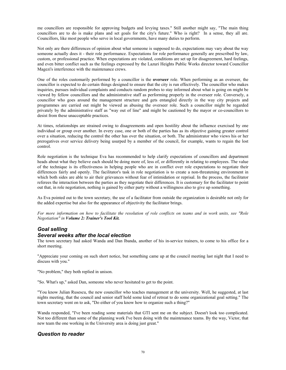me councillors are responsible for approving budgets and levying taxes." Still another might say, "The main thing councillors are to do is make plans and set goals for the city's future." Who is right? In a sense, they all are. Councillors, like most people who serve in local governments, have many duties to perform.

Not only are there differences of opinion about what someone is supposed to do, expectations may vary about the way someone actually does it - their role performance. Expectations for role performance generally are prescribed by law, custom, or professional practice. When expectations are violated, conditions are set up for disagreement, hard feelings, and even bitter conflict such as the feelings expressed by the Lazuri Heights Public Works director toward Councillor Magezi's interference with the maintenance crews.

One of the roles customarily performed by a councillor is the **overseer** role. When performing as an overseer, the councillor is expected to do certain things designed to ensure that the city is run effectively. The councillor who makes inquiries, pursues individual complaints and conducts random probes to stay informed about what is going on might be viewed by fellow councillors and the administrative staff as performing properly in the overseer role. Conversely, a councillor who goes around the management structure and gets entangled directly in the way city projects and programmes are carried out might be viewed as abusing the overseer role. Such a councillor might be regarded privately by the administrative staff as "way out of line" and might be cautioned by the mayor or co-councillors to desist from these unacceptable practices.

At times, relationships are strained owing to disagreements and open hostility about the influence exercised by one individual or group over another. In every case, one or both of the parties has as its objective gaining greater control over a situation, reducing the control the other has over the situation, or both. The administrator who views his or her prerogatives over service delivery being usurped by a member of the council, for example, wants to regain the lost control.

Role negotiation is the technique Eva has recommended to help clarify expectations of councillors and department heads about what they believe each should be doing more of, less of, or differently in relating to employees. The value of the technique is its effectiveness in helping people who are in conflict over role expectations to negotiate their differences fairly and openly. The facilitator's task in role negotiation is to create a non-threatening environment in which both sides are able to air their grievances without fear of intimidation or reprisal. In the process, the facilitator referees the interaction between the parties as they negotiate their differences. It is customary for the facilitator to point out that, in role negotiation, nothing is gained by either party without a willingness also to give up something.

As Eva pointed out to the town secretary, the use of a facilitator from outside the organization is desirable not only for the added expertise but also for the appearance of objectivity the facilitator brings.

*For more information on how to facilitate the resolution of role conflicts on teams and in work units, see "Role Negotiation" in Volume 2: Trainer's Tool Kit.*

# *Goal selling*

#### *Several weeks after the local election*

The town secretary had asked Wanda and Dan Ibanda, another of his in-service trainers, to come to his office for a short meeting.

"Appreciate your coming on such short notice, but something came up at the council meeting last night that I need to discuss with you."

"No problem," they both replied in unison.

"So. What's up," asked Dan, someone who never hesitated to get to the point.

"You know Julian Rusescu, the new councillor who teaches management at the university. Well, he suggested, at last nights meeting, that the council and senior staff hold some kind of retreat to do some organizational goal setting." The town secretary went on to ask, "Do either of you know how to organize such a thing?"

Wanda responded, "I've been reading some materials that GTI sent me on the subject. Doesn't look too complicated. Not too different than some of the planning work I've been doing with the maintenance teams. By the way, Victor, that new team the one working in the University area is doing just great."

### *Question to reader*